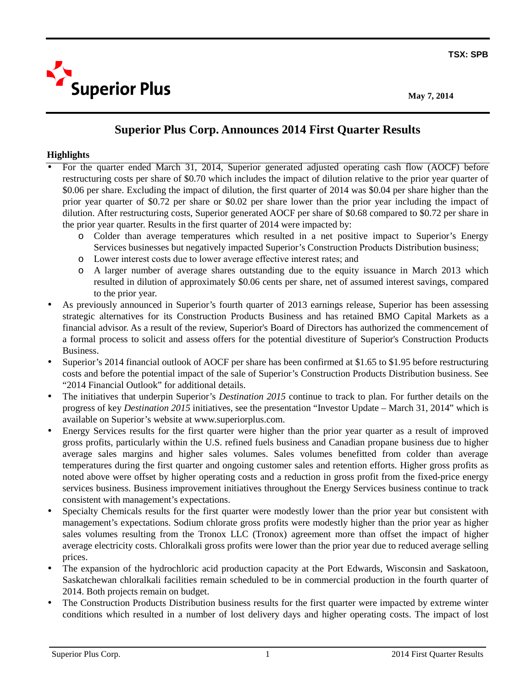

# **Superior Plus Corp. Announces 2014 First Quarter Results**

# **Highlights**

- For the quarter ended March 31, 2014, Superior generated adjusted operating cash flow (AOCF) before restructuring costs per share of \$0.70 which includes the impact of dilution relative to the prior year quarter of \$0.06 per share. Excluding the impact of dilution, the first quarter of 2014 was \$0.04 per share higher than the prior year quarter of \$0.72 per share or \$0.02 per share lower than the prior year including the impact of dilution. After restructuring costs, Superior generated AOCF per share of \$0.68 compared to \$0.72 per share in the prior year quarter. Results in the first quarter of 2014 were impacted by:
	- o Colder than average temperatures which resulted in a net positive impact to Superior's Energy Services businesses but negatively impacted Superior's Construction Products Distribution business;
	- o Lower interest costs due to lower average effective interest rates; and
	- o A larger number of average shares outstanding due to the equity issuance in March 2013 which resulted in dilution of approximately \$0.06 cents per share, net of assumed interest savings, compared to the prior year.
- As previously announced in Superior's fourth quarter of 2013 earnings release, Superior has been assessing strategic alternatives for its Construction Products Business and has retained BMO Capital Markets as a financial advisor. As a result of the review, Superior's Board of Directors has authorized the commencement of a formal process to solicit and assess offers for the potential divestiture of Superior's Construction Products Business.
- Superior's 2014 financial outlook of AOCF per share has been confirmed at \$1.65 to \$1.95 before restructuring costs and before the potential impact of the sale of Superior's Construction Products Distribution business. See "2014 Financial Outlook" for additional details.
- The initiatives that underpin Superior's *Destination 2015* continue to track to plan. For further details on the progress of key *Destination 2015* initiatives, see the presentation "Investor Update – March 31, 2014" which is available on Superior's website at www.superiorplus.com.
- Energy Services results for the first quarter were higher than the prior year quarter as a result of improved gross profits, particularly within the U.S. refined fuels business and Canadian propane business due to higher average sales margins and higher sales volumes. Sales volumes benefitted from colder than average temperatures during the first quarter and ongoing customer sales and retention efforts. Higher gross profits as noted above were offset by higher operating costs and a reduction in gross profit from the fixed-price energy services business. Business improvement initiatives throughout the Energy Services business continue to track consistent with management's expectations.
- Specialty Chemicals results for the first quarter were modestly lower than the prior year but consistent with management's expectations. Sodium chlorate gross profits were modestly higher than the prior year as higher sales volumes resulting from the Tronox LLC (Tronox) agreement more than offset the impact of higher average electricity costs. Chloralkali gross profits were lower than the prior year due to reduced average selling prices.
- The expansion of the hydrochloric acid production capacity at the Port Edwards, Wisconsin and Saskatoon, Saskatchewan chloralkali facilities remain scheduled to be in commercial production in the fourth quarter of 2014. Both projects remain on budget.
- The Construction Products Distribution business results for the first quarter were impacted by extreme winter conditions which resulted in a number of lost delivery days and higher operating costs. The impact of lost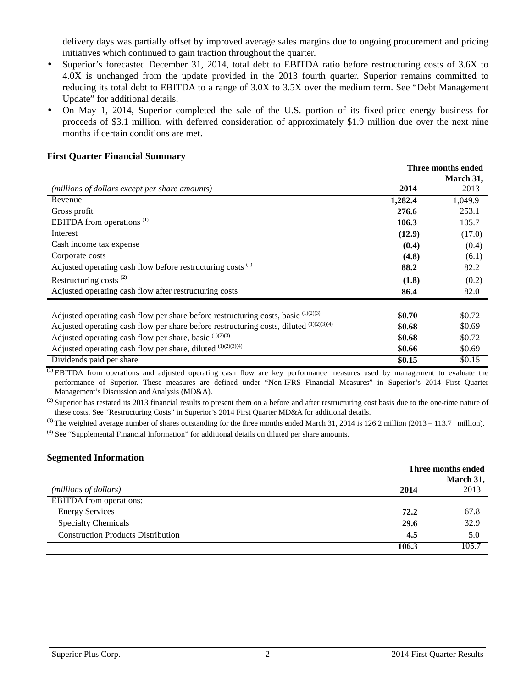delivery days was partially offset by improved average sales margins due to ongoing procurement and pricing initiatives which continued to gain traction throughout the quarter.

- Superior's forecasted December 31, 2014, total debt to EBITDA ratio before restructuring costs of 3.6X to 4.0X is unchanged from the update provided in the 2013 fourth quarter. Superior remains committed to reducing its total debt to EBITDA to a range of 3.0X to 3.5X over the medium term. See "Debt Management Update" for additional details.
- On May 1, 2014, Superior completed the sale of the U.S. portion of its fixed-price energy business for proceeds of \$3.1 million, with deferred consideration of approximately \$1.9 million due over the next nine months if certain conditions are met.

| <b>First Quarter Financial Summary</b> |  |
|----------------------------------------|--|
|                                        |  |

|                                                                        |         | Three months ended |
|------------------------------------------------------------------------|---------|--------------------|
|                                                                        |         | March 31,          |
| (millions of dollars except per share amounts)                         | 2014    | 2013               |
| Revenue                                                                | 1,282.4 | 1.049.9            |
| Gross profit                                                           | 276.6   | 253.1              |
| <b>EBITDA</b> from operations <sup>(1)</sup>                           | 106.3   | 105.7              |
| Interest                                                               | (12.9)  | (17.0)             |
| Cash income tax expense                                                | (0.4)   | (0.4)              |
| Corporate costs                                                        | (4.8)   | (6.1)              |
| Adjusted operating cash flow before restructuring costs <sup>(1)</sup> | 88.2    | 82.2               |
| Restructuring costs $^{(2)}$                                           | (1.8)   | (0.2)              |
| Adjusted operating cash flow after restructuring costs                 | 86.4    | 82.0               |
|                                                                        |         |                    |

| Adjusted operating cash flow per share before restructuring costs, basic $(1)(2)(3)$      | \$0.70 | \$0.72 |
|-------------------------------------------------------------------------------------------|--------|--------|
| Adjusted operating cash flow per share before restructuring costs, diluted $(1)(2)(3)(4)$ | \$0.68 | \$0.69 |
| Adjusted operating cash flow per share, basic $(1)(2)(3)$                                 | \$0.68 | \$0.72 |
| Adjusted operating cash flow per share, diluted $^{(1)(2)(3)(4)}$                         | \$0.66 | \$0.69 |
| Dividends paid per share                                                                  | \$0.15 | \$0.15 |

<sup>(1)</sup> EBITDA from operations and adjusted operating cash flow are key performance measures used by management to evaluate the performance of Superior. These measures are defined under "Non-IFRS Financial Measures" in Superior's 2014 First Quarter Management's Discussion and Analysis (MD&A).

 $^{(2)}$  Superior has restated its 2013 financial results to present them on a before and after restructuring cost basis due to the one-time nature of these costs. See "Restructuring Costs" in Superior's 2014 First Quarter MD&A for additional details.

(3) The weighted average number of shares outstanding for the three months ended March 31, 2014 is 126.2 million (2013 – 113.7 million).

(4) See "Supplemental Financial Information" for additional details on diluted per share amounts.

#### **Segmented Information**

|                                           |       | Three months ended |  |
|-------------------------------------------|-------|--------------------|--|
|                                           |       | March 31,          |  |
| (millions of dollars)                     | 2014  | 2013               |  |
| <b>EBITDA</b> from operations:            |       |                    |  |
| <b>Energy Services</b>                    | 72.2  | 67.8               |  |
| <b>Specialty Chemicals</b>                | 29.6  | 32.9               |  |
| <b>Construction Products Distribution</b> | 4.5   | 5.0                |  |
|                                           | 106.3 | 105.7              |  |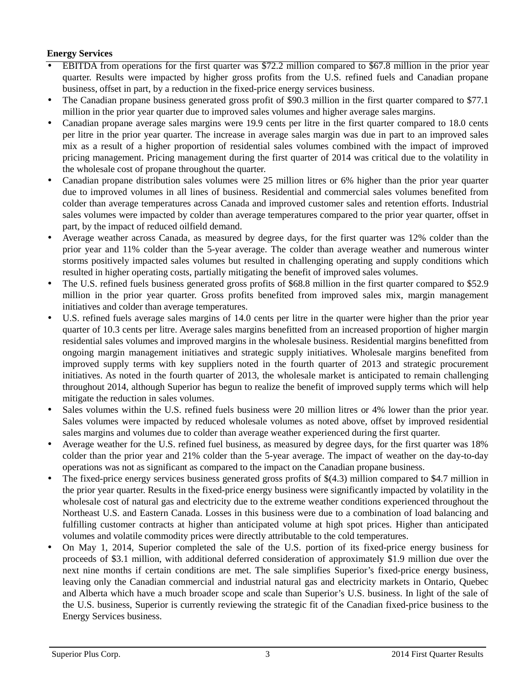# **Energy Services**

- EBITDA from operations for the first quarter was \$72.2 million compared to \$67.8 million in the prior year quarter. Results were impacted by higher gross profits from the U.S. refined fuels and Canadian propane business, offset in part, by a reduction in the fixed-price energy services business.
- The Canadian propane business generated gross profit of \$90.3 million in the first quarter compared to \$77.1 million in the prior year quarter due to improved sales volumes and higher average sales margins.
- Canadian propane average sales margins were 19.9 cents per litre in the first quarter compared to 18.0 cents per litre in the prior year quarter. The increase in average sales margin was due in part to an improved sales mix as a result of a higher proportion of residential sales volumes combined with the impact of improved pricing management. Pricing management during the first quarter of 2014 was critical due to the volatility in the wholesale cost of propane throughout the quarter.
- Canadian propane distribution sales volumes were 25 million litres or 6% higher than the prior year quarter due to improved volumes in all lines of business. Residential and commercial sales volumes benefited from colder than average temperatures across Canada and improved customer sales and retention efforts. Industrial sales volumes were impacted by colder than average temperatures compared to the prior year quarter, offset in part, by the impact of reduced oilfield demand.
- Average weather across Canada, as measured by degree days, for the first quarter was 12% colder than the prior year and 11% colder than the 5-year average. The colder than average weather and numerous winter storms positively impacted sales volumes but resulted in challenging operating and supply conditions which resulted in higher operating costs, partially mitigating the benefit of improved sales volumes.
- The U.S. refined fuels business generated gross profits of \$68.8 million in the first quarter compared to \$52.9 million in the prior year quarter. Gross profits benefited from improved sales mix, margin management initiatives and colder than average temperatures.
- U.S. refined fuels average sales margins of 14.0 cents per litre in the quarter were higher than the prior year quarter of 10.3 cents per litre. Average sales margins benefitted from an increased proportion of higher margin residential sales volumes and improved margins in the wholesale business. Residential margins benefitted from ongoing margin management initiatives and strategic supply initiatives. Wholesale margins benefited from improved supply terms with key suppliers noted in the fourth quarter of 2013 and strategic procurement initiatives. As noted in the fourth quarter of 2013, the wholesale market is anticipated to remain challenging throughout 2014, although Superior has begun to realize the benefit of improved supply terms which will help mitigate the reduction in sales volumes.
- Sales volumes within the U.S. refined fuels business were 20 million litres or 4% lower than the prior year. Sales volumes were impacted by reduced wholesale volumes as noted above, offset by improved residential sales margins and volumes due to colder than average weather experienced during the first quarter.
- Average weather for the U.S. refined fuel business, as measured by degree days, for the first quarter was 18% colder than the prior year and 21% colder than the 5-year average. The impact of weather on the day-to-day operations was not as significant as compared to the impact on the Canadian propane business.
- The fixed-price energy services business generated gross profits of \$(4.3) million compared to \$4.7 million in the prior year quarter. Results in the fixed-price energy business were significantly impacted by volatility in the wholesale cost of natural gas and electricity due to the extreme weather conditions experienced throughout the Northeast U.S. and Eastern Canada. Losses in this business were due to a combination of load balancing and fulfilling customer contracts at higher than anticipated volume at high spot prices. Higher than anticipated volumes and volatile commodity prices were directly attributable to the cold temperatures.
- On May 1, 2014, Superior completed the sale of the U.S. portion of its fixed-price energy business for proceeds of \$3.1 million, with additional deferred consideration of approximately \$1.9 million due over the next nine months if certain conditions are met. The sale simplifies Superior's fixed-price energy business, leaving only the Canadian commercial and industrial natural gas and electricity markets in Ontario, Quebec and Alberta which have a much broader scope and scale than Superior's U.S. business. In light of the sale of the U.S. business, Superior is currently reviewing the strategic fit of the Canadian fixed-price business to the Energy Services business.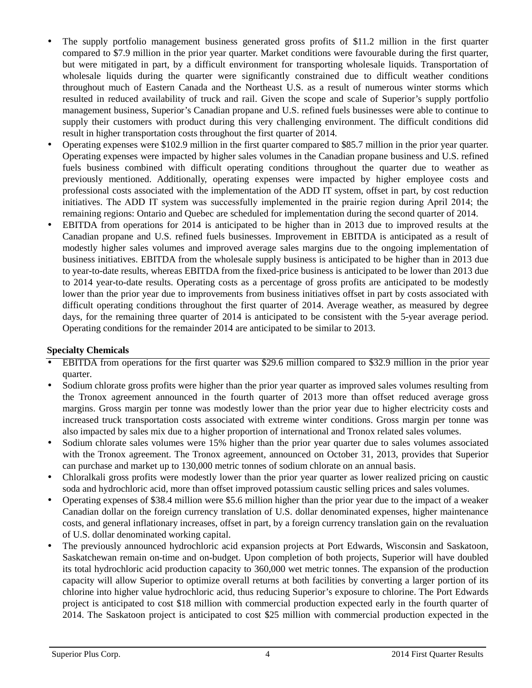- The supply portfolio management business generated gross profits of \$11.2 million in the first quarter compared to \$7.9 million in the prior year quarter. Market conditions were favourable during the first quarter, but were mitigated in part, by a difficult environment for transporting wholesale liquids. Transportation of wholesale liquids during the quarter were significantly constrained due to difficult weather conditions throughout much of Eastern Canada and the Northeast U.S. as a result of numerous winter storms which resulted in reduced availability of truck and rail. Given the scope and scale of Superior's supply portfolio management business, Superior's Canadian propane and U.S. refined fuels businesses were able to continue to supply their customers with product during this very challenging environment. The difficult conditions did result in higher transportation costs throughout the first quarter of 2014.
- Operating expenses were \$102.9 million in the first quarter compared to \$85.7 million in the prior year quarter. Operating expenses were impacted by higher sales volumes in the Canadian propane business and U.S. refined fuels business combined with difficult operating conditions throughout the quarter due to weather as previously mentioned. Additionally, operating expenses were impacted by higher employee costs and professional costs associated with the implementation of the ADD IT system, offset in part, by cost reduction initiatives. The ADD IT system was successfully implemented in the prairie region during April 2014; the remaining regions: Ontario and Quebec are scheduled for implementation during the second quarter of 2014.
- EBITDA from operations for 2014 is anticipated to be higher than in 2013 due to improved results at the Canadian propane and U.S. refined fuels businesses. Improvement in EBITDA is anticipated as a result of modestly higher sales volumes and improved average sales margins due to the ongoing implementation of business initiatives. EBITDA from the wholesale supply business is anticipated to be higher than in 2013 due to year-to-date results, whereas EBITDA from the fixed-price business is anticipated to be lower than 2013 due to 2014 year-to-date results. Operating costs as a percentage of gross profits are anticipated to be modestly lower than the prior year due to improvements from business initiatives offset in part by costs associated with difficult operating conditions throughout the first quarter of 2014. Average weather, as measured by degree days, for the remaining three quarter of 2014 is anticipated to be consistent with the 5-year average period. Operating conditions for the remainder 2014 are anticipated to be similar to 2013.

# **Specialty Chemicals**

- EBITDA from operations for the first quarter was \$29.6 million compared to \$32.9 million in the prior year quarter.
- Sodium chlorate gross profits were higher than the prior year quarter as improved sales volumes resulting from the Tronox agreement announced in the fourth quarter of 2013 more than offset reduced average gross margins. Gross margin per tonne was modestly lower than the prior year due to higher electricity costs and increased truck transportation costs associated with extreme winter conditions. Gross margin per tonne was also impacted by sales mix due to a higher proportion of international and Tronox related sales volumes.
- Sodium chlorate sales volumes were 15% higher than the prior year quarter due to sales volumes associated with the Tronox agreement. The Tronox agreement, announced on October 31, 2013, provides that Superior can purchase and market up to 130,000 metric tonnes of sodium chlorate on an annual basis.
- Chloralkali gross profits were modestly lower than the prior year quarter as lower realized pricing on caustic soda and hydrochloric acid, more than offset improved potassium caustic selling prices and sales volumes.
- Operating expenses of \$38.4 million were \$5.6 million higher than the prior year due to the impact of a weaker Canadian dollar on the foreign currency translation of U.S. dollar denominated expenses, higher maintenance costs, and general inflationary increases, offset in part, by a foreign currency translation gain on the revaluation of U.S. dollar denominated working capital.
- The previously announced hydrochloric acid expansion projects at Port Edwards, Wisconsin and Saskatoon, Saskatchewan remain on-time and on-budget. Upon completion of both projects, Superior will have doubled its total hydrochloric acid production capacity to 360,000 wet metric tonnes. The expansion of the production capacity will allow Superior to optimize overall returns at both facilities by converting a larger portion of its chlorine into higher value hydrochloric acid, thus reducing Superior's exposure to chlorine. The Port Edwards project is anticipated to cost \$18 million with commercial production expected early in the fourth quarter of 2014. The Saskatoon project is anticipated to cost \$25 million with commercial production expected in the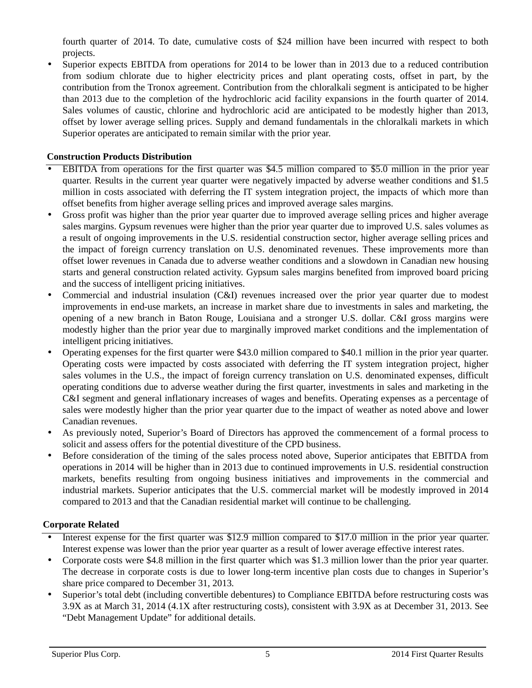fourth quarter of 2014. To date, cumulative costs of \$24 million have been incurred with respect to both projects.

• Superior expects EBITDA from operations for 2014 to be lower than in 2013 due to a reduced contribution from sodium chlorate due to higher electricity prices and plant operating costs, offset in part, by the contribution from the Tronox agreement. Contribution from the chloralkali segment is anticipated to be higher than 2013 due to the completion of the hydrochloric acid facility expansions in the fourth quarter of 2014. Sales volumes of caustic, chlorine and hydrochloric acid are anticipated to be modestly higher than 2013, offset by lower average selling prices. Supply and demand fundamentals in the chloralkali markets in which Superior operates are anticipated to remain similar with the prior year.

# **Construction Products Distribution**

- EBITDA from operations for the first quarter was \$4.5 million compared to \$5.0 million in the prior year quarter. Results in the current year quarter were negatively impacted by adverse weather conditions and \$1.5 million in costs associated with deferring the IT system integration project, the impacts of which more than offset benefits from higher average selling prices and improved average sales margins.
- Gross profit was higher than the prior year quarter due to improved average selling prices and higher average sales margins. Gypsum revenues were higher than the prior year quarter due to improved U.S. sales volumes as a result of ongoing improvements in the U.S. residential construction sector, higher average selling prices and the impact of foreign currency translation on U.S. denominated revenues. These improvements more than offset lower revenues in Canada due to adverse weather conditions and a slowdown in Canadian new housing starts and general construction related activity. Gypsum sales margins benefited from improved board pricing and the success of intelligent pricing initiatives.
- Commercial and industrial insulation (C&I) revenues increased over the prior year quarter due to modest improvements in end-use markets, an increase in market share due to investments in sales and marketing, the opening of a new branch in Baton Rouge, Louisiana and a stronger U.S. dollar. C&I gross margins were modestly higher than the prior year due to marginally improved market conditions and the implementation of intelligent pricing initiatives.
- Operating expenses for the first quarter were \$43.0 million compared to \$40.1 million in the prior year quarter. Operating costs were impacted by costs associated with deferring the IT system integration project, higher sales volumes in the U.S., the impact of foreign currency translation on U.S. denominated expenses, difficult operating conditions due to adverse weather during the first quarter, investments in sales and marketing in the C&I segment and general inflationary increases of wages and benefits. Operating expenses as a percentage of sales were modestly higher than the prior year quarter due to the impact of weather as noted above and lower Canadian revenues.
- As previously noted, Superior's Board of Directors has approved the commencement of a formal process to solicit and assess offers for the potential divestiture of the CPD business.
- Before consideration of the timing of the sales process noted above, Superior anticipates that EBITDA from operations in 2014 will be higher than in 2013 due to continued improvements in U.S. residential construction markets, benefits resulting from ongoing business initiatives and improvements in the commercial and industrial markets. Superior anticipates that the U.S. commercial market will be modestly improved in 2014 compared to 2013 and that the Canadian residential market will continue to be challenging.

#### **Corporate Related**

- Interest expense for the first quarter was \$12.9 million compared to \$17.0 million in the prior year quarter. Interest expense was lower than the prior year quarter as a result of lower average effective interest rates.
- Corporate costs were \$4.8 million in the first quarter which was \$1.3 million lower than the prior year quarter. The decrease in corporate costs is due to lower long-term incentive plan costs due to changes in Superior's share price compared to December 31, 2013.
- Superior's total debt (including convertible debentures) to Compliance EBITDA before restructuring costs was 3.9X as at March 31, 2014 (4.1X after restructuring costs), consistent with 3.9X as at December 31, 2013. See "Debt Management Update" for additional details.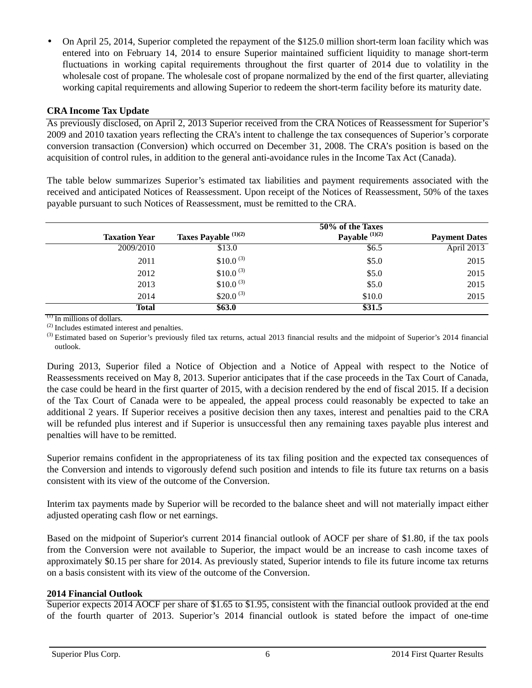• On April 25, 2014, Superior completed the repayment of the \$125.0 million short-term loan facility which was entered into on February 14, 2014 to ensure Superior maintained sufficient liquidity to manage short-term fluctuations in working capital requirements throughout the first quarter of 2014 due to volatility in the wholesale cost of propane. The wholesale cost of propane normalized by the end of the first quarter, alleviating working capital requirements and allowing Superior to redeem the short-term facility before its maturity date.

#### **CRA Income Tax Update**

As previously disclosed, on April 2, 2013 Superior received from the CRA Notices of Reassessment for Superior's 2009 and 2010 taxation years reflecting the CRA's intent to challenge the tax consequences of Superior's corporate conversion transaction (Conversion) which occurred on December 31, 2008. The CRA's position is based on the acquisition of control rules, in addition to the general anti-avoidance rules in the Income Tax Act (Canada).

The table below summarizes Superior's estimated tax liabilities and payment requirements associated with the received and anticipated Notices of Reassessment. Upon receipt of the Notices of Reassessment, 50% of the taxes payable pursuant to such Notices of Reassessment, must be remitted to the CRA.

|                      |                        | 50% of the Taxes    |                      |
|----------------------|------------------------|---------------------|----------------------|
| <b>Taxation Year</b> | Taxes Payable $(1)(2)$ | Payable $^{(1)(2)}$ | <b>Payment Dates</b> |
| 2009/2010            | \$13.0                 | \$6.5               | April 2013           |
| 2011                 | \$10.0 <sup>(3)</sup>  | \$5.0               | 2015                 |
| 2012                 | \$10.0 <sup>(3)</sup>  | \$5.0               | 2015                 |
| 2013                 | \$10.0 <sup>(3)</sup>  | \$5.0               | 2015                 |
| 2014                 | \$20.0 <sup>(3)</sup>  | \$10.0              | 2015                 |
| Total                | \$63.0                 | \$31.5              |                      |

 $^{(1)}$  In millions of dollars.

(2) Includes estimated interest and penalties.

<sup>(3)</sup> Estimated based on Superior's previously filed tax returns, actual 2013 financial results and the midpoint of Superior's 2014 financial outlook.

During 2013, Superior filed a Notice of Objection and a Notice of Appeal with respect to the Notice of Reassessments received on May 8, 2013. Superior anticipates that if the case proceeds in the Tax Court of Canada, the case could be heard in the first quarter of 2015, with a decision rendered by the end of fiscal 2015. If a decision of the Tax Court of Canada were to be appealed, the appeal process could reasonably be expected to take an additional 2 years. If Superior receives a positive decision then any taxes, interest and penalties paid to the CRA will be refunded plus interest and if Superior is unsuccessful then any remaining taxes payable plus interest and penalties will have to be remitted.

Superior remains confident in the appropriateness of its tax filing position and the expected tax consequences of the Conversion and intends to vigorously defend such position and intends to file its future tax returns on a basis consistent with its view of the outcome of the Conversion.

Interim tax payments made by Superior will be recorded to the balance sheet and will not materially impact either adjusted operating cash flow or net earnings.

Based on the midpoint of Superior's current 2014 financial outlook of AOCF per share of \$1.80, if the tax pools from the Conversion were not available to Superior, the impact would be an increase to cash income taxes of approximately \$0.15 per share for 2014. As previously stated, Superior intends to file its future income tax returns on a basis consistent with its view of the outcome of the Conversion.

#### **2014 Financial Outlook**

Superior expects 2014 AOCF per share of \$1.65 to \$1.95, consistent with the financial outlook provided at the end of the fourth quarter of 2013. Superior's 2014 financial outlook is stated before the impact of one-time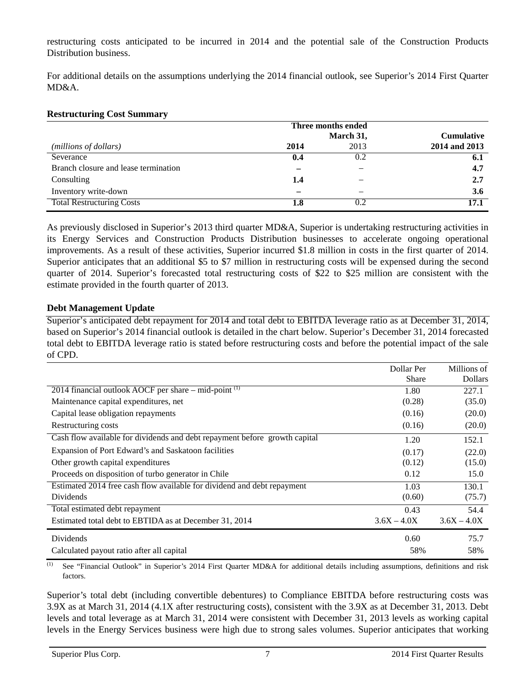restructuring costs anticipated to be incurred in 2014 and the potential sale of the Construction Products Distribution business.

For additional details on the assumptions underlying the 2014 financial outlook, see Superior's 2014 First Quarter MD&A.

#### **Restructuring Cost Summary**

|                                      |      | Three months ended |                   |
|--------------------------------------|------|--------------------|-------------------|
|                                      |      | March 31,          | <b>Cumulative</b> |
| (millions of dollars)                | 2014 | 2013               | 2014 and 2013     |
| Severance                            | 0.4  | 0.2                | 6.1               |
| Branch closure and lease termination |      |                    | 4.7               |
| Consulting                           | 1.4  |                    | 2.7               |
| Inventory write-down                 |      |                    | 3.6               |
| <b>Total Restructuring Costs</b>     | 1.8  | 0.2                | 17.1              |

As previously disclosed in Superior's 2013 third quarter MD&A, Superior is undertaking restructuring activities in its Energy Services and Construction Products Distribution businesses to accelerate ongoing operational improvements. As a result of these activities, Superior incurred \$1.8 million in costs in the first quarter of 2014. Superior anticipates that an additional \$5 to \$7 million in restructuring costs will be expensed during the second quarter of 2014. Superior's forecasted total restructuring costs of \$22 to \$25 million are consistent with the estimate provided in the fourth quarter of 2013.

#### **Debt Management Update**

Superior's anticipated debt repayment for 2014 and total debt to EBITDA leverage ratio as at December 31, 2014, based on Superior's 2014 financial outlook is detailed in the chart below. Superior's December 31, 2014 forecasted total debt to EBITDA leverage ratio is stated before restructuring costs and before the potential impact of the sale of CPD.

|                                                                            | Dollar Per    | Millions of    |
|----------------------------------------------------------------------------|---------------|----------------|
|                                                                            | Share         | <b>Dollars</b> |
| 2014 financial outlook AOCF per share – mid-point $(1)$                    | 1.80          | 227.1          |
| Maintenance capital expenditures, net                                      | (0.28)        | (35.0)         |
| Capital lease obligation repayments                                        | (0.16)        | (20.0)         |
| Restructuring costs                                                        | (0.16)        | (20.0)         |
| Cash flow available for dividends and debt repayment before growth capital | 1.20          | 152.1          |
| Expansion of Port Edward's and Saskatoon facilities                        | (0.17)        | (22.0)         |
| Other growth capital expenditures                                          | (0.12)        | (15.0)         |
| Proceeds on disposition of turbo generator in Chile                        | 0.12          | 15.0           |
| Estimated 2014 free cash flow available for dividend and debt repayment    | 1.03          | 130.1          |
| Dividends                                                                  | (0.60)        | (75.7)         |
| Total estimated debt repayment                                             | 0.43          | 54.4           |
| Estimated total debt to EBTIDA as at December 31, 2014                     | $3.6X - 4.0X$ | $3.6X - 4.0X$  |
| <b>Dividends</b>                                                           | 0.60          | 75.7           |
| Calculated payout ratio after all capital                                  | 58%           | 58%            |

(1) See "Financial Outlook" in Superior's 2014 First Quarter MD&A for additional details including assumptions, definitions and risk factors.

Superior's total debt (including convertible debentures) to Compliance EBITDA before restructuring costs was 3.9X as at March 31, 2014 (4.1X after restructuring costs), consistent with the 3.9X as at December 31, 2013. Debt levels and total leverage as at March 31, 2014 were consistent with December 31, 2013 levels as working capital levels in the Energy Services business were high due to strong sales volumes. Superior anticipates that working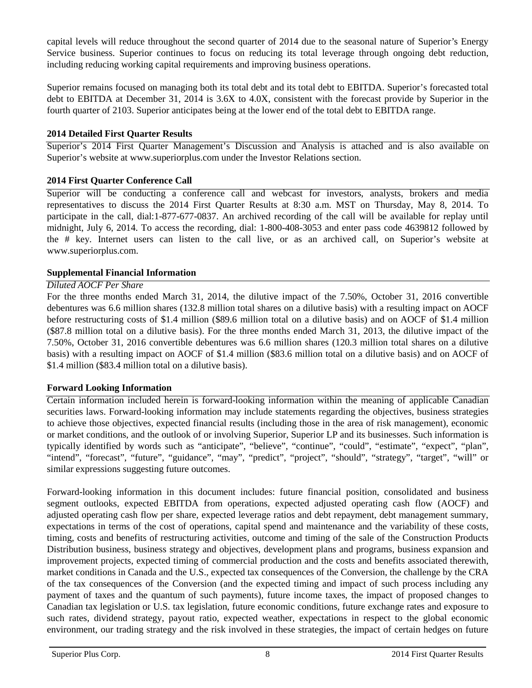capital levels will reduce throughout the second quarter of 2014 due to the seasonal nature of Superior's Energy Service business. Superior continues to focus on reducing its total leverage through ongoing debt reduction, including reducing working capital requirements and improving business operations.

Superior remains focused on managing both its total debt and its total debt to EBITDA. Superior's forecasted total debt to EBITDA at December 31, 2014 is 3.6X to 4.0X, consistent with the forecast provide by Superior in the fourth quarter of 2103. Superior anticipates being at the lower end of the total debt to EBITDA range.

### **2014 Detailed First Quarter Results**

Superior's 2014 First Quarter Management's Discussion and Analysis is attached and is also available on Superior's website at www.superiorplus.com under the Investor Relations section.

# **2014 First Quarter Conference Call**

Superior will be conducting a conference call and webcast for investors, analysts, brokers and media representatives to discuss the 2014 First Quarter Results at 8:30 a.m. MST on Thursday, May 8, 2014. To participate in the call, dial:1-877-677-0837. An archived recording of the call will be available for replay until midnight, July 6, 2014. To access the recording, dial: 1-800-408-3053 and enter pass code 4639812 followed by the # key. Internet users can listen to the call live, or as an archived call, on Superior's website at www.superiorplus.com.

# **Supplemental Financial Information**

#### *Diluted AOCF Per Share*

For the three months ended March 31, 2014, the dilutive impact of the 7.50%, October 31, 2016 convertible debentures was 6.6 million shares (132.8 million total shares on a dilutive basis) with a resulting impact on AOCF before restructuring costs of \$1.4 million (\$89.6 million total on a dilutive basis) and on AOCF of \$1.4 million (\$87.8 million total on a dilutive basis). For the three months ended March 31, 2013, the dilutive impact of the 7.50%, October 31, 2016 convertible debentures was 6.6 million shares (120.3 million total shares on a dilutive basis) with a resulting impact on AOCF of \$1.4 million (\$83.6 million total on a dilutive basis) and on AOCF of \$1.4 million (\$83.4 million total on a dilutive basis).

#### **Forward Looking Information**

Certain information included herein is forward-looking information within the meaning of applicable Canadian securities laws. Forward-looking information may include statements regarding the objectives, business strategies to achieve those objectives, expected financial results (including those in the area of risk management), economic or market conditions, and the outlook of or involving Superior, Superior LP and its businesses. Such information is typically identified by words such as "anticipate", "believe", "continue", "could", "estimate", "expect", "plan", "intend", "forecast", "future", "guidance", "may", "predict", "project", "should", "strategy", "target", "will" or similar expressions suggesting future outcomes.

Forward-looking information in this document includes: future financial position, consolidated and business segment outlooks, expected EBITDA from operations, expected adjusted operating cash flow (AOCF) and adjusted operating cash flow per share, expected leverage ratios and debt repayment, debt management summary, expectations in terms of the cost of operations, capital spend and maintenance and the variability of these costs, timing, costs and benefits of restructuring activities, outcome and timing of the sale of the Construction Products Distribution business, business strategy and objectives, development plans and programs, business expansion and improvement projects, expected timing of commercial production and the costs and benefits associated therewith, market conditions in Canada and the U.S., expected tax consequences of the Conversion, the challenge by the CRA of the tax consequences of the Conversion (and the expected timing and impact of such process including any payment of taxes and the quantum of such payments), future income taxes, the impact of proposed changes to Canadian tax legislation or U.S. tax legislation, future economic conditions, future exchange rates and exposure to such rates, dividend strategy, payout ratio, expected weather, expectations in respect to the global economic environment, our trading strategy and the risk involved in these strategies, the impact of certain hedges on future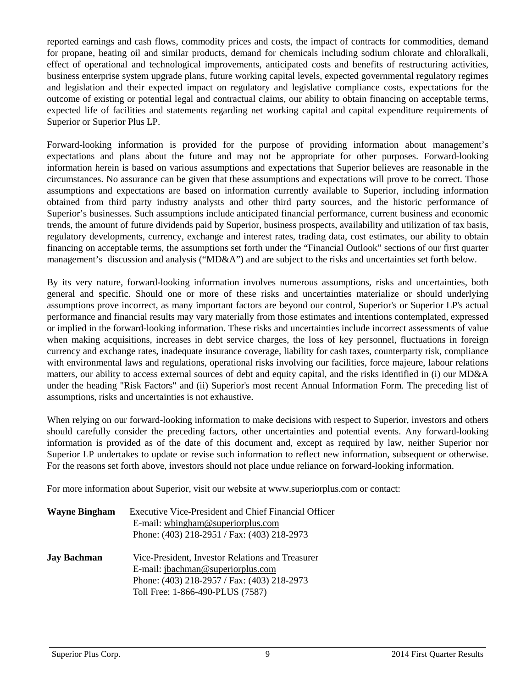reported earnings and cash flows, commodity prices and costs, the impact of contracts for commodities, demand for propane, heating oil and similar products, demand for chemicals including sodium chlorate and chloralkali, effect of operational and technological improvements, anticipated costs and benefits of restructuring activities, business enterprise system upgrade plans, future working capital levels, expected governmental regulatory regimes and legislation and their expected impact on regulatory and legislative compliance costs, expectations for the outcome of existing or potential legal and contractual claims, our ability to obtain financing on acceptable terms, expected life of facilities and statements regarding net working capital and capital expenditure requirements of Superior or Superior Plus LP.

Forward-looking information is provided for the purpose of providing information about management's expectations and plans about the future and may not be appropriate for other purposes. Forward-looking information herein is based on various assumptions and expectations that Superior believes are reasonable in the circumstances. No assurance can be given that these assumptions and expectations will prove to be correct. Those assumptions and expectations are based on information currently available to Superior, including information obtained from third party industry analysts and other third party sources, and the historic performance of Superior's businesses. Such assumptions include anticipated financial performance, current business and economic trends, the amount of future dividends paid by Superior, business prospects, availability and utilization of tax basis, regulatory developments, currency, exchange and interest rates, trading data, cost estimates, our ability to obtain financing on acceptable terms, the assumptions set forth under the "Financial Outlook" sections of our first quarter management's discussion and analysis ("MD&A") and are subject to the risks and uncertainties set forth below.

By its very nature, forward-looking information involves numerous assumptions, risks and uncertainties, both general and specific. Should one or more of these risks and uncertainties materialize or should underlying assumptions prove incorrect, as many important factors are beyond our control, Superior's or Superior LP's actual performance and financial results may vary materially from those estimates and intentions contemplated, expressed or implied in the forward-looking information. These risks and uncertainties include incorrect assessments of value when making acquisitions, increases in debt service charges, the loss of key personnel, fluctuations in foreign currency and exchange rates, inadequate insurance coverage, liability for cash taxes, counterparty risk, compliance with environmental laws and regulations, operational risks involving our facilities, force majeure, labour relations matters, our ability to access external sources of debt and equity capital, and the risks identified in (i) our MD&A under the heading "Risk Factors" and (ii) Superior's most recent Annual Information Form. The preceding list of assumptions, risks and uncertainties is not exhaustive.

When relying on our forward-looking information to make decisions with respect to Superior, investors and others should carefully consider the preceding factors, other uncertainties and potential events. Any forward-looking information is provided as of the date of this document and, except as required by law, neither Superior nor Superior LP undertakes to update or revise such information to reflect new information, subsequent or otherwise. For the reasons set forth above, investors should not place undue reliance on forward-looking information.

For more information about Superior, visit our website at www.superiorplus.com or contact:

| <b>Wayne Bingham</b> | <b>Executive Vice-President and Chief Financial Officer</b> |
|----------------------|-------------------------------------------------------------|
|                      | E-mail: whingham@superiorplus.com                           |
|                      | Phone: (403) 218-2951 / Fax: (403) 218-2973                 |
| <b>Jay Bachman</b>   | Vice-President, Investor Relations and Treasurer            |
|                      | E-mail: jbachman@superiorplus.com                           |
|                      | Phone: (403) 218-2957 / Fax: (403) 218-2973                 |
|                      | Toll Free: 1-866-490-PLUS (7587)                            |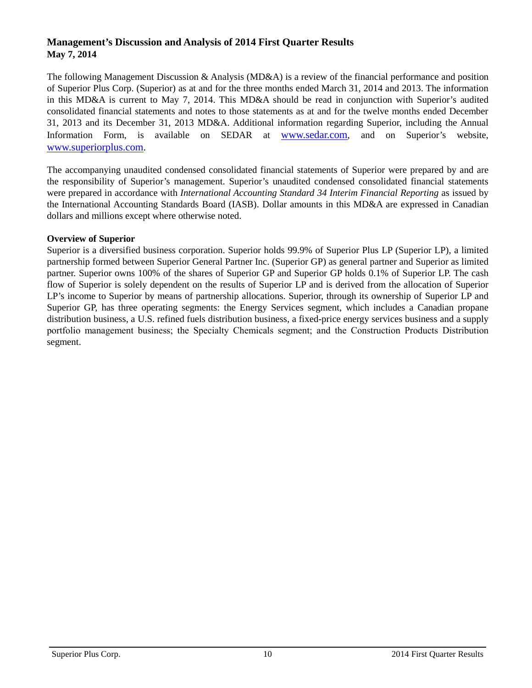# **Management's Discussion and Analysis of 2014 First Quarter Results May 7, 2014**

The following Management Discussion & Analysis (MD&A) is a review of the financial performance and position of Superior Plus Corp. (Superior) as at and for the three months ended March 31, 2014 and 2013. The information in this MD&A is current to May 7, 2014. This MD&A should be read in conjunction with Superior's audited consolidated financial statements and notes to those statements as at and for the twelve months ended December 31, 2013 and its December 31, 2013 MD&A. Additional information regarding Superior, including the Annual Information Form, is available on SEDAR at www.sedar.com, and on Superior's website, www.superiorplus.com.

The accompanying unaudited condensed consolidated financial statements of Superior were prepared by and are the responsibility of Superior's management. Superior's unaudited condensed consolidated financial statements were prepared in accordance with *International Accounting Standard 34 Interim Financial Reporting* as issued by the International Accounting Standards Board (IASB). Dollar amounts in this MD&A are expressed in Canadian dollars and millions except where otherwise noted.

#### **Overview of Superior**

Superior is a diversified business corporation. Superior holds 99.9% of Superior Plus LP (Superior LP), a limited partnership formed between Superior General Partner Inc. (Superior GP) as general partner and Superior as limited partner. Superior owns 100% of the shares of Superior GP and Superior GP holds 0.1% of Superior LP. The cash flow of Superior is solely dependent on the results of Superior LP and is derived from the allocation of Superior LP's income to Superior by means of partnership allocations. Superior, through its ownership of Superior LP and Superior GP, has three operating segments: the Energy Services segment, which includes a Canadian propane distribution business, a U.S. refined fuels distribution business, a fixed-price energy services business and a supply portfolio management business; the Specialty Chemicals segment; and the Construction Products Distribution segment.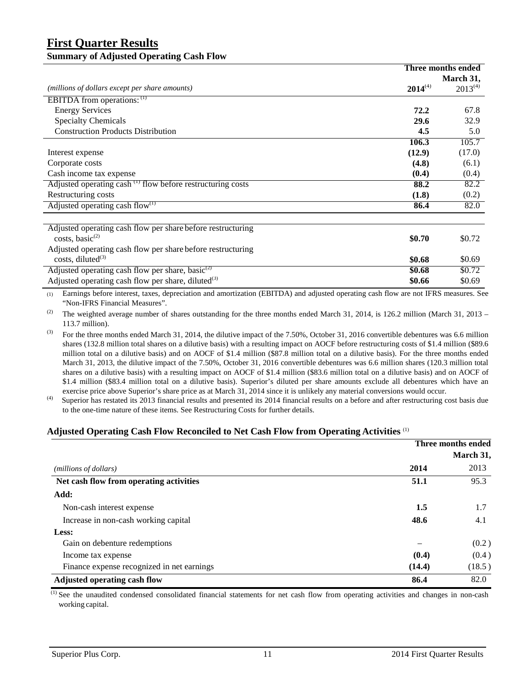# **First Quarter Results Summary of Adjusted Operating Cash Flow**

|                                                                        |              | Three months ended |
|------------------------------------------------------------------------|--------------|--------------------|
|                                                                        |              | March 31,          |
| (millions of dollars except per share amounts)                         | $2014^{(4)}$ | $2013^{(4)}$       |
| EBITDA from operations: $(1)$                                          |              |                    |
| <b>Energy Services</b>                                                 | 72.2         | 67.8               |
| <b>Specialty Chemicals</b>                                             | 29.6         | 32.9               |
| <b>Construction Products Distribution</b>                              | 4.5          | 5.0                |
|                                                                        | 106.3        | 105.7              |
| Interest expense                                                       | (12.9)       | (17.0)             |
| Corporate costs                                                        | (4.8)        | (6.1)              |
| Cash income tax expense                                                | (0.4)        | (0.4)              |
| Adjusted operating cash <sup>(1)</sup> flow before restructuring costs | 88.2         | 82.2               |
| Restructuring costs                                                    | (1.8)        | (0.2)              |
| Adjusted operating cash flow <sup>(1)</sup>                            | 86.4         | 82.0               |
| Adjusted operating cash flow per share before restructuring            |              |                    |
| costs, basic $^{(2)}$                                                  | \$0.70       | \$0.72             |
| Adjusted operating cash flow per share before restructuring            |              |                    |
| costs, diluted <sup>(3)</sup>                                          | \$0.68       | \$0.69             |
| Adjusted operating cash flow per share, basic $(2)$                    | \$0.68       | \$0.72             |
| Adjusted operating cash flow per share, diluted $(3)$                  | \$0.66       | \$0.69             |

(1) Earnings before interest, taxes, depreciation and amortization (EBITDA) and adjusted operating cash flow are not IFRS measures. See "Non-IFRS Financial Measures".

<sup>(2)</sup> The weighted average number of shares outstanding for the three months ended March 31, 2014, is 126.2 million (March 31, 2013 – 113.7 million).

(3) For the three months ended March 31, 2014, the dilutive impact of the 7.50%, October 31, 2016 convertible debentures was 6.6 million shares (132.8 million total shares on a dilutive basis) with a resulting impact on AOCF before restructuring costs of \$1.4 million (\$89.6 million total on a dilutive basis) and on AOCF of \$1.4 million (\$87.8 million total on a dilutive basis). For the three months ended March 31, 2013, the dilutive impact of the 7.50%, October 31, 2016 convertible debentures was 6.6 million shares (120.3 million total shares on a dilutive basis) with a resulting impact on AOCF of \$1.4 million (\$83.6 million total on a dilutive basis) and on AOCF of \$1.4 million (\$83.4 million total on a dilutive basis). Superior's diluted per share amounts exclude all debentures which have an exercise price above Superior's share price as at March 31, 2014 since it is unlikely any material conversions would occur.

<sup>(4)</sup> Superior has restated its 2013 financial results and presented its 2014 financial results on a before and after restructuring cost basis due to the one-time nature of these items. See Restructuring Costs for further details.

#### **Adjusted Operating Cash Flow Reconciled to Net Cash Flow from Operating Activities** (1)

|                                            | Three months ended |           |
|--------------------------------------------|--------------------|-----------|
|                                            |                    | March 31, |
| (millions of dollars)                      | 2014               | 2013      |
| Net cash flow from operating activities    | 51.1               | 95.3      |
| Add:                                       |                    |           |
| Non-cash interest expense                  | 1.5                | 1.7       |
| Increase in non-cash working capital       | 48.6               | 4.1       |
| Less:                                      |                    |           |
| Gain on debenture redemptions              |                    | (0.2)     |
| Income tax expense                         | (0.4)              | (0.4)     |
| Finance expense recognized in net earnings | (14.4)             | (18.5)    |
| <b>Adjusted operating cash flow</b>        | 86.4               | 82.0      |

 $\overline{^{(1)}}$  See the unaudited condensed consolidated financial statements for net cash flow from operating activities and changes in non-cash working capital.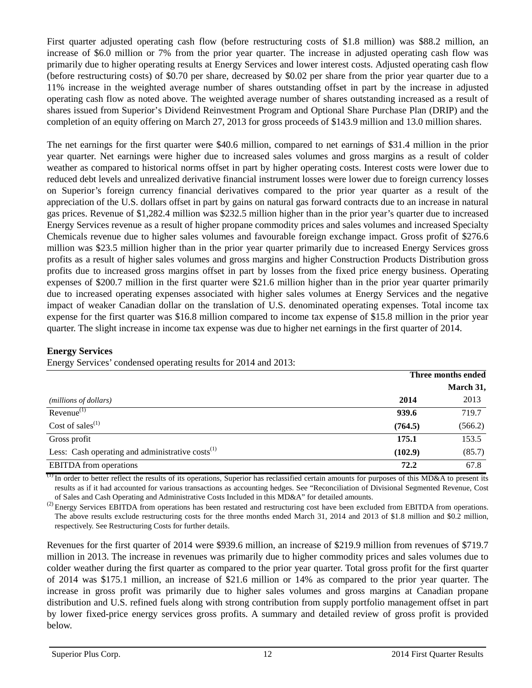First quarter adjusted operating cash flow (before restructuring costs of \$1.8 million) was \$88.2 million, an increase of \$6.0 million or 7% from the prior year quarter. The increase in adjusted operating cash flow was primarily due to higher operating results at Energy Services and lower interest costs. Adjusted operating cash flow (before restructuring costs) of \$0.70 per share, decreased by \$0.02 per share from the prior year quarter due to a 11% increase in the weighted average number of shares outstanding offset in part by the increase in adjusted operating cash flow as noted above. The weighted average number of shares outstanding increased as a result of shares issued from Superior's Dividend Reinvestment Program and Optional Share Purchase Plan (DRIP) and the completion of an equity offering on March 27, 2013 for gross proceeds of \$143.9 million and 13.0 million shares.

The net earnings for the first quarter were \$40.6 million, compared to net earnings of \$31.4 million in the prior year quarter. Net earnings were higher due to increased sales volumes and gross margins as a result of colder weather as compared to historical norms offset in part by higher operating costs. Interest costs were lower due to reduced debt levels and unrealized derivative financial instrument losses were lower due to foreign currency losses on Superior's foreign currency financial derivatives compared to the prior year quarter as a result of the appreciation of the U.S. dollars offset in part by gains on natural gas forward contracts due to an increase in natural gas prices. Revenue of \$1,282.4 million was \$232.5 million higher than in the prior year's quarter due to increased Energy Services revenue as a result of higher propane commodity prices and sales volumes and increased Specialty Chemicals revenue due to higher sales volumes and favourable foreign exchange impact. Gross profit of \$276.6 million was \$23.5 million higher than in the prior year quarter primarily due to increased Energy Services gross profits as a result of higher sales volumes and gross margins and higher Construction Products Distribution gross profits due to increased gross margins offset in part by losses from the fixed price energy business. Operating expenses of \$200.7 million in the first quarter were \$21.6 million higher than in the prior year quarter primarily due to increased operating expenses associated with higher sales volumes at Energy Services and the negative impact of weaker Canadian dollar on the translation of U.S. denominated operating expenses. Total income tax expense for the first quarter was \$16.8 million compared to income tax expense of \$15.8 million in the prior year quarter. The slight increase in income tax expense was due to higher net earnings in the first quarter of 2014.

#### **Energy Services**

Energy Services' condensed operating results for 2014 and 2013:

|                                                       |         | Three months ended |
|-------------------------------------------------------|---------|--------------------|
|                                                       |         | March 31,          |
| (millions of dollars)                                 | 2014    | 2013               |
| $Revenue^{(1)}$                                       | 939.6   | 719.7              |
| Cost of sales $^{(1)}$                                | (764.5) | (566.2)            |
| Gross profit                                          | 175.1   | 153.5              |
| Less: Cash operating and administrative $costs^{(1)}$ | (102.9) | (85.7)             |
| <b>EBITDA</b> from operations                         | 72.2    | 67.8               |

 $<sup>(1)</sup>$  In order to better reflect the results of its operations, Superior has reclassified certain amounts for purposes of this MD&A to present its</sup> results as if it had accounted for various transactions as accounting hedges. See "Reconciliation of Divisional Segmented Revenue, Cost of Sales and Cash Operating and Administrative Costs Included in this MD&A" for detailed amounts.

<sup>(2)</sup> Energy Services EBITDA from operations has been restated and restructuring cost have been excluded from EBITDA from operations. The above results exclude restructuring costs for the three months ended March 31, 2014 and 2013 of \$1.8 million and \$0.2 million, respectively. See Restructuring Costs for further details.

Revenues for the first quarter of 2014 were \$939.6 million, an increase of \$219.9 million from revenues of \$719.7 million in 2013. The increase in revenues was primarily due to higher commodity prices and sales volumes due to colder weather during the first quarter as compared to the prior year quarter. Total gross profit for the first quarter of 2014 was \$175.1 million, an increase of \$21.6 million or 14% as compared to the prior year quarter. The increase in gross profit was primarily due to higher sales volumes and gross margins at Canadian propane distribution and U.S. refined fuels along with strong contribution from supply portfolio management offset in part by lower fixed-price energy services gross profits. A summary and detailed review of gross profit is provided below.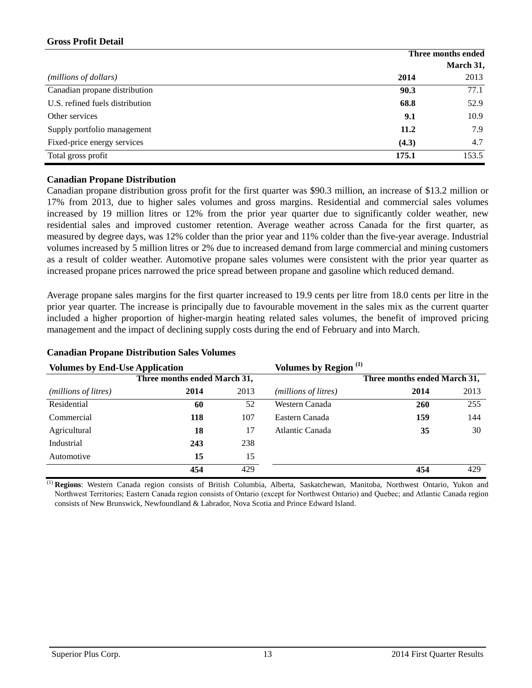#### **Gross Profit Detail**

|                                 |       | Three months ended |
|---------------------------------|-------|--------------------|
|                                 |       | March 31,          |
| (millions of dollars)           | 2014  | 2013               |
| Canadian propane distribution   | 90.3  | 77.1               |
| U.S. refined fuels distribution | 68.8  | 52.9               |
| Other services                  | 9.1   | 10.9               |
| Supply portfolio management     | 11.2  | 7.9                |
| Fixed-price energy services     | (4.3) | 4.7                |
| Total gross profit              | 175.1 | 153.5              |

#### **Canadian Propane Distribution**

Canadian propane distribution gross profit for the first quarter was \$90.3 million, an increase of \$13.2 million or 17% from 2013, due to higher sales volumes and gross margins. Residential and commercial sales volumes increased by 19 million litres or 12% from the prior year quarter due to significantly colder weather, new residential sales and improved customer retention. Average weather across Canada for the first quarter, as measured by degree days, was 12% colder than the prior year and 11% colder than the five-year average. Industrial volumes increased by 5 million litres or 2% due to increased demand from large commercial and mining customers as a result of colder weather. Automotive propane sales volumes were consistent with the prior year quarter as increased propane prices narrowed the price spread between propane and gasoline which reduced demand.

Average propane sales margins for the first quarter increased to 19.9 cents per litre from 18.0 cents per litre in the prior year quarter. The increase is principally due to favourable movement in the sales mix as the current quarter included a higher proportion of higher-margin heating related sales volumes, the benefit of improved pricing management and the impact of declining supply costs during the end of February and into March.

| <b>Volumes by End-Use Application</b> |                              |      | Volumes by Region <sup>(1)</sup> |                              |      |
|---------------------------------------|------------------------------|------|----------------------------------|------------------------------|------|
|                                       | Three months ended March 31, |      |                                  | Three months ended March 31, |      |
| ( <i>millions of litres</i> )         | 2014                         | 2013 | ( <i>millions of litres</i> )    | 2014                         | 2013 |
| Residential                           | 60                           | 52   | Western Canada                   | 260                          | 255  |
| Commercial                            | 118                          | 107  | Eastern Canada                   | 159                          | 144  |
| Agricultural                          | 18                           | 17   | Atlantic Canada                  | 35                           | 30   |
| Industrial                            | 243                          | 238  |                                  |                              |      |
| Automotive                            | 15                           | 15   |                                  |                              |      |
|                                       | 454                          | 429  |                                  | 454                          | 429  |

#### **Canadian Propane Distribution Sales Volumes**

(1) **Regions**: Western Canada region consists of British Columbia, Alberta, Saskatchewan, Manitoba, Northwest Ontario, Yukon and Northwest Territories; Eastern Canada region consists of Ontario (except for Northwest Ontario) and Quebec; and Atlantic Canada region consists of New Brunswick, Newfoundland & Labrador, Nova Scotia and Prince Edward Island.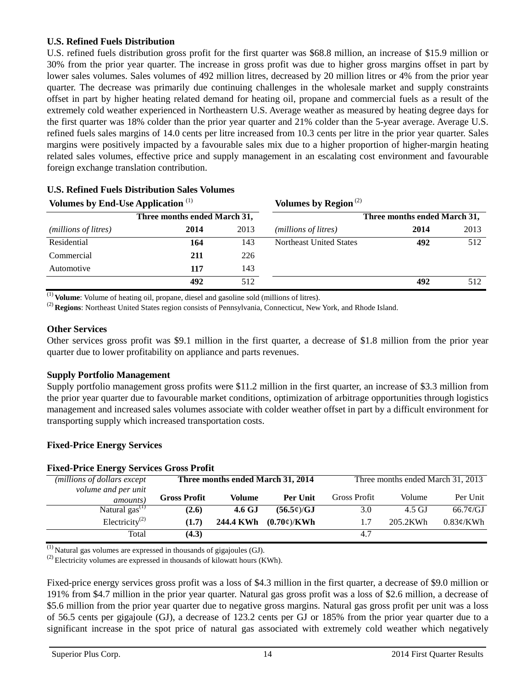### **U.S. Refined Fuels Distribution**

U.S. refined fuels distribution gross profit for the first quarter was \$68.8 million, an increase of \$15.9 million or 30% from the prior year quarter. The increase in gross profit was due to higher gross margins offset in part by lower sales volumes. Sales volumes of 492 million litres, decreased by 20 million litres or 4% from the prior year quarter. The decrease was primarily due continuing challenges in the wholesale market and supply constraints offset in part by higher heating related demand for heating oil, propane and commercial fuels as a result of the extremely cold weather experienced in Northeastern U.S. Average weather as measured by heating degree days for the first quarter was 18% colder than the prior year quarter and 21% colder than the 5-year average. Average U.S. refined fuels sales margins of 14.0 cents per litre increased from 10.3 cents per litre in the prior year quarter. Sales margins were positively impacted by a favourable sales mix due to a higher proportion of higher-margin heating related sales volumes, effective price and supply management in an escalating cost environment and favourable foreign exchange translation contribution.

| Volumes by End-Use Application |                              | Volumes by Region |                                |                              |      |
|--------------------------------|------------------------------|-------------------|--------------------------------|------------------------------|------|
|                                | Three months ended March 31, |                   |                                | Three months ended March 31, |      |
| ( <i>millions of litres</i> )  | 2014                         | 2013              | ( <i>millions of litres</i> )  | 2014                         | 2013 |
| Residential                    | 164                          | 143               | <b>Northeast United States</b> | 492                          | 512  |
| Commercial                     | 211                          | 226               |                                |                              |      |
| Automotive                     | 117                          | 143               |                                |                              |      |
|                                | 492                          | 512               |                                | 492                          | 512  |

#### **U.S. Refined Fuels Distribution Sales Volumes Volumes by End-Use Application** (1) **Volumes by Region** (2)

(1) **Volume**: Volume of heating oil, propane, diesel and gasoline sold (millions of litres).

(2) **Regions**: Northeast United States region consists of Pennsylvania, Connecticut, New York, and Rhode Island.

#### **Other Services**

Other services gross profit was \$9.1 million in the first quarter, a decrease of \$1.8 million from the prior year quarter due to lower profitability on appliance and parts revenues.

#### **Supply Portfolio Management**

Supply portfolio management gross profits were \$11.2 million in the first quarter, an increase of \$3.3 million from the prior year quarter due to favourable market conditions, optimization of arbitrage opportunities through logistics management and increased sales volumes associate with colder weather offset in part by a difficult environment for transporting supply which increased transportation costs.

#### **Fixed-Price Energy Services**

| <b>FIXEU-I LICE EIRELEY SEI VICES CLUSS L'IUIIU</b> |                     |           |                                   |                     |                                   |                                  |  |  |  |
|-----------------------------------------------------|---------------------|-----------|-----------------------------------|---------------------|-----------------------------------|----------------------------------|--|--|--|
| (millions of dollars except)                        |                     |           | Three months ended March 31, 2014 |                     | Three months ended March 31, 2013 |                                  |  |  |  |
| volume and per unit<br><i>amounts</i> )             | <b>Gross Profit</b> | Volume    | <b>Per Unit</b>                   | <b>Gross Profit</b> | Volume                            | Per Unit                         |  |  |  |
| Natural $gas(1)$                                    | (2.6)               | 4.6 GJ    | (56.5c)/GJ                        | 3.0                 | 4.5 GJ                            | $66.7 \frac{\text{C}}{\text{G}}$ |  |  |  |
| Electricity <sup>(2)</sup>                          | (1.7)               | 244.4 KWh | $(0.70\phi)/KWh$                  | 1.7                 | 205.2KWh                          | $0.83 \phi$ /KWh                 |  |  |  |
| Total                                               | (4.3)               |           |                                   | 4.7                 |                                   |                                  |  |  |  |

# **Fixed-Price Energy Services Gross Profit**

 $^{(1)}$  Natural gas volumes are expressed in thousands of gigajoules (GJ).

 $^{(2)}$  Electricity volumes are expressed in thousands of kilowatt hours (KWh).

Fixed-price energy services gross profit was a loss of \$4.3 million in the first quarter, a decrease of \$9.0 million or 191% from \$4.7 million in the prior year quarter. Natural gas gross profit was a loss of \$2.6 million, a decrease of \$5.6 million from the prior year quarter due to negative gross margins. Natural gas gross profit per unit was a loss of 56.5 cents per gigajoule (GJ), a decrease of 123.2 cents per GJ or 185% from the prior year quarter due to a significant increase in the spot price of natural gas associated with extremely cold weather which negatively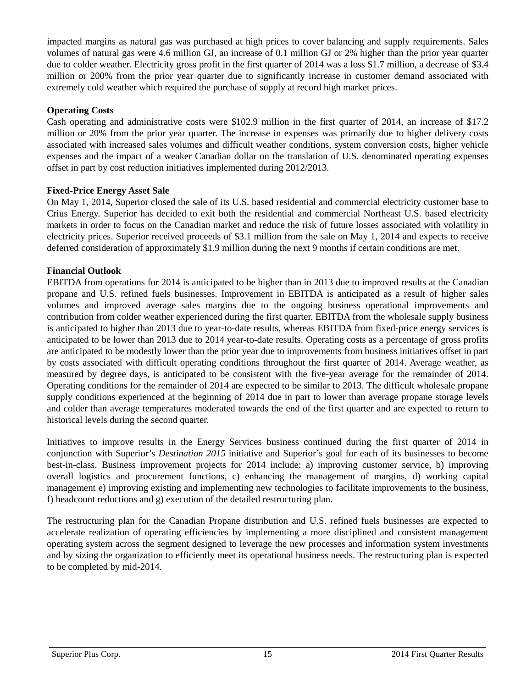impacted margins as natural gas was purchased at high prices to cover balancing and supply requirements. Sales volumes of natural gas were 4.6 million GJ, an increase of 0.1 million GJ or 2% higher than the prior year quarter due to colder weather. Electricity gross profit in the first quarter of 2014 was a loss \$1.7 million, a decrease of \$3.4 million or 200% from the prior year quarter due to significantly increase in customer demand associated with extremely cold weather which required the purchase of supply at record high market prices.

#### **Operating Costs**

Cash operating and administrative costs were \$102.9 million in the first quarter of 2014, an increase of \$17.2 million or 20% from the prior year quarter. The increase in expenses was primarily due to higher delivery costs associated with increased sales volumes and difficult weather conditions, system conversion costs, higher vehicle expenses and the impact of a weaker Canadian dollar on the translation of U.S. denominated operating expenses offset in part by cost reduction initiatives implemented during 2012/2013.

# **Fixed-Price Energy Asset Sale**

On May 1, 2014, Superior closed the sale of its U.S. based residential and commercial electricity customer base to Crius Energy. Superior has decided to exit both the residential and commercial Northeast U.S. based electricity markets in order to focus on the Canadian market and reduce the risk of future losses associated with volatility in electricity prices. Superior received proceeds of \$3.1 million from the sale on May 1, 2014 and expects to receive deferred consideration of approximately \$1.9 million during the next 9 months if certain conditions are met.

# **Financial Outlook**

EBITDA from operations for 2014 is anticipated to be higher than in 2013 due to improved results at the Canadian propane and U.S. refined fuels businesses. Improvement in EBITDA is anticipated as a result of higher sales volumes and improved average sales margins due to the ongoing business operational improvements and contribution from colder weather experienced during the first quarter. EBITDA from the wholesale supply business is anticipated to higher than 2013 due to year-to-date results, whereas EBITDA from fixed-price energy services is anticipated to be lower than 2013 due to 2014 year-to-date results. Operating costs as a percentage of gross profits are anticipated to be modestly lower than the prior year due to improvements from business initiatives offset in part by costs associated with difficult operating conditions throughout the first quarter of 2014. Average weather, as measured by degree days, is anticipated to be consistent with the five-year average for the remainder of 2014. Operating conditions for the remainder of 2014 are expected to be similar to 2013. The difficult wholesale propane supply conditions experienced at the beginning of 2014 due in part to lower than average propane storage levels and colder than average temperatures moderated towards the end of the first quarter and are expected to return to historical levels during the second quarter.

Initiatives to improve results in the Energy Services business continued during the first quarter of 2014 in conjunction with Superior's *Destination 2015* initiative and Superior's goal for each of its businesses to become best-in-class. Business improvement projects for 2014 include: a) improving customer service, b) improving overall logistics and procurement functions, c) enhancing the management of margins, d) working capital management e) improving existing and implementing new technologies to facilitate improvements to the business, f) headcount reductions and g) execution of the detailed restructuring plan.

The restructuring plan for the Canadian Propane distribution and U.S. refined fuels businesses are expected to accelerate realization of operating efficiencies by implementing a more disciplined and consistent management operating system across the segment designed to leverage the new processes and information system investments and by sizing the organization to efficiently meet its operational business needs. The restructuring plan is expected to be completed by mid-2014.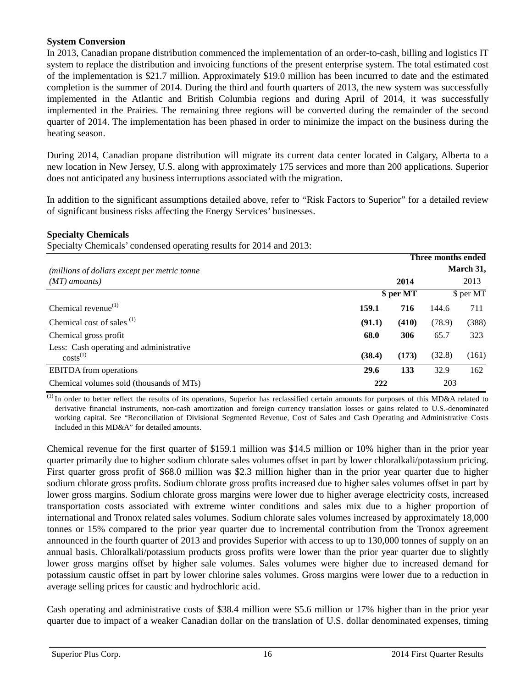# **System Conversion**

In 2013, Canadian propane distribution commenced the implementation of an order-to-cash, billing and logistics IT system to replace the distribution and invoicing functions of the present enterprise system. The total estimated cost of the implementation is \$21.7 million. Approximately \$19.0 million has been incurred to date and the estimated completion is the summer of 2014. During the third and fourth quarters of 2013, the new system was successfully implemented in the Atlantic and British Columbia regions and during April of 2014, it was successfully implemented in the Prairies. The remaining three regions will be converted during the remainder of the second quarter of 2014. The implementation has been phased in order to minimize the impact on the business during the heating season.

During 2014, Canadian propane distribution will migrate its current data center located in Calgary, Alberta to a new location in New Jersey, U.S. along with approximately 175 services and more than 200 applications. Superior does not anticipated any business interruptions associated with the migration.

In addition to the significant assumptions detailed above, refer to "Risk Factors to Superior" for a detailed review of significant business risks affecting the Energy Services' businesses.

#### **Specialty Chemicals**

Specialty Chemicals' condensed operating results for 2014 and 2013:

|                                                          |           |       | Three months ended |           |  |
|----------------------------------------------------------|-----------|-------|--------------------|-----------|--|
| (millions of dollars except per metric tonne             |           |       |                    | March 31, |  |
| $(MT)$ amounts)                                          |           | 2014  |                    | 2013      |  |
|                                                          | \$ per MT |       | \$ per MT          |           |  |
| Chemical revenue $^{(1)}$                                | 159.1     | 716   | 144.6              | 711       |  |
| Chemical cost of sales <sup>(1)</sup>                    | (91.1)    | (410) | (78.9)             | (388)     |  |
| Chemical gross profit                                    | 68.0      | 306   | 65.7               | 323       |  |
| Less: Cash operating and administrative<br>$costs^{(1)}$ | (38.4)    | (173) | (32.8)             | (161)     |  |
| <b>EBITDA</b> from operations                            | 29.6      | 133   | 32.9               | 162       |  |
| Chemical volumes sold (thousands of MTs)                 | 222       |       | 203                |           |  |

 $\overline{^{(1)}}$  In order to better reflect the results of its operations, Superior has reclassified certain amounts for purposes of this MD&A related to derivative financial instruments, non-cash amortization and foreign currency translation losses or gains related to U.S.-denominated working capital. See "Reconciliation of Divisional Segmented Revenue, Cost of Sales and Cash Operating and Administrative Costs Included in this MD&A" for detailed amounts.

Chemical revenue for the first quarter of \$159.1 million was \$14.5 million or 10% higher than in the prior year quarter primarily due to higher sodium chlorate sales volumes offset in part by lower chloralkali/potassium pricing. First quarter gross profit of \$68.0 million was \$2.3 million higher than in the prior year quarter due to higher sodium chlorate gross profits. Sodium chlorate gross profits increased due to higher sales volumes offset in part by lower gross margins. Sodium chlorate gross margins were lower due to higher average electricity costs, increased transportation costs associated with extreme winter conditions and sales mix due to a higher proportion of international and Tronox related sales volumes. Sodium chlorate sales volumes increased by approximately 18,000 tonnes or 15% compared to the prior year quarter due to incremental contribution from the Tronox agreement announced in the fourth quarter of 2013 and provides Superior with access to up to 130,000 tonnes of supply on an annual basis. Chloralkali/potassium products gross profits were lower than the prior year quarter due to slightly lower gross margins offset by higher sale volumes. Sales volumes were higher due to increased demand for potassium caustic offset in part by lower chlorine sales volumes. Gross margins were lower due to a reduction in average selling prices for caustic and hydrochloric acid.

Cash operating and administrative costs of \$38.4 million were \$5.6 million or 17% higher than in the prior year quarter due to impact of a weaker Canadian dollar on the translation of U.S. dollar denominated expenses, timing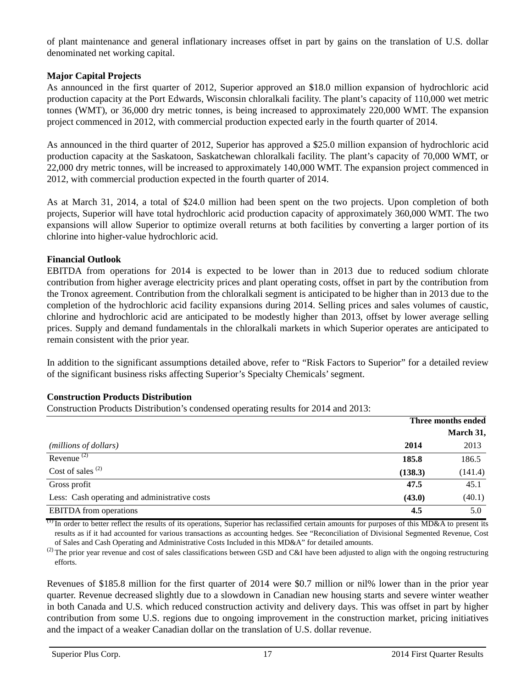of plant maintenance and general inflationary increases offset in part by gains on the translation of U.S. dollar denominated net working capital.

### **Major Capital Projects**

As announced in the first quarter of 2012, Superior approved an \$18.0 million expansion of hydrochloric acid production capacity at the Port Edwards, Wisconsin chloralkali facility. The plant's capacity of 110,000 wet metric tonnes (WMT), or 36,000 dry metric tonnes, is being increased to approximately 220,000 WMT. The expansion project commenced in 2012, with commercial production expected early in the fourth quarter of 2014.

As announced in the third quarter of 2012, Superior has approved a \$25.0 million expansion of hydrochloric acid production capacity at the Saskatoon, Saskatchewan chloralkali facility. The plant's capacity of 70,000 WMT, or 22,000 dry metric tonnes, will be increased to approximately 140,000 WMT. The expansion project commenced in 2012, with commercial production expected in the fourth quarter of 2014.

As at March 31, 2014, a total of \$24.0 million had been spent on the two projects. Upon completion of both projects, Superior will have total hydrochloric acid production capacity of approximately 360,000 WMT. The two expansions will allow Superior to optimize overall returns at both facilities by converting a larger portion of its chlorine into higher-value hydrochloric acid.

#### **Financial Outlook**

EBITDA from operations for 2014 is expected to be lower than in 2013 due to reduced sodium chlorate contribution from higher average electricity prices and plant operating costs, offset in part by the contribution from the Tronox agreement. Contribution from the chloralkali segment is anticipated to be higher than in 2013 due to the completion of the hydrochloric acid facility expansions during 2014. Selling prices and sales volumes of caustic, chlorine and hydrochloric acid are anticipated to be modestly higher than 2013, offset by lower average selling prices. Supply and demand fundamentals in the chloralkali markets in which Superior operates are anticipated to remain consistent with the prior year.

In addition to the significant assumptions detailed above, refer to "Risk Factors to Superior" for a detailed review of the significant business risks affecting Superior's Specialty Chemicals' segment.

#### **Construction Products Distribution**

Construction Products Distribution's condensed operating results for 2014 and 2013:

|                                               |         | Three months ended |
|-----------------------------------------------|---------|--------------------|
|                                               |         | March 31,          |
| (millions of dollars)                         | 2014    | 2013               |
| Revenue $(2)$                                 | 185.8   | 186.5              |
| Cost of sales $(2)$                           | (138.3) | (141.4)            |
| Gross profit                                  | 47.5    | 45.1               |
| Less: Cash operating and administrative costs | (43.0)  | (40.1)             |
| <b>EBITDA</b> from operations                 | 4.5     | 5.0                |

 $<sup>(1)</sup>$  In order to better reflect the results of its operations, Superior has reclassified certain amounts for purposes of this MD&A to present its</sup> results as if it had accounted for various transactions as accounting hedges. See "Reconciliation of Divisional Segmented Revenue, Cost of Sales and Cash Operating and Administrative Costs Included in this MD&A" for detailed amounts.

<sup>(2)</sup> The prior year revenue and cost of sales classifications between GSD and C&I have been adjusted to align with the ongoing restructuring efforts.

Revenues of \$185.8 million for the first quarter of 2014 were \$0.7 million or nil% lower than in the prior year quarter. Revenue decreased slightly due to a slowdown in Canadian new housing starts and severe winter weather in both Canada and U.S. which reduced construction activity and delivery days. This was offset in part by higher contribution from some U.S. regions due to ongoing improvement in the construction market, pricing initiatives and the impact of a weaker Canadian dollar on the translation of U.S. dollar revenue.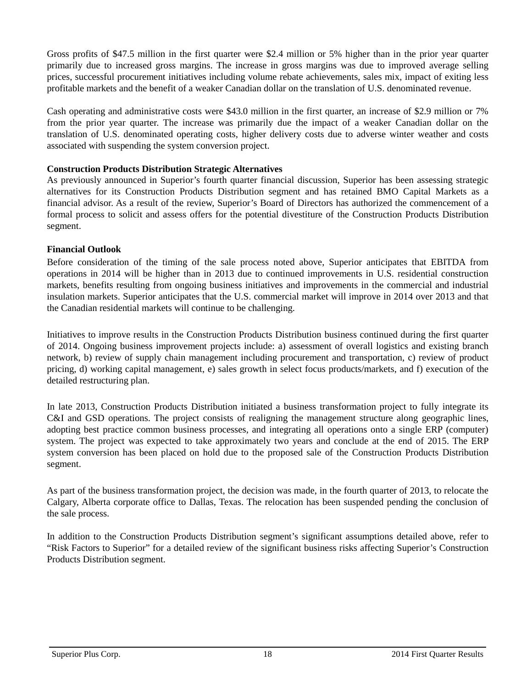Gross profits of \$47.5 million in the first quarter were \$2.4 million or 5% higher than in the prior year quarter primarily due to increased gross margins. The increase in gross margins was due to improved average selling prices, successful procurement initiatives including volume rebate achievements, sales mix, impact of exiting less profitable markets and the benefit of a weaker Canadian dollar on the translation of U.S. denominated revenue.

Cash operating and administrative costs were \$43.0 million in the first quarter, an increase of \$2.9 million or 7% from the prior year quarter. The increase was primarily due the impact of a weaker Canadian dollar on the translation of U.S. denominated operating costs, higher delivery costs due to adverse winter weather and costs associated with suspending the system conversion project.

#### **Construction Products Distribution Strategic Alternatives**

As previously announced in Superior's fourth quarter financial discussion, Superior has been assessing strategic alternatives for its Construction Products Distribution segment and has retained BMO Capital Markets as a financial advisor. As a result of the review, Superior's Board of Directors has authorized the commencement of a formal process to solicit and assess offers for the potential divestiture of the Construction Products Distribution segment.

#### **Financial Outlook**

Before consideration of the timing of the sale process noted above, Superior anticipates that EBITDA from operations in 2014 will be higher than in 2013 due to continued improvements in U.S. residential construction markets, benefits resulting from ongoing business initiatives and improvements in the commercial and industrial insulation markets. Superior anticipates that the U.S. commercial market will improve in 2014 over 2013 and that the Canadian residential markets will continue to be challenging.

Initiatives to improve results in the Construction Products Distribution business continued during the first quarter of 2014. Ongoing business improvement projects include: a) assessment of overall logistics and existing branch network, b) review of supply chain management including procurement and transportation, c) review of product pricing, d) working capital management, e) sales growth in select focus products/markets, and f) execution of the detailed restructuring plan.

In late 2013, Construction Products Distribution initiated a business transformation project to fully integrate its C&I and GSD operations. The project consists of realigning the management structure along geographic lines, adopting best practice common business processes, and integrating all operations onto a single ERP (computer) system. The project was expected to take approximately two years and conclude at the end of 2015. The ERP system conversion has been placed on hold due to the proposed sale of the Construction Products Distribution segment.

As part of the business transformation project, the decision was made, in the fourth quarter of 2013, to relocate the Calgary, Alberta corporate office to Dallas, Texas. The relocation has been suspended pending the conclusion of the sale process.

In addition to the Construction Products Distribution segment's significant assumptions detailed above, refer to "Risk Factors to Superior" for a detailed review of the significant business risks affecting Superior's Construction Products Distribution segment.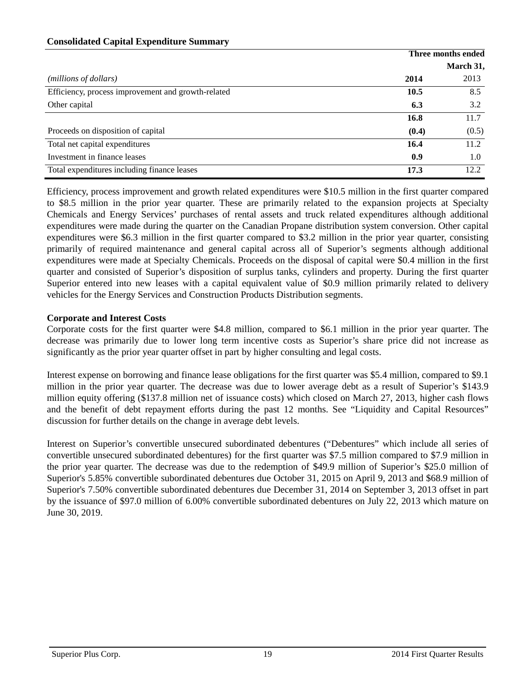#### **Consolidated Capital Expenditure Summary**

|                                                    |       | Three months ended |
|----------------------------------------------------|-------|--------------------|
|                                                    |       | March 31,          |
| (millions of dollars)                              | 2014  | 2013               |
| Efficiency, process improvement and growth-related | 10.5  | 8.5                |
| Other capital                                      | 6.3   | 3.2                |
|                                                    | 16.8  | 11.7               |
| Proceeds on disposition of capital                 | (0.4) | (0.5)              |
| Total net capital expenditures                     | 16.4  | 11.2               |
| Investment in finance leases                       | 0.9   | 1.0                |
| Total expenditures including finance leases        | 17.3  | 12.2.              |

Efficiency, process improvement and growth related expenditures were \$10.5 million in the first quarter compared to \$8.5 million in the prior year quarter. These are primarily related to the expansion projects at Specialty Chemicals and Energy Services' purchases of rental assets and truck related expenditures although additional expenditures were made during the quarter on the Canadian Propane distribution system conversion. Other capital expenditures were \$6.3 million in the first quarter compared to \$3.2 million in the prior year quarter, consisting primarily of required maintenance and general capital across all of Superior's segments although additional expenditures were made at Specialty Chemicals. Proceeds on the disposal of capital were \$0.4 million in the first quarter and consisted of Superior's disposition of surplus tanks, cylinders and property. During the first quarter Superior entered into new leases with a capital equivalent value of \$0.9 million primarily related to delivery vehicles for the Energy Services and Construction Products Distribution segments.

#### **Corporate and Interest Costs**

Corporate costs for the first quarter were \$4.8 million, compared to \$6.1 million in the prior year quarter. The decrease was primarily due to lower long term incentive costs as Superior's share price did not increase as significantly as the prior year quarter offset in part by higher consulting and legal costs.

Interest expense on borrowing and finance lease obligations for the first quarter was \$5.4 million, compared to \$9.1 million in the prior year quarter. The decrease was due to lower average debt as a result of Superior's \$143.9 million equity offering (\$137.8 million net of issuance costs) which closed on March 27, 2013, higher cash flows and the benefit of debt repayment efforts during the past 12 months. See "Liquidity and Capital Resources" discussion for further details on the change in average debt levels.

Interest on Superior's convertible unsecured subordinated debentures ("Debentures" which include all series of convertible unsecured subordinated debentures) for the first quarter was \$7.5 million compared to \$7.9 million in the prior year quarter. The decrease was due to the redemption of \$49.9 million of Superior's \$25.0 million of Superior's 5.85% convertible subordinated debentures due October 31, 2015 on April 9, 2013 and \$68.9 million of Superior's 7.50% convertible subordinated debentures due December 31, 2014 on September 3, 2013 offset in part by the issuance of \$97.0 million of 6.00% convertible subordinated debentures on July 22, 2013 which mature on June 30, 2019.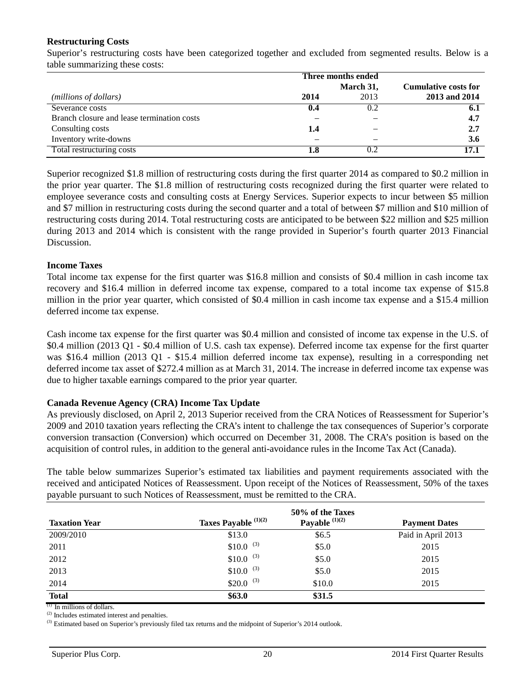#### **Restructuring Costs**

Superior's restructuring costs have been categorized together and excluded from segmented results. Below is a table summarizing these costs:

|                                            |      | Three months ended |                             |
|--------------------------------------------|------|--------------------|-----------------------------|
|                                            |      | March 31,          | <b>Cumulative costs for</b> |
| (millions of dollars)                      | 2014 | 2013               | 2013 and 2014               |
| Severance costs                            | 0.4  | 0.2                | 0.1                         |
| Branch closure and lease termination costs |      |                    | 4.7                         |
| Consulting costs                           | 1.4  |                    | 2.7                         |
| Inventory write-downs                      |      |                    | 3.6                         |
| Total restructuring costs                  |      | ብ 2                | 17.1                        |

Superior recognized \$1.8 million of restructuring costs during the first quarter 2014 as compared to \$0.2 million in the prior year quarter. The \$1.8 million of restructuring costs recognized during the first quarter were related to employee severance costs and consulting costs at Energy Services. Superior expects to incur between \$5 million and \$7 million in restructuring costs during the second quarter and a total of between \$7 million and \$10 million of restructuring costs during 2014. Total restructuring costs are anticipated to be between \$22 million and \$25 million during 2013 and 2014 which is consistent with the range provided in Superior's fourth quarter 2013 Financial Discussion.

#### **Income Taxes**

Total income tax expense for the first quarter was \$16.8 million and consists of \$0.4 million in cash income tax recovery and \$16.4 million in deferred income tax expense, compared to a total income tax expense of \$15.8 million in the prior year quarter, which consisted of \$0.4 million in cash income tax expense and a \$15.4 million deferred income tax expense.

Cash income tax expense for the first quarter was \$0.4 million and consisted of income tax expense in the U.S. of \$0.4 million (2013 Q1 - \$0.4 million of U.S. cash tax expense). Deferred income tax expense for the first quarter was \$16.4 million (2013 Q1 - \$15.4 million deferred income tax expense), resulting in a corresponding net deferred income tax asset of \$272.4 million as at March 31, 2014. The increase in deferred income tax expense was due to higher taxable earnings compared to the prior year quarter.

#### **Canada Revenue Agency (CRA) Income Tax Update**

As previously disclosed, on April 2, 2013 Superior received from the CRA Notices of Reassessment for Superior's 2009 and 2010 taxation years reflecting the CRA's intent to challenge the tax consequences of Superior's corporate conversion transaction (Conversion) which occurred on December 31, 2008. The CRA's position is based on the acquisition of control rules, in addition to the general anti-avoidance rules in the Income Tax Act (Canada).

The table below summarizes Superior's estimated tax liabilities and payment requirements associated with the received and anticipated Notices of Reassessment. Upon receipt of the Notices of Reassessment, 50% of the taxes payable pursuant to such Notices of Reassessment, must be remitted to the CRA.

| <b>Taxation Year</b> | Taxes Payable (1)(2)   | 50% of the Taxes<br>Payable $(1)(2)$ | <b>Payment Dates</b> |
|----------------------|------------------------|--------------------------------------|----------------------|
| 2009/2010            | \$13.0                 | \$6.5                                | Paid in April 2013   |
| 2011                 | $$10.0$ (3)            | \$5.0                                | 2015                 |
| 2012                 | $$10.0$ (3)            | \$5.0                                | 2015                 |
| 2013                 | $$10.0$ <sup>(3)</sup> | \$5.0                                | 2015                 |
| 2014                 | $$20.0$ <sup>(3)</sup> | \$10.0                               | 2015                 |
| <b>Total</b>         | \$63.0                 | \$31.5                               |                      |

 $(1)$  In millions of dollars.

(2) Includes estimated interest and penalties.

<sup>(3)</sup> Estimated based on Superior's previously filed tax returns and the midpoint of Superior's 2014 outlook.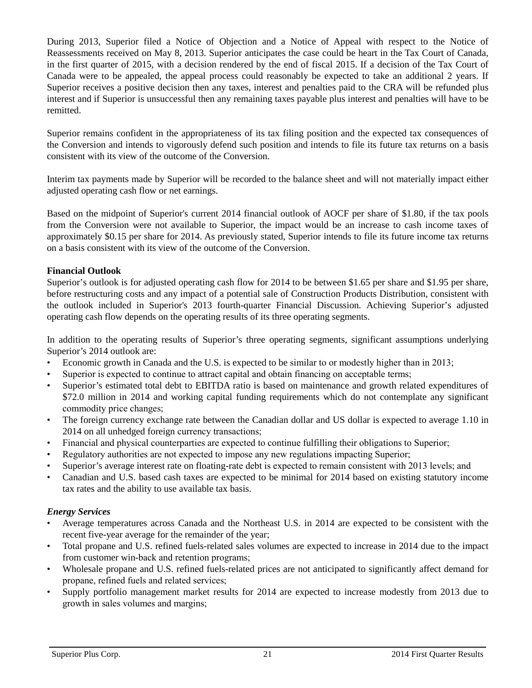During 2013, Superior filed a Notice of Objection and a Notice of Appeal with respect to the Notice of Reassessments received on May 8, 2013. Superior anticipates the case could be heart in the Tax Court of Canada, in the first quarter of 2015, with a decision rendered by the end of fiscal 2015. If a decision of the Tax Court of Canada were to be appealed, the appeal process could reasonably be expected to take an additional 2 years. If Superior receives a positive decision then any taxes, interest and penalties paid to the CRA will be refunded plus interest and if Superior is unsuccessful then any remaining taxes payable plus interest and penalties will have to be remitted.

Superior remains confident in the appropriateness of its tax filing position and the expected tax consequences of the Conversion and intends to vigorously defend such position and intends to file its future tax returns on a basis consistent with its view of the outcome of the Conversion.

Interim tax payments made by Superior will be recorded to the balance sheet and will not materially impact either adjusted operating cash flow or net earnings.

Based on the midpoint of Superior's current 2014 financial outlook of AOCF per share of \$1.80, if the tax pools from the Conversion were not available to Superior, the impact would be an increase to cash income taxes of approximately \$0.15 per share for 2014. As previously stated, Superior intends to file its future income tax returns on a basis consistent with its view of the outcome of the Conversion.

#### **Financial Outlook**

Superior's outlook is for adjusted operating cash flow for 2014 to be between \$1.65 per share and \$1.95 per share, before restructuring costs and any impact of a potential sale of Construction Products Distribution, consistent with the outlook included in Superior's 2013 fourth-quarter Financial Discussion. Achieving Superior's adjusted operating cash flow depends on the operating results of its three operating segments.

In addition to the operating results of Superior's three operating segments, significant assumptions underlying Superior's 2014 outlook are:

- Economic growth in Canada and the U.S. is expected to be similar to or modestly higher than in 2013;
- Superior is expected to continue to attract capital and obtain financing on acceptable terms;
- Superior's estimated total debt to EBITDA ratio is based on maintenance and growth related expenditures of \$72.0 million in 2014 and working capital funding requirements which do not contemplate any significant commodity price changes;
- The foreign currency exchange rate between the Canadian dollar and US dollar is expected to average 1.10 in 2014 on all unhedged foreign currency transactions;
- Financial and physical counterparties are expected to continue fulfilling their obligations to Superior;
- Regulatory authorities are not expected to impose any new regulations impacting Superior;
- Superior's average interest rate on floating-rate debt is expected to remain consistent with 2013 levels; and
- Canadian and U.S. based cash taxes are expected to be minimal for 2014 based on existing statutory income tax rates and the ability to use available tax basis.

# *Energy Services*

- Average temperatures across Canada and the Northeast U.S. in 2014 are expected to be consistent with the recent five-year average for the remainder of the year;
- Total propane and U.S. refined fuels-related sales volumes are expected to increase in 2014 due to the impact from customer win-back and retention programs;
- Wholesale propane and U.S. refined fuels-related prices are not anticipated to significantly affect demand for propane, refined fuels and related services;
- Supply portfolio management market results for 2014 are expected to increase modestly from 2013 due to growth in sales volumes and margins;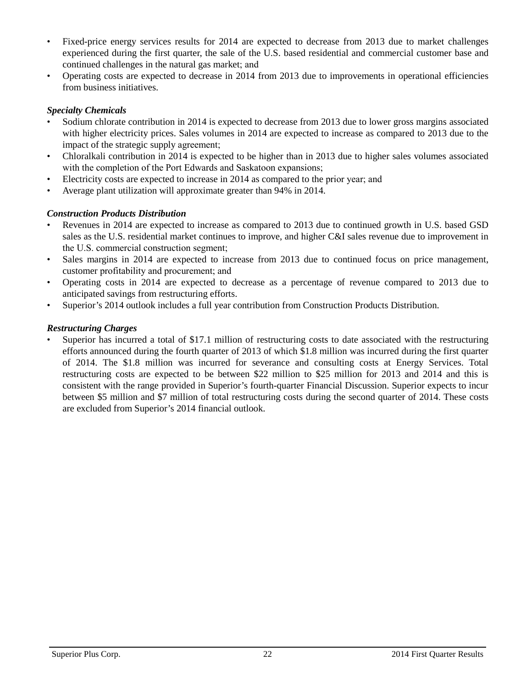- Fixed-price energy services results for 2014 are expected to decrease from 2013 due to market challenges experienced during the first quarter, the sale of the U.S. based residential and commercial customer base and continued challenges in the natural gas market; and
- Operating costs are expected to decrease in 2014 from 2013 due to improvements in operational efficiencies from business initiatives.

# *Specialty Chemicals*

- Sodium chlorate contribution in 2014 is expected to decrease from 2013 due to lower gross margins associated with higher electricity prices. Sales volumes in 2014 are expected to increase as compared to 2013 due to the impact of the strategic supply agreement;
- Chloralkali contribution in 2014 is expected to be higher than in 2013 due to higher sales volumes associated with the completion of the Port Edwards and Saskatoon expansions;
- Electricity costs are expected to increase in 2014 as compared to the prior year; and
- Average plant utilization will approximate greater than 94% in 2014.

# *Construction Products Distribution*

- Revenues in 2014 are expected to increase as compared to 2013 due to continued growth in U.S. based GSD sales as the U.S. residential market continues to improve, and higher C&I sales revenue due to improvement in the U.S. commercial construction segment;
- Sales margins in 2014 are expected to increase from 2013 due to continued focus on price management, customer profitability and procurement; and
- Operating costs in 2014 are expected to decrease as a percentage of revenue compared to 2013 due to anticipated savings from restructuring efforts.
- Superior's 2014 outlook includes a full year contribution from Construction Products Distribution.

# *Restructuring Charges*

Superior has incurred a total of \$17.1 million of restructuring costs to date associated with the restructuring efforts announced during the fourth quarter of 2013 of which \$1.8 million was incurred during the first quarter of 2014. The \$1.8 million was incurred for severance and consulting costs at Energy Services. Total restructuring costs are expected to be between \$22 million to \$25 million for 2013 and 2014 and this is consistent with the range provided in Superior's fourth-quarter Financial Discussion. Superior expects to incur between \$5 million and \$7 million of total restructuring costs during the second quarter of 2014. These costs are excluded from Superior's 2014 financial outlook.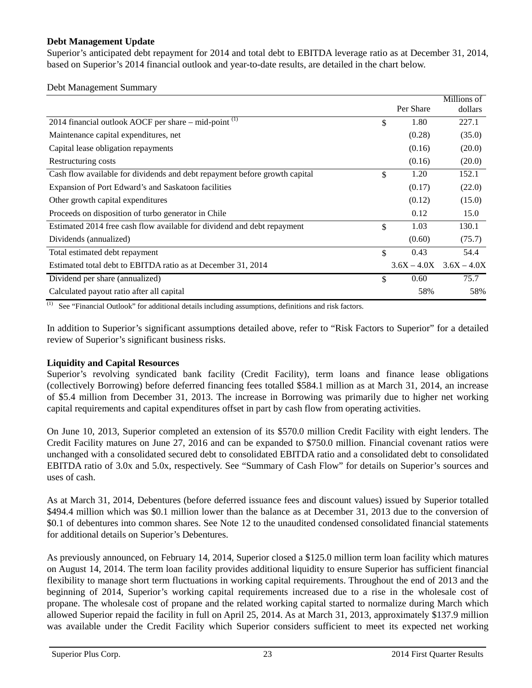#### **Debt Management Update**

Superior's anticipated debt repayment for 2014 and total debt to EBITDA leverage ratio as at December 31, 2014, based on Superior's 2014 financial outlook and year-to-date results, are detailed in the chart below.

Debt Management Summary

|                                                                            |            | Millions of                 |
|----------------------------------------------------------------------------|------------|-----------------------------|
|                                                                            | Per Share  | dollars                     |
| 2014 financial outlook AOCF per share – mid-point $(1)$                    | \$<br>1.80 | 227.1                       |
| Maintenance capital expenditures, net                                      | (0.28)     | (35.0)                      |
| Capital lease obligation repayments                                        | (0.16)     | (20.0)                      |
| Restructuring costs                                                        | (0.16)     | (20.0)                      |
| Cash flow available for dividends and debt repayment before growth capital | \$<br>1.20 | 152.1                       |
| Expansion of Port Edward's and Saskatoon facilities                        | (0.17)     | (22.0)                      |
| Other growth capital expenditures                                          | (0.12)     | (15.0)                      |
| Proceeds on disposition of turbo generator in Chile                        | 0.12       | 15.0                        |
| Estimated 2014 free cash flow available for dividend and debt repayment    | \$<br>1.03 | 130.1                       |
| Dividends (annualized)                                                     | (0.60)     | (75.7)                      |
| Total estimated debt repayment                                             | \$<br>0.43 | 54.4                        |
| Estimated total debt to EBITDA ratio as at December 31, 2014               |            | $3.6X - 4.0X$ $3.6X - 4.0X$ |
| Dividend per share (annualized)                                            | \$<br>0.60 | 75.7                        |
| Calculated payout ratio after all capital                                  | 58%        | 58%                         |

(1) See "Financial Outlook" for additional details including assumptions, definitions and risk factors.

In addition to Superior's significant assumptions detailed above, refer to "Risk Factors to Superior" for a detailed review of Superior's significant business risks.

# **Liquidity and Capital Resources**

Superior's revolving syndicated bank facility (Credit Facility), term loans and finance lease obligations (collectively Borrowing) before deferred financing fees totalled \$584.1 million as at March 31, 2014, an increase of \$5.4 million from December 31, 2013. The increase in Borrowing was primarily due to higher net working capital requirements and capital expenditures offset in part by cash flow from operating activities.

On June 10, 2013, Superior completed an extension of its \$570.0 million Credit Facility with eight lenders. The Credit Facility matures on June 27, 2016 and can be expanded to \$750.0 million. Financial covenant ratios were unchanged with a consolidated secured debt to consolidated EBITDA ratio and a consolidated debt to consolidated EBITDA ratio of 3.0x and 5.0x, respectively. See "Summary of Cash Flow" for details on Superior's sources and uses of cash.

As at March 31, 2014, Debentures (before deferred issuance fees and discount values) issued by Superior totalled \$494.4 million which was \$0.1 million lower than the balance as at December 31, 2013 due to the conversion of \$0.1 of debentures into common shares. See Note 12 to the unaudited condensed consolidated financial statements for additional details on Superior's Debentures.

As previously announced, on February 14, 2014, Superior closed a \$125.0 million term loan facility which matures on August 14, 2014. The term loan facility provides additional liquidity to ensure Superior has sufficient financial flexibility to manage short term fluctuations in working capital requirements. Throughout the end of 2013 and the beginning of 2014, Superior's working capital requirements increased due to a rise in the wholesale cost of propane. The wholesale cost of propane and the related working capital started to normalize during March which allowed Superior repaid the facility in full on April 25, 2014. As at March 31, 2013, approximately \$137.9 million was available under the Credit Facility which Superior considers sufficient to meet its expected net working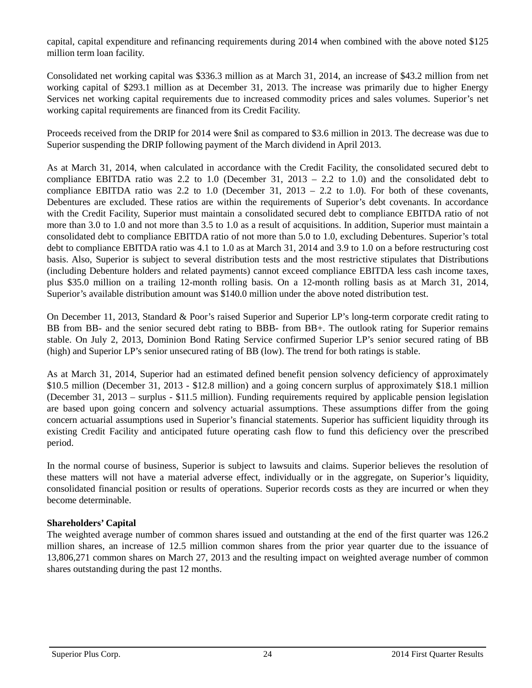capital, capital expenditure and refinancing requirements during 2014 when combined with the above noted \$125 million term loan facility.

Consolidated net working capital was \$336.3 million as at March 31, 2014, an increase of \$43.2 million from net working capital of \$293.1 million as at December 31, 2013. The increase was primarily due to higher Energy Services net working capital requirements due to increased commodity prices and sales volumes. Superior's net working capital requirements are financed from its Credit Facility.

Proceeds received from the DRIP for 2014 were \$nil as compared to \$3.6 million in 2013. The decrease was due to Superior suspending the DRIP following payment of the March dividend in April 2013.

As at March 31, 2014, when calculated in accordance with the Credit Facility, the consolidated secured debt to compliance EBITDA ratio was 2.2 to 1.0 (December 31, 2013 – 2.2 to 1.0) and the consolidated debt to compliance EBITDA ratio was 2.2 to 1.0 (December 31,  $2013 - 2.2$  to 1.0). For both of these covenants, Debentures are excluded. These ratios are within the requirements of Superior's debt covenants. In accordance with the Credit Facility, Superior must maintain a consolidated secured debt to compliance EBITDA ratio of not more than 3.0 to 1.0 and not more than 3.5 to 1.0 as a result of acquisitions. In addition, Superior must maintain a consolidated debt to compliance EBITDA ratio of not more than 5.0 to 1.0, excluding Debentures. Superior's total debt to compliance EBITDA ratio was 4.1 to 1.0 as at March 31, 2014 and 3.9 to 1.0 on a before restructuring cost basis. Also, Superior is subject to several distribution tests and the most restrictive stipulates that Distributions (including Debenture holders and related payments) cannot exceed compliance EBITDA less cash income taxes, plus \$35.0 million on a trailing 12-month rolling basis. On a 12-month rolling basis as at March 31, 2014, Superior's available distribution amount was \$140.0 million under the above noted distribution test.

On December 11, 2013, Standard & Poor's raised Superior and Superior LP's long-term corporate credit rating to BB from BB- and the senior secured debt rating to BBB- from BB+. The outlook rating for Superior remains stable. On July 2, 2013, Dominion Bond Rating Service confirmed Superior LP's senior secured rating of BB (high) and Superior LP's senior unsecured rating of BB (low). The trend for both ratings is stable.

As at March 31, 2014, Superior had an estimated defined benefit pension solvency deficiency of approximately \$10.5 million (December 31, 2013 - \$12.8 million) and a going concern surplus of approximately \$18.1 million (December 31, 2013 – surplus - \$11.5 million). Funding requirements required by applicable pension legislation are based upon going concern and solvency actuarial assumptions. These assumptions differ from the going concern actuarial assumptions used in Superior's financial statements. Superior has sufficient liquidity through its existing Credit Facility and anticipated future operating cash flow to fund this deficiency over the prescribed period.

In the normal course of business, Superior is subject to lawsuits and claims. Superior believes the resolution of these matters will not have a material adverse effect, individually or in the aggregate, on Superior's liquidity, consolidated financial position or results of operations. Superior records costs as they are incurred or when they become determinable.

#### **Shareholders' Capital**

The weighted average number of common shares issued and outstanding at the end of the first quarter was 126.2 million shares, an increase of 12.5 million common shares from the prior year quarter due to the issuance of 13,806,271 common shares on March 27, 2013 and the resulting impact on weighted average number of common shares outstanding during the past 12 months.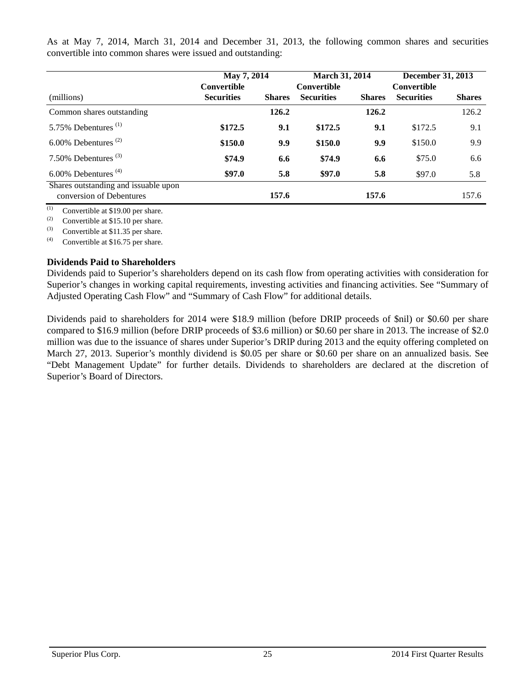As at May 7, 2014, March 31, 2014 and December 31, 2013, the following common shares and securities convertible into common shares were issued and outstanding:

|                                                                  | May 7, 2014                             |               | March 31, 2014                          |               | <b>December 31, 2013</b>                |               |  |
|------------------------------------------------------------------|-----------------------------------------|---------------|-----------------------------------------|---------------|-----------------------------------------|---------------|--|
| (millions)                                                       | <b>Convertible</b><br><b>Securities</b> | <b>Shares</b> | <b>Convertible</b><br><b>Securities</b> | <b>Shares</b> | <b>Convertible</b><br><b>Securities</b> | <b>Shares</b> |  |
| Common shares outstanding                                        |                                         | 126.2         |                                         | 126.2         |                                         | 126.2         |  |
| 5.75% Debentures <sup><math>(1)</math></sup>                     | \$172.5                                 | 9.1           | \$172.5                                 | 9.1           | \$172.5                                 | 9.1           |  |
| 6.00% Debentures <sup>(2)</sup>                                  | \$150.0                                 | 9.9           | \$150.0                                 | 9.9           | \$150.0                                 | 9.9           |  |
| 7.50% Debentures $^{(3)}$                                        | \$74.9                                  | 6.6           | \$74.9                                  | 6.6           | \$75.0                                  | 6.6           |  |
| 6.00% Debentures $(4)$                                           | \$97.0                                  | 5.8           | \$97.0                                  | 5.8           | \$97.0                                  | 5.8           |  |
| Shares outstanding and issuable upon<br>conversion of Debentures |                                         | 157.6         |                                         | 157.6         |                                         | 157.6         |  |

(1) Convertible at \$19.00 per share.<br>(2) Convertible at \$15.10 per share.

(2) Convertible at \$15.10 per share.<br>(3) Convertible at \$11.35 per share.

Convertible at \$11.35 per share.

 $^{(4)}$  Convertible at \$16.75 per share.

#### **Dividends Paid to Shareholders**

Dividends paid to Superior's shareholders depend on its cash flow from operating activities with consideration for Superior's changes in working capital requirements, investing activities and financing activities. See "Summary of Adjusted Operating Cash Flow" and "Summary of Cash Flow" for additional details.

Dividends paid to shareholders for 2014 were \$18.9 million (before DRIP proceeds of \$nil) or \$0.60 per share compared to \$16.9 million (before DRIP proceeds of \$3.6 million) or \$0.60 per share in 2013. The increase of \$2.0 million was due to the issuance of shares under Superior's DRIP during 2013 and the equity offering completed on March 27, 2013. Superior's monthly dividend is \$0.05 per share or \$0.60 per share on an annualized basis. See "Debt Management Update" for further details. Dividends to shareholders are declared at the discretion of Superior's Board of Directors.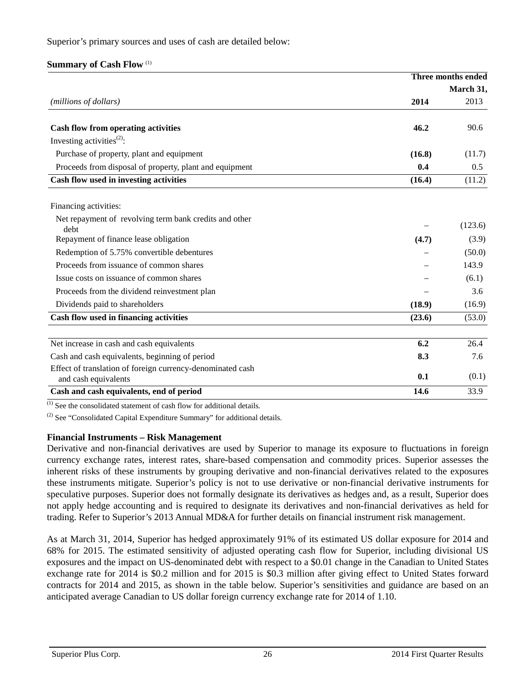# Superior's primary sources and uses of cash are detailed below:

# **Summary of Cash Flow** (1)

|                                                                                    |        | Three months ended |
|------------------------------------------------------------------------------------|--------|--------------------|
|                                                                                    |        | March 31,          |
| (millions of dollars)                                                              | 2014   | 2013               |
| <b>Cash flow from operating activities</b>                                         | 46.2   | 90.6               |
| Investing activities <sup><math>(2)</math></sup> :                                 |        |                    |
| Purchase of property, plant and equipment                                          | (16.8) | (11.7)             |
| Proceeds from disposal of property, plant and equipment                            | 0.4    | 0.5                |
| Cash flow used in investing activities                                             | (16.4) | (11.2)             |
| Financing activities:                                                              |        |                    |
| Net repayment of revolving term bank credits and other<br>debt                     |        | (123.6)            |
| Repayment of finance lease obligation                                              | (4.7)  | (3.9)              |
| Redemption of 5.75% convertible debentures                                         |        | (50.0)             |
| Proceeds from issuance of common shares                                            |        | 143.9              |
| Issue costs on issuance of common shares                                           |        | (6.1)              |
| Proceeds from the dividend reinvestment plan                                       |        | 3.6                |
| Dividends paid to shareholders                                                     | (18.9) | (16.9)             |
| Cash flow used in financing activities                                             | (23.6) | (53.0)             |
| Net increase in cash and cash equivalents                                          | 6.2    | 26.4               |
| Cash and cash equivalents, beginning of period                                     | 8.3    | 7.6                |
| Effect of translation of foreign currency-denominated cash<br>and cash equivalents | 0.1    | (0.1)              |
| Cash and cash equivalents, end of period                                           | 14.6   | 33.9               |

(1) See the consolidated statement of cash flow for additional details.

 $(2)$  See "Consolidated Capital Expenditure Summary" for additional details.

#### **Financial Instruments – Risk Management**

Derivative and non-financial derivatives are used by Superior to manage its exposure to fluctuations in foreign currency exchange rates, interest rates, share-based compensation and commodity prices. Superior assesses the inherent risks of these instruments by grouping derivative and non-financial derivatives related to the exposures these instruments mitigate. Superior's policy is not to use derivative or non-financial derivative instruments for speculative purposes. Superior does not formally designate its derivatives as hedges and, as a result, Superior does not apply hedge accounting and is required to designate its derivatives and non-financial derivatives as held for trading. Refer to Superior's 2013 Annual MD&A for further details on financial instrument risk management.

As at March 31, 2014, Superior has hedged approximately 91% of its estimated US dollar exposure for 2014 and 68% for 2015. The estimated sensitivity of adjusted operating cash flow for Superior, including divisional US exposures and the impact on US-denominated debt with respect to a \$0.01 change in the Canadian to United States exchange rate for 2014 is \$0.2 million and for 2015 is \$0.3 million after giving effect to United States forward contracts for 2014 and 2015, as shown in the table below. Superior's sensitivities and guidance are based on an anticipated average Canadian to US dollar foreign currency exchange rate for 2014 of 1.10.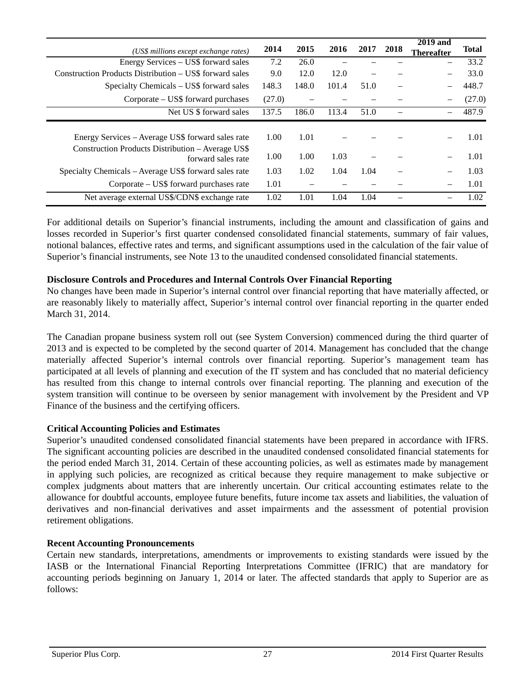| (US\$ millions except exchange rates)                                   | 2014   | 2015  | 2016  | 2017 | 2018 | 2019 and<br><b>Thereafter</b> | <b>Total</b> |
|-------------------------------------------------------------------------|--------|-------|-------|------|------|-------------------------------|--------------|
| Energy Services – US\$ forward sales                                    | 7.2    | 26.0  |       |      |      | —                             | 33.2         |
| Construction Products Distribution - US\$ forward sales                 | 9.0    | 12.0  | 12.0  |      |      | -                             | 33.0         |
| Specialty Chemicals – US\$ forward sales                                | 148.3  | 148.0 | 101.4 | 51.0 |      | -                             | 448.7        |
| Corporate – US\$ forward purchases                                      | (27.0) |       |       |      |      | -                             | (27.0)       |
| Net US \$ forward sales                                                 | 137.5  | 186.0 | 113.4 | 51.0 |      |                               | 487.9        |
| Energy Services – Average US\$ forward sales rate                       | 1.00   | 1.01  |       |      |      |                               | 1.01         |
| Construction Products Distribution – Average US\$<br>forward sales rate | 1.00   | 1.00  | 1.03  |      |      |                               | 1.01         |
| Specialty Chemicals – Average US\$ forward sales rate                   | 1.03   | 1.02  | 1.04  | 1.04 |      |                               | 1.03         |
| Corporate – US\$ forward purchases rate                                 | 1.01   |       |       |      |      |                               | 1.01         |
| Net average external US\$/CDN\$ exchange rate                           | 1.02   | 1.01  | 1.04  | 1.04 |      |                               | 1.02         |

For additional details on Superior's financial instruments, including the amount and classification of gains and losses recorded in Superior's first quarter condensed consolidated financial statements, summary of fair values, notional balances, effective rates and terms, and significant assumptions used in the calculation of the fair value of Superior's financial instruments, see Note 13 to the unaudited condensed consolidated financial statements.

#### **Disclosure Controls and Procedures and Internal Controls Over Financial Reporting**

No changes have been made in Superior's internal control over financial reporting that have materially affected, or are reasonably likely to materially affect, Superior's internal control over financial reporting in the quarter ended March 31, 2014.

The Canadian propane business system roll out (see System Conversion) commenced during the third quarter of 2013 and is expected to be completed by the second quarter of 2014. Management has concluded that the change materially affected Superior's internal controls over financial reporting. Superior's management team has participated at all levels of planning and execution of the IT system and has concluded that no material deficiency has resulted from this change to internal controls over financial reporting. The planning and execution of the system transition will continue to be overseen by senior management with involvement by the President and VP Finance of the business and the certifying officers.

#### **Critical Accounting Policies and Estimates**

Superior's unaudited condensed consolidated financial statements have been prepared in accordance with IFRS. The significant accounting policies are described in the unaudited condensed consolidated financial statements for the period ended March 31, 2014. Certain of these accounting policies, as well as estimates made by management in applying such policies, are recognized as critical because they require management to make subjective or complex judgments about matters that are inherently uncertain. Our critical accounting estimates relate to the allowance for doubtful accounts, employee future benefits, future income tax assets and liabilities, the valuation of derivatives and non-financial derivatives and asset impairments and the assessment of potential provision retirement obligations.

#### **Recent Accounting Pronouncements**

Certain new standards, interpretations, amendments or improvements to existing standards were issued by the IASB or the International Financial Reporting Interpretations Committee (IFRIC) that are mandatory for accounting periods beginning on January 1, 2014 or later. The affected standards that apply to Superior are as follows: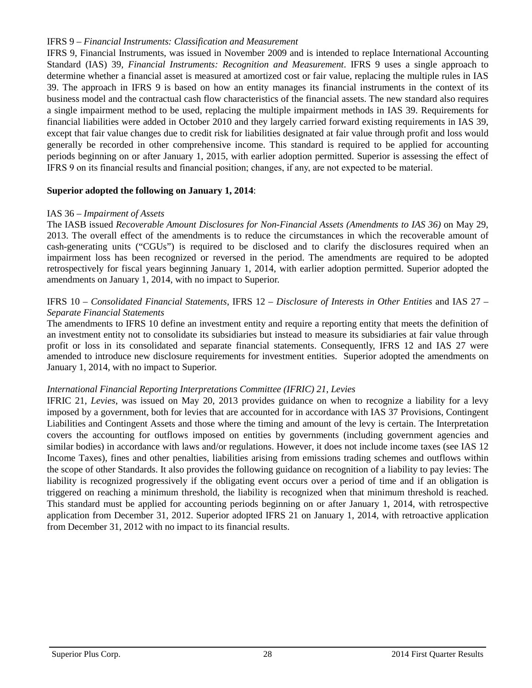#### IFRS 9 – *Financial Instruments: Classification and Measurement*

IFRS 9, Financial Instruments, was issued in November 2009 and is intended to replace International Accounting Standard (IAS) 39*, Financial Instruments: Recognition and Measurement*. IFRS 9 uses a single approach to determine whether a financial asset is measured at amortized cost or fair value, replacing the multiple rules in IAS 39. The approach in IFRS 9 is based on how an entity manages its financial instruments in the context of its business model and the contractual cash flow characteristics of the financial assets. The new standard also requires a single impairment method to be used, replacing the multiple impairment methods in IAS 39. Requirements for financial liabilities were added in October 2010 and they largely carried forward existing requirements in IAS 39, except that fair value changes due to credit risk for liabilities designated at fair value through profit and loss would generally be recorded in other comprehensive income. This standard is required to be applied for accounting periods beginning on or after January 1, 2015, with earlier adoption permitted. Superior is assessing the effect of IFRS 9 on its financial results and financial position; changes, if any, are not expected to be material.

#### **Superior adopted the following on January 1, 2014**:

#### IAS 36 *– Impairment of Assets*

The IASB issued *Recoverable Amount Disclosures for Non-Financial Assets (Amendments to IAS 36)* on May 29, 2013. The overall effect of the amendments is to reduce the circumstances in which the recoverable amount of cash-generating units ("CGUs") is required to be disclosed and to clarify the disclosures required when an impairment loss has been recognized or reversed in the period. The amendments are required to be adopted retrospectively for fiscal years beginning January 1, 2014, with earlier adoption permitted. Superior adopted the amendments on January 1, 2014, with no impact to Superior.

#### IFRS 10 – *Consolidated Financial Statements*, IFRS 12 – *Disclosure of Interests in Other Entities* and IAS 27 – *Separate Financial Statements*

The amendments to IFRS 10 define an investment entity and require a reporting entity that meets the definition of an investment entity not to consolidate its subsidiaries but instead to measure its subsidiaries at fair value through profit or loss in its consolidated and separate financial statements. Consequently, IFRS 12 and IAS 27 were amended to introduce new disclosure requirements for investment entities. Superior adopted the amendments on January 1, 2014, with no impact to Superior.

#### *International Financial Reporting Interpretations Committee (IFRIC) 21*, *Levies*

IFRIC 21, *Levies*, was issued on May 20, 2013 provides guidance on when to recognize a liability for a levy imposed by a government, both for levies that are accounted for in accordance with IAS 37 Provisions, Contingent Liabilities and Contingent Assets and those where the timing and amount of the levy is certain. The Interpretation covers the accounting for outflows imposed on entities by governments (including government agencies and similar bodies) in accordance with laws and/or regulations. However, it does not include income taxes (see IAS 12 Income Taxes), fines and other penalties, liabilities arising from emissions trading schemes and outflows within the scope of other Standards. It also provides the following guidance on recognition of a liability to pay levies: The liability is recognized progressively if the obligating event occurs over a period of time and if an obligation is triggered on reaching a minimum threshold, the liability is recognized when that minimum threshold is reached. This standard must be applied for accounting periods beginning on or after January 1, 2014, with retrospective application from December 31, 2012. Superior adopted IFRS 21 on January 1, 2014, with retroactive application from December 31, 2012 with no impact to its financial results.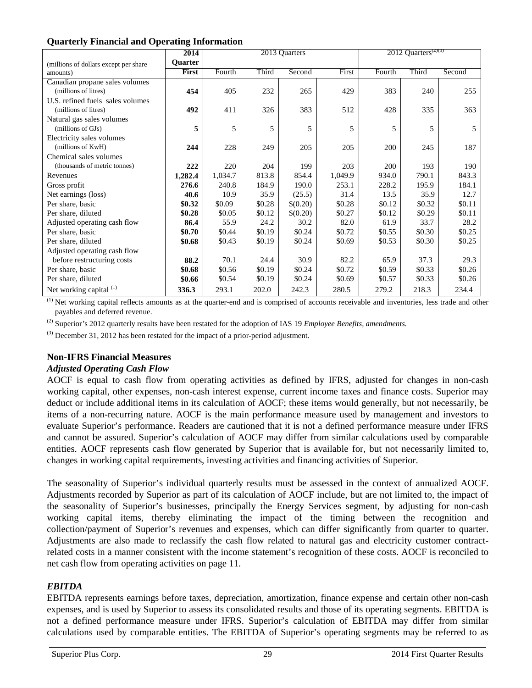#### **Quarterly Financial and Operating Information**

|                                       | o<br>2014      | 2013 Quarters |        |          |         |        | $2012$ Quarters <sup>(2)(3)</sup> |        |
|---------------------------------------|----------------|---------------|--------|----------|---------|--------|-----------------------------------|--------|
| (millions of dollars except per share | <b>Quarter</b> |               |        |          |         |        |                                   |        |
| amounts)                              | First          | Fourth        | Third  | Second   | First   | Fourth | Third                             | Second |
| Canadian propane sales volumes        |                |               |        |          |         |        |                                   |        |
| (millions of litres)                  | 454            | 405           | 232    | 265      | 429     | 383    | 240                               | 255    |
| U.S. refined fuels sales volumes      |                |               |        |          |         |        |                                   |        |
| (millions of litres)                  | 492            | 411           | 326    | 383      | 512     | 428    | 335                               | 363    |
| Natural gas sales volumes             |                |               |        |          |         |        |                                   |        |
| (millions of GJs)                     | 5              | 5             | 5      | 5        | 5       | 5      | 5                                 | 5      |
| Electricity sales volumes             |                |               |        |          |         |        |                                   |        |
| (millions of KwH)                     | 244            | 228           | 249    | 205      | 205     | 200    | 245                               | 187    |
| Chemical sales volumes                |                |               |        |          |         |        |                                   |        |
| (thousands of metric tonnes)          | 222            | 220           | 204    | 199      | 203     | 200    | 193                               | 190    |
| Revenues                              | 1,282.4        | 1,034.7       | 813.8  | 854.4    | 1,049.9 | 934.0  | 790.1                             | 843.3  |
| Gross profit                          | 276.6          | 240.8         | 184.9  | 190.0    | 253.1   | 228.2  | 195.9                             | 184.1  |
| Net earnings (loss)                   | 40.6           | 10.9          | 35.9   | (25.5)   | 31.4    | 13.5   | 35.9                              | 12.7   |
| Per share, basic                      | \$0.32         | \$0.09        | \$0.28 | \$(0.20) | \$0.28  | \$0.12 | \$0.32                            | \$0.11 |
| Per share, diluted                    | \$0.28         | \$0.05        | \$0.12 | \$(0.20) | \$0.27  | \$0.12 | \$0.29                            | \$0.11 |
| Adjusted operating cash flow          | 86.4           | 55.9          | 24.2   | 30.2     | 82.0    | 61.9   | 33.7                              | 28.2   |
| Per share, basic                      | \$0.70         | \$0.44        | \$0.19 | \$0.24   | \$0.72  | \$0.55 | \$0.30                            | \$0.25 |
| Per share, diluted                    | \$0.68         | \$0.43        | \$0.19 | \$0.24   | \$0.69  | \$0.53 | \$0.30                            | \$0.25 |
| Adjusted operating cash flow          |                |               |        |          |         |        |                                   |        |
| before restructuring costs            | 88.2           | 70.1          | 24.4   | 30.9     | 82.2    | 65.9   | 37.3                              | 29.3   |
| Per share, basic                      | \$0.68         | \$0.56        | \$0.19 | \$0.24   | \$0.72  | \$0.59 | \$0.33                            | \$0.26 |
| Per share, diluted                    | \$0.66         | \$0.54        | \$0.19 | \$0.24   | \$0.69  | \$0.57 | \$0.33                            | \$0.26 |
| Net working capital <sup>(1)</sup>    | 336.3          | 293.1         | 202.0  | 242.3    | 280.5   | 279.2  | 218.3                             | 234.4  |

 $<sup>(1)</sup>$  Net working capital reflects amounts as at the quarter-end and is comprised of accounts receivable and inventories, less trade and other</sup> payables and deferred revenue.

(2) Superior's 2012 quarterly results have been restated for the adoption of IAS 19 *Employee Benefits, amendments.*

(3) December 31, 2012 has been restated for the impact of a prior-period adjustment.

#### **Non-IFRS Financial Measures**

#### *Adjusted Operating Cash Flow*

AOCF is equal to cash flow from operating activities as defined by IFRS, adjusted for changes in non-cash working capital, other expenses, non-cash interest expense, current income taxes and finance costs. Superior may deduct or include additional items in its calculation of AOCF; these items would generally, but not necessarily, be items of a non-recurring nature. AOCF is the main performance measure used by management and investors to evaluate Superior's performance. Readers are cautioned that it is not a defined performance measure under IFRS and cannot be assured. Superior's calculation of AOCF may differ from similar calculations used by comparable entities. AOCF represents cash flow generated by Superior that is available for, but not necessarily limited to, changes in working capital requirements, investing activities and financing activities of Superior.

The seasonality of Superior's individual quarterly results must be assessed in the context of annualized AOCF. Adjustments recorded by Superior as part of its calculation of AOCF include, but are not limited to, the impact of the seasonality of Superior's businesses, principally the Energy Services segment, by adjusting for non-cash working capital items, thereby eliminating the impact of the timing between the recognition and collection/payment of Superior's revenues and expenses, which can differ significantly from quarter to quarter. Adjustments are also made to reclassify the cash flow related to natural gas and electricity customer contractrelated costs in a manner consistent with the income statement's recognition of these costs. AOCF is reconciled to net cash flow from operating activities on page 11.

#### *EBITDA*

EBITDA represents earnings before taxes, depreciation, amortization, finance expense and certain other non-cash expenses, and is used by Superior to assess its consolidated results and those of its operating segments. EBITDA is not a defined performance measure under IFRS. Superior's calculation of EBITDA may differ from similar calculations used by comparable entities. The EBITDA of Superior's operating segments may be referred to as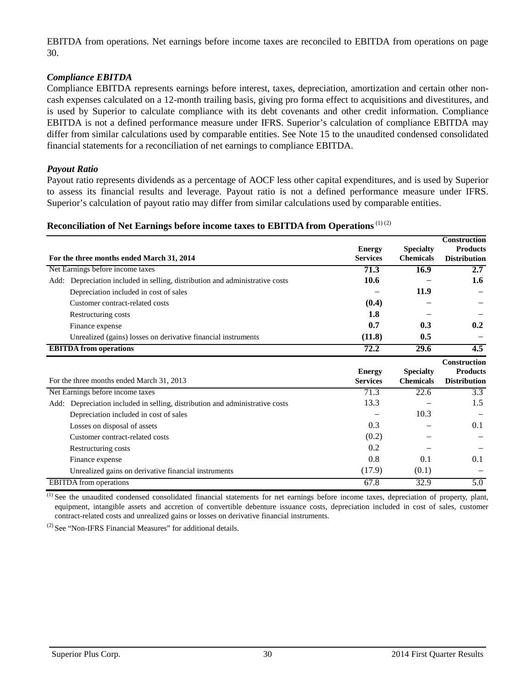EBITDA from operations. Net earnings before income taxes are reconciled to EBITDA from operations on page 30.

# *Compliance EBITDA*

Compliance EBITDA represents earnings before interest, taxes, depreciation, amortization and certain other noncash expenses calculated on a 12-month trailing basis, giving pro forma effect to acquisitions and divestitures, and is used by Superior to calculate compliance with its debt covenants and other credit information. Compliance EBITDA is not a defined performance measure under IFRS. Superior's calculation of compliance EBITDA may differ from similar calculations used by comparable entities. See Note 15 to the unaudited condensed consolidated financial statements for a reconciliation of net earnings to compliance EBITDA.

#### *Payout Ratio*

Payout ratio represents dividends as a percentage of AOCF less other capital expenditures, and is used by Superior to assess its financial results and leverage. Payout ratio is not a defined performance measure under IFRS. Superior's calculation of payout ratio may differ from similar calculations used by comparable entities.

### **Reconciliation of Net Earnings before income taxes to EBITDA from Operations** (1) (2)

|      |                                                                              |                 |                   | <b>Construction</b> |
|------|------------------------------------------------------------------------------|-----------------|-------------------|---------------------|
|      |                                                                              | <b>Energy</b>   | <b>Specialty</b>  | <b>Products</b>     |
|      | For the three months ended March 31, 2014                                    | <b>Services</b> | <b>Chemicals</b>  | <b>Distribution</b> |
|      | Net Earnings before income taxes                                             | 71.3            | $\overline{16.9}$ | 2.7                 |
| Add: | Depreciation included in selling, distribution and administrative costs      | 10.6            |                   | 1.6                 |
|      | Depreciation included in cost of sales                                       |                 | 11.9              |                     |
|      | Customer contract-related costs                                              | (0.4)           |                   |                     |
|      | Restructuring costs                                                          | 1.8             |                   |                     |
|      | Finance expense                                                              | 0.7             | 0.3               | 0.2                 |
|      | Unrealized (gains) losses on derivative financial instruments                | (11.8)          | 0.5               |                     |
|      | <b>EBITDA</b> from operations                                                | 72.2            | 29.6              | 4.5                 |
|      |                                                                              |                 |                   | Construction        |
|      |                                                                              | <b>Energy</b>   | <b>Specialty</b>  | <b>Products</b>     |
|      |                                                                              |                 |                   |                     |
|      | For the three months ended March 31, 2013                                    | <b>Services</b> | <b>Chemicals</b>  | <b>Distribution</b> |
|      | Net Earnings before income taxes                                             | 71.3            | 22.6              | 3.3                 |
|      | Add: Depreciation included in selling, distribution and administrative costs | 13.3            |                   | 1.5                 |
|      | Depreciation included in cost of sales                                       |                 | 10.3              |                     |
|      | Losses on disposal of assets                                                 | 0.3             |                   | 0.1                 |
|      | Customer contract-related costs                                              | (0.2)           |                   |                     |
|      | Restructuring costs                                                          | 0.2             |                   |                     |
|      | Finance expense                                                              | 0.8             | 0.1               | 0.1                 |
|      | Unrealized gains on derivative financial instruments                         | (17.9)          | (0.1)             |                     |

(1) See the unaudited condensed consolidated financial statements for net earnings before income taxes, depreciation of property, plant, equipment, intangible assets and accretion of convertible debenture issuance costs, depreciation included in cost of sales, customer contract-related costs and unrealized gains or losses on derivative financial instruments.

(2) See "Non-IFRS Financial Measures" for additional details.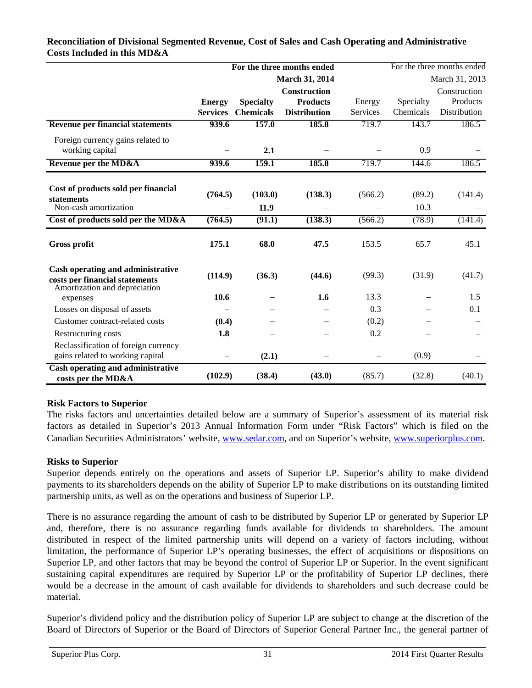### **Reconciliation of Divisional Segmented Revenue, Cost of Sales and Cash Operating and Administrative Costs Included in this MD&A**

|                                                                                                      |                          |                  | For the three months ended |                 |           | For the three months ended |
|------------------------------------------------------------------------------------------------------|--------------------------|------------------|----------------------------|-----------------|-----------|----------------------------|
|                                                                                                      |                          |                  | March 31, 2014             |                 |           | March 31, 2013             |
|                                                                                                      |                          |                  | <b>Construction</b>        |                 |           | Construction               |
|                                                                                                      | <b>Energy</b>            | <b>Specialty</b> | <b>Products</b>            | Energy          | Specialty | Products                   |
|                                                                                                      | <b>Services</b>          | <b>Chemicals</b> | <b>Distribution</b>        | <b>Services</b> | Chemicals | Distribution               |
| <b>Revenue per financial statements</b>                                                              | 939.6                    | 157.0            | 185.8                      | 719.7           | 143.7     | 186.5                      |
| Foreign currency gains related to                                                                    |                          |                  |                            |                 |           |                            |
| working capital                                                                                      |                          | 2.1              |                            |                 | 0.9       |                            |
| Revenue per the MD&A                                                                                 | 939.6                    | 159.1            | 185.8                      | 719.7           | 144.6     | 186.5                      |
|                                                                                                      |                          |                  |                            |                 |           |                            |
| Cost of products sold per financial                                                                  | (764.5)                  | (103.0)          | (138.3)                    | (566.2)         | (89.2)    | (141.4)                    |
| statements<br>Non-cash amortization                                                                  |                          | 11.9             |                            |                 | 10.3      |                            |
| Cost of products sold per the MD&A                                                                   | (764.5)                  | (91.1)           | (138.3)                    | (566.2)         | (78.9)    | (141.4)                    |
| <b>Gross profit</b>                                                                                  | 175.1                    | 68.0             | 47.5                       | 153.5           | 65.7      | 45.1                       |
| Cash operating and administrative<br>costs per financial statements<br>Amortization and depreciation | (114.9)                  | (36.3)           | (44.6)                     | (99.3)          | (31.9)    | (41.7)                     |
| expenses                                                                                             | 10.6                     |                  | 1.6                        | 13.3            |           | 1.5                        |
| Losses on disposal of assets                                                                         |                          |                  |                            | 0.3             |           | 0.1                        |
| Customer contract-related costs                                                                      | (0.4)                    |                  |                            | (0.2)           |           |                            |
| Restructuring costs                                                                                  | 1.8                      |                  |                            | 0.2             |           |                            |
| Reclassification of foreign currency<br>gains related to working capital                             | $\overline{\phantom{0}}$ | (2.1)            |                            | —               | (0.9)     |                            |
| <b>Cash operating and administrative</b><br>costs per the MD&A                                       | (102.9)                  | (38.4)           | (43.0)                     | (85.7)          | (32.8)    | (40.1)                     |

# **Risk Factors to Superior**

The risks factors and uncertainties detailed below are a summary of Superior's assessment of its material risk factors as detailed in Superior's 2013 Annual Information Form under "Risk Factors" which is filed on the Canadian Securities Administrators' website, www.sedar.com, and on Superior's website, www.superiorplus.com.

# **Risks to Superior**

Superior depends entirely on the operations and assets of Superior LP. Superior's ability to make dividend payments to its shareholders depends on the ability of Superior LP to make distributions on its outstanding limited partnership units, as well as on the operations and business of Superior LP.

There is no assurance regarding the amount of cash to be distributed by Superior LP or generated by Superior LP and, therefore, there is no assurance regarding funds available for dividends to shareholders. The amount distributed in respect of the limited partnership units will depend on a variety of factors including, without limitation, the performance of Superior LP's operating businesses, the effect of acquisitions or dispositions on Superior LP, and other factors that may be beyond the control of Superior LP or Superior. In the event significant sustaining capital expenditures are required by Superior LP or the profitability of Superior LP declines, there would be a decrease in the amount of cash available for dividends to shareholders and such decrease could be material.

Superior's dividend policy and the distribution policy of Superior LP are subject to change at the discretion of the Board of Directors of Superior or the Board of Directors of Superior General Partner Inc., the general partner of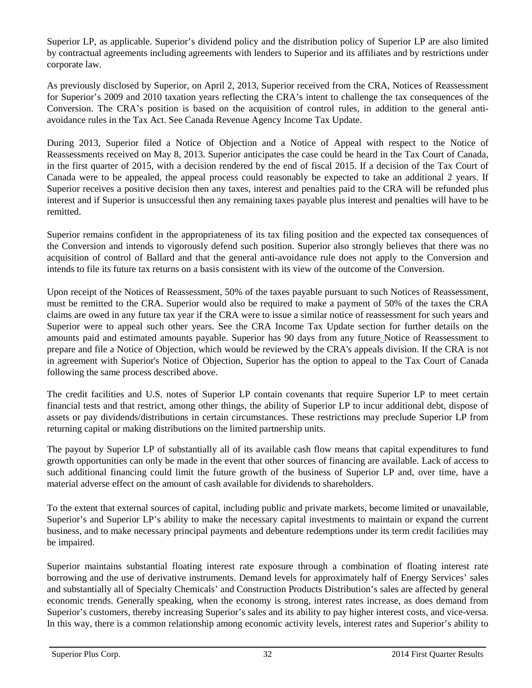Superior LP, as applicable. Superior's dividend policy and the distribution policy of Superior LP are also limited by contractual agreements including agreements with lenders to Superior and its affiliates and by restrictions under corporate law.

As previously disclosed by Superior, on April 2, 2013, Superior received from the CRA, Notices of Reassessment for Superior's 2009 and 2010 taxation years reflecting the CRA's intent to challenge the tax consequences of the Conversion. The CRA's position is based on the acquisition of control rules, in addition to the general antiavoidance rules in the Tax Act. See Canada Revenue Agency Income Tax Update.

During 2013, Superior filed a Notice of Objection and a Notice of Appeal with respect to the Notice of Reassessments received on May 8, 2013. Superior anticipates the case could be heard in the Tax Court of Canada, in the first quarter of 2015, with a decision rendered by the end of fiscal 2015. If a decision of the Tax Court of Canada were to be appealed, the appeal process could reasonably be expected to take an additional 2 years. If Superior receives a positive decision then any taxes, interest and penalties paid to the CRA will be refunded plus interest and if Superior is unsuccessful then any remaining taxes payable plus interest and penalties will have to be remitted.

Superior remains confident in the appropriateness of its tax filing position and the expected tax consequences of the Conversion and intends to vigorously defend such position. Superior also strongly believes that there was no acquisition of control of Ballard and that the general anti-avoidance rule does not apply to the Conversion and intends to file its future tax returns on a basis consistent with its view of the outcome of the Conversion.

Upon receipt of the Notices of Reassessment, 50% of the taxes payable pursuant to such Notices of Reassessment, must be remitted to the CRA. Superior would also be required to make a payment of 50% of the taxes the CRA claims are owed in any future tax year if the CRA were to issue a similar notice of reassessment for such years and Superior were to appeal such other years. See the CRA Income Tax Update section for further details on the amounts paid and estimated amounts payable. Superior has 90 days from any future Notice of Reassessment to prepare and file a Notice of Objection, which would be reviewed by the CRA's appeals division. If the CRA is not in agreement with Superior's Notice of Objection, Superior has the option to appeal to the Tax Court of Canada following the same process described above.

The credit facilities and U.S. notes of Superior LP contain covenants that require Superior LP to meet certain financial tests and that restrict, among other things, the ability of Superior LP to incur additional debt, dispose of assets or pay dividends/distributions in certain circumstances. These restrictions may preclude Superior LP from returning capital or making distributions on the limited partnership units.

The payout by Superior LP of substantially all of its available cash flow means that capital expenditures to fund growth opportunities can only be made in the event that other sources of financing are available. Lack of access to such additional financing could limit the future growth of the business of Superior LP and, over time, have a material adverse effect on the amount of cash available for dividends to shareholders.

To the extent that external sources of capital, including public and private markets, become limited or unavailable, Superior's and Superior LP's ability to make the necessary capital investments to maintain or expand the current business, and to make necessary principal payments and debenture redemptions under its term credit facilities may be impaired.

Superior maintains substantial floating interest rate exposure through a combination of floating interest rate borrowing and the use of derivative instruments. Demand levels for approximately half of Energy Services' sales and substantially all of Specialty Chemicals' and Construction Products Distribution's sales are affected by general economic trends. Generally speaking, when the economy is strong, interest rates increase, as does demand from Superior's customers, thereby increasing Superior's sales and its ability to pay higher interest costs, and vice-versa. In this way, there is a common relationship among economic activity levels, interest rates and Superior's ability to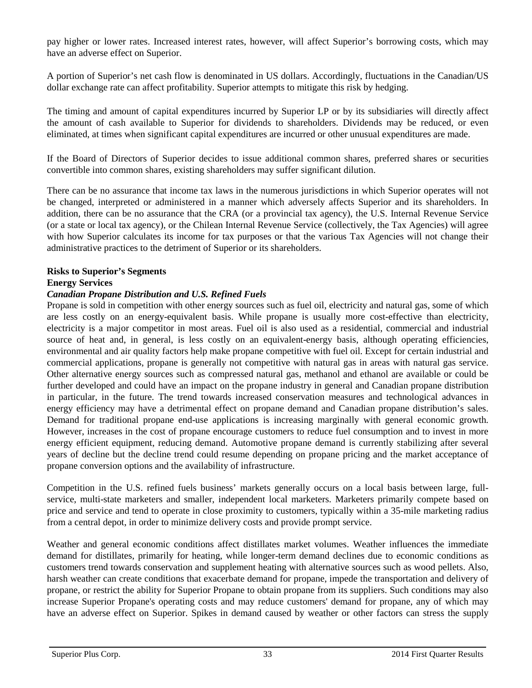pay higher or lower rates. Increased interest rates, however, will affect Superior's borrowing costs, which may have an adverse effect on Superior.

A portion of Superior's net cash flow is denominated in US dollars. Accordingly, fluctuations in the Canadian/US dollar exchange rate can affect profitability. Superior attempts to mitigate this risk by hedging.

The timing and amount of capital expenditures incurred by Superior LP or by its subsidiaries will directly affect the amount of cash available to Superior for dividends to shareholders. Dividends may be reduced, or even eliminated, at times when significant capital expenditures are incurred or other unusual expenditures are made.

If the Board of Directors of Superior decides to issue additional common shares, preferred shares or securities convertible into common shares, existing shareholders may suffer significant dilution.

There can be no assurance that income tax laws in the numerous jurisdictions in which Superior operates will not be changed, interpreted or administered in a manner which adversely affects Superior and its shareholders. In addition, there can be no assurance that the CRA (or a provincial tax agency), the U.S. Internal Revenue Service (or a state or local tax agency), or the Chilean Internal Revenue Service (collectively, the Tax Agencies) will agree with how Superior calculates its income for tax purposes or that the various Tax Agencies will not change their administrative practices to the detriment of Superior or its shareholders.

#### **Risks to Superior's Segments**

#### **Energy Services**

# *Canadian Propane Distribution and U.S. Refined Fuels*

Propane is sold in competition with other energy sources such as fuel oil, electricity and natural gas, some of which are less costly on an energy-equivalent basis. While propane is usually more cost-effective than electricity, electricity is a major competitor in most areas. Fuel oil is also used as a residential, commercial and industrial source of heat and, in general, is less costly on an equivalent-energy basis, although operating efficiencies, environmental and air quality factors help make propane competitive with fuel oil. Except for certain industrial and commercial applications, propane is generally not competitive with natural gas in areas with natural gas service. Other alternative energy sources such as compressed natural gas, methanol and ethanol are available or could be further developed and could have an impact on the propane industry in general and Canadian propane distribution in particular, in the future. The trend towards increased conservation measures and technological advances in energy efficiency may have a detrimental effect on propane demand and Canadian propane distribution's sales. Demand for traditional propane end-use applications is increasing marginally with general economic growth. However, increases in the cost of propane encourage customers to reduce fuel consumption and to invest in more energy efficient equipment, reducing demand. Automotive propane demand is currently stabilizing after several years of decline but the decline trend could resume depending on propane pricing and the market acceptance of propane conversion options and the availability of infrastructure.

Competition in the U.S. refined fuels business' markets generally occurs on a local basis between large, fullservice, multi-state marketers and smaller, independent local marketers. Marketers primarily compete based on price and service and tend to operate in close proximity to customers, typically within a 35-mile marketing radius from a central depot, in order to minimize delivery costs and provide prompt service.

Weather and general economic conditions affect distillates market volumes. Weather influences the immediate demand for distillates, primarily for heating, while longer-term demand declines due to economic conditions as customers trend towards conservation and supplement heating with alternative sources such as wood pellets. Also, harsh weather can create conditions that exacerbate demand for propane, impede the transportation and delivery of propane, or restrict the ability for Superior Propane to obtain propane from its suppliers. Such conditions may also increase Superior Propane's operating costs and may reduce customers' demand for propane, any of which may have an adverse effect on Superior. Spikes in demand caused by weather or other factors can stress the supply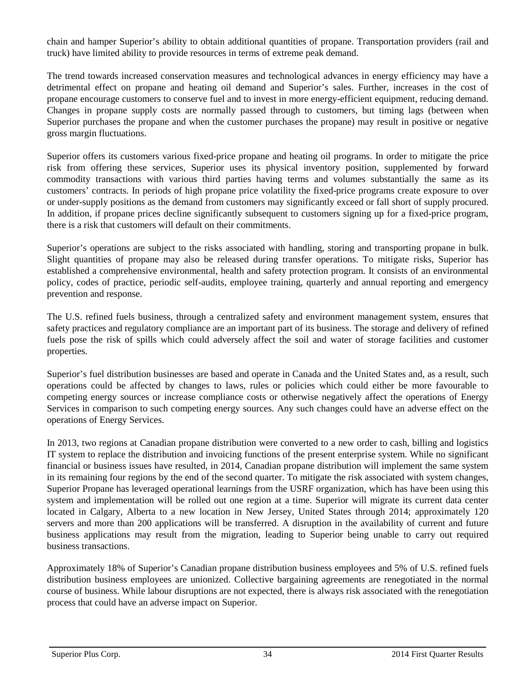chain and hamper Superior's ability to obtain additional quantities of propane. Transportation providers (rail and truck) have limited ability to provide resources in terms of extreme peak demand.

The trend towards increased conservation measures and technological advances in energy efficiency may have a detrimental effect on propane and heating oil demand and Superior's sales. Further, increases in the cost of propane encourage customers to conserve fuel and to invest in more energy-efficient equipment, reducing demand. Changes in propane supply costs are normally passed through to customers, but timing lags (between when Superior purchases the propane and when the customer purchases the propane) may result in positive or negative gross margin fluctuations.

Superior offers its customers various fixed-price propane and heating oil programs. In order to mitigate the price risk from offering these services, Superior uses its physical inventory position, supplemented by forward commodity transactions with various third parties having terms and volumes substantially the same as its customers' contracts. In periods of high propane price volatility the fixed-price programs create exposure to over or under-supply positions as the demand from customers may significantly exceed or fall short of supply procured. In addition, if propane prices decline significantly subsequent to customers signing up for a fixed-price program, there is a risk that customers will default on their commitments.

Superior's operations are subject to the risks associated with handling, storing and transporting propane in bulk. Slight quantities of propane may also be released during transfer operations. To mitigate risks, Superior has established a comprehensive environmental, health and safety protection program. It consists of an environmental policy, codes of practice, periodic self-audits, employee training, quarterly and annual reporting and emergency prevention and response.

The U.S. refined fuels business, through a centralized safety and environment management system, ensures that safety practices and regulatory compliance are an important part of its business. The storage and delivery of refined fuels pose the risk of spills which could adversely affect the soil and water of storage facilities and customer properties.

Superior's fuel distribution businesses are based and operate in Canada and the United States and, as a result, such operations could be affected by changes to laws, rules or policies which could either be more favourable to competing energy sources or increase compliance costs or otherwise negatively affect the operations of Energy Services in comparison to such competing energy sources. Any such changes could have an adverse effect on the operations of Energy Services.

In 2013, two regions at Canadian propane distribution were converted to a new order to cash, billing and logistics IT system to replace the distribution and invoicing functions of the present enterprise system. While no significant financial or business issues have resulted, in 2014, Canadian propane distribution will implement the same system in its remaining four regions by the end of the second quarter. To mitigate the risk associated with system changes, Superior Propane has leveraged operational learnings from the USRF organization, which has have been using this system and implementation will be rolled out one region at a time. Superior will migrate its current data center located in Calgary, Alberta to a new location in New Jersey, United States through 2014; approximately 120 servers and more than 200 applications will be transferred. A disruption in the availability of current and future business applications may result from the migration, leading to Superior being unable to carry out required business transactions.

Approximately 18% of Superior's Canadian propane distribution business employees and 5% of U.S. refined fuels distribution business employees are unionized. Collective bargaining agreements are renegotiated in the normal course of business. While labour disruptions are not expected, there is always risk associated with the renegotiation process that could have an adverse impact on Superior.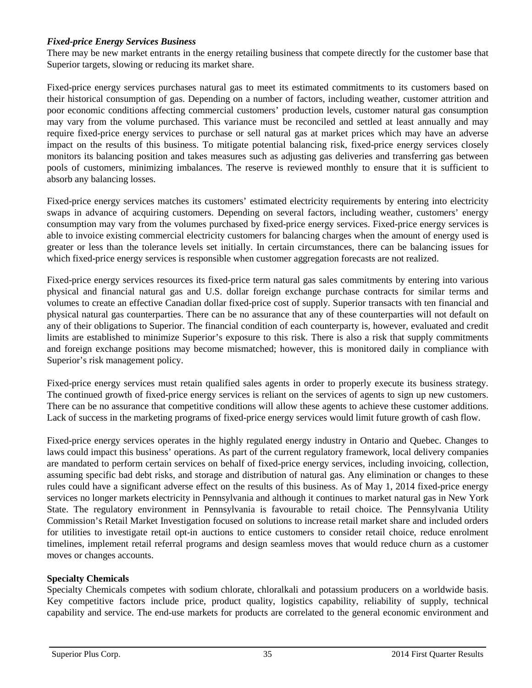# *Fixed-price Energy Services Business*

There may be new market entrants in the energy retailing business that compete directly for the customer base that Superior targets, slowing or reducing its market share.

Fixed-price energy services purchases natural gas to meet its estimated commitments to its customers based on their historical consumption of gas. Depending on a number of factors, including weather, customer attrition and poor economic conditions affecting commercial customers' production levels, customer natural gas consumption may vary from the volume purchased. This variance must be reconciled and settled at least annually and may require fixed-price energy services to purchase or sell natural gas at market prices which may have an adverse impact on the results of this business. To mitigate potential balancing risk, fixed-price energy services closely monitors its balancing position and takes measures such as adjusting gas deliveries and transferring gas between pools of customers, minimizing imbalances. The reserve is reviewed monthly to ensure that it is sufficient to absorb any balancing losses.

Fixed-price energy services matches its customers' estimated electricity requirements by entering into electricity swaps in advance of acquiring customers. Depending on several factors, including weather, customers' energy consumption may vary from the volumes purchased by fixed-price energy services. Fixed-price energy services is able to invoice existing commercial electricity customers for balancing charges when the amount of energy used is greater or less than the tolerance levels set initially. In certain circumstances, there can be balancing issues for which fixed-price energy services is responsible when customer aggregation forecasts are not realized.

Fixed-price energy services resources its fixed-price term natural gas sales commitments by entering into various physical and financial natural gas and U.S. dollar foreign exchange purchase contracts for similar terms and volumes to create an effective Canadian dollar fixed-price cost of supply. Superior transacts with ten financial and physical natural gas counterparties. There can be no assurance that any of these counterparties will not default on any of their obligations to Superior. The financial condition of each counterparty is, however, evaluated and credit limits are established to minimize Superior's exposure to this risk. There is also a risk that supply commitments and foreign exchange positions may become mismatched; however, this is monitored daily in compliance with Superior's risk management policy.

Fixed-price energy services must retain qualified sales agents in order to properly execute its business strategy. The continued growth of fixed-price energy services is reliant on the services of agents to sign up new customers. There can be no assurance that competitive conditions will allow these agents to achieve these customer additions. Lack of success in the marketing programs of fixed-price energy services would limit future growth of cash flow.

Fixed-price energy services operates in the highly regulated energy industry in Ontario and Quebec. Changes to laws could impact this business' operations. As part of the current regulatory framework, local delivery companies are mandated to perform certain services on behalf of fixed-price energy services, including invoicing, collection, assuming specific bad debt risks, and storage and distribution of natural gas. Any elimination or changes to these rules could have a significant adverse effect on the results of this business. As of May 1, 2014 fixed-price energy services no longer markets electricity in Pennsylvania and although it continues to market natural gas in New York State. The regulatory environment in Pennsylvania is favourable to retail choice. The Pennsylvania Utility Commission's Retail Market Investigation focused on solutions to increase retail market share and included orders for utilities to investigate retail opt-in auctions to entice customers to consider retail choice, reduce enrolment timelines, implement retail referral programs and design seamless moves that would reduce churn as a customer moves or changes accounts.

#### **Specialty Chemicals**

Specialty Chemicals competes with sodium chlorate, chloralkali and potassium producers on a worldwide basis. Key competitive factors include price, product quality, logistics capability, reliability of supply, technical capability and service. The end-use markets for products are correlated to the general economic environment and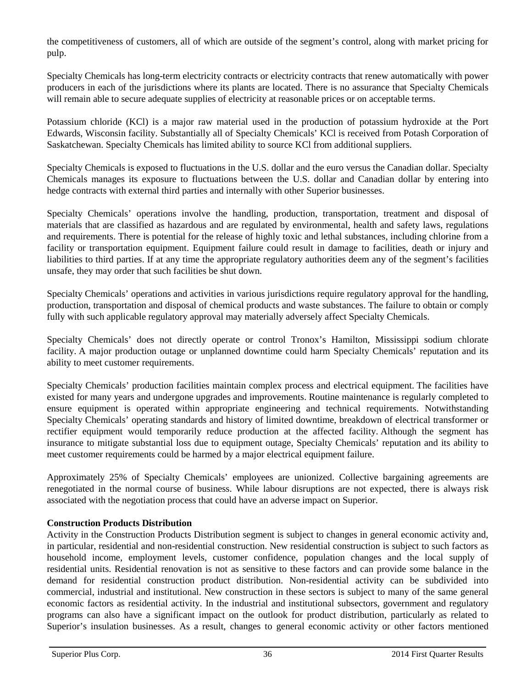the competitiveness of customers, all of which are outside of the segment's control, along with market pricing for pulp.

Specialty Chemicals has long-term electricity contracts or electricity contracts that renew automatically with power producers in each of the jurisdictions where its plants are located. There is no assurance that Specialty Chemicals will remain able to secure adequate supplies of electricity at reasonable prices or on acceptable terms.

Potassium chloride (KCl) is a major raw material used in the production of potassium hydroxide at the Port Edwards, Wisconsin facility. Substantially all of Specialty Chemicals' KCl is received from Potash Corporation of Saskatchewan. Specialty Chemicals has limited ability to source KCl from additional suppliers.

Specialty Chemicals is exposed to fluctuations in the U.S. dollar and the euro versus the Canadian dollar. Specialty Chemicals manages its exposure to fluctuations between the U.S. dollar and Canadian dollar by entering into hedge contracts with external third parties and internally with other Superior businesses.

Specialty Chemicals' operations involve the handling, production, transportation, treatment and disposal of materials that are classified as hazardous and are regulated by environmental, health and safety laws, regulations and requirements. There is potential for the release of highly toxic and lethal substances, including chlorine from a facility or transportation equipment. Equipment failure could result in damage to facilities, death or injury and liabilities to third parties. If at any time the appropriate regulatory authorities deem any of the segment's facilities unsafe, they may order that such facilities be shut down.

Specialty Chemicals' operations and activities in various jurisdictions require regulatory approval for the handling, production, transportation and disposal of chemical products and waste substances. The failure to obtain or comply fully with such applicable regulatory approval may materially adversely affect Specialty Chemicals.

Specialty Chemicals' does not directly operate or control Tronox's Hamilton, Mississippi sodium chlorate facility. A major production outage or unplanned downtime could harm Specialty Chemicals' reputation and its ability to meet customer requirements.

Specialty Chemicals' production facilities maintain complex process and electrical equipment. The facilities have existed for many years and undergone upgrades and improvements. Routine maintenance is regularly completed to ensure equipment is operated within appropriate engineering and technical requirements. Notwithstanding Specialty Chemicals' operating standards and history of limited downtime, breakdown of electrical transformer or rectifier equipment would temporarily reduce production at the affected facility. Although the segment has insurance to mitigate substantial loss due to equipment outage, Specialty Chemicals' reputation and its ability to meet customer requirements could be harmed by a major electrical equipment failure.

Approximately 25% of Specialty Chemicals' employees are unionized. Collective bargaining agreements are renegotiated in the normal course of business. While labour disruptions are not expected, there is always risk associated with the negotiation process that could have an adverse impact on Superior.

# **Construction Products Distribution**

Activity in the Construction Products Distribution segment is subject to changes in general economic activity and, in particular, residential and non-residential construction. New residential construction is subject to such factors as household income, employment levels, customer confidence, population changes and the local supply of residential units. Residential renovation is not as sensitive to these factors and can provide some balance in the demand for residential construction product distribution. Non-residential activity can be subdivided into commercial, industrial and institutional. New construction in these sectors is subject to many of the same general economic factors as residential activity. In the industrial and institutional subsectors, government and regulatory programs can also have a significant impact on the outlook for product distribution, particularly as related to Superior's insulation businesses. As a result, changes to general economic activity or other factors mentioned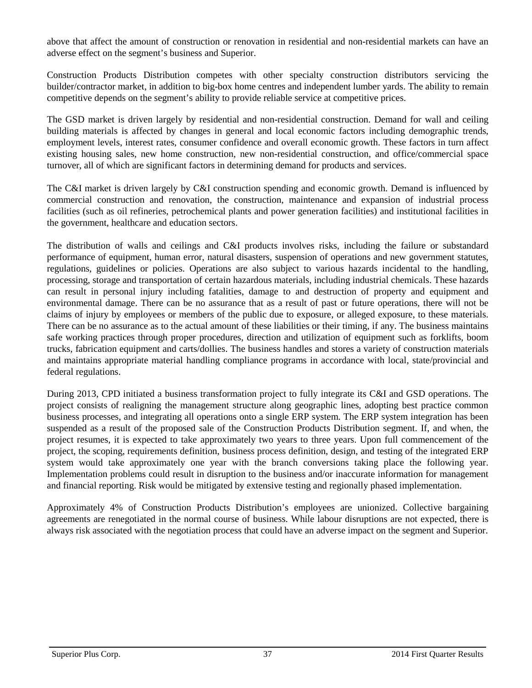above that affect the amount of construction or renovation in residential and non-residential markets can have an adverse effect on the segment's business and Superior.

Construction Products Distribution competes with other specialty construction distributors servicing the builder/contractor market, in addition to big-box home centres and independent lumber yards. The ability to remain competitive depends on the segment's ability to provide reliable service at competitive prices.

The GSD market is driven largely by residential and non-residential construction. Demand for wall and ceiling building materials is affected by changes in general and local economic factors including demographic trends, employment levels, interest rates, consumer confidence and overall economic growth. These factors in turn affect existing housing sales, new home construction, new non-residential construction, and office/commercial space turnover, all of which are significant factors in determining demand for products and services.

The C&I market is driven largely by C&I construction spending and economic growth. Demand is influenced by commercial construction and renovation, the construction, maintenance and expansion of industrial process facilities (such as oil refineries, petrochemical plants and power generation facilities) and institutional facilities in the government, healthcare and education sectors.

The distribution of walls and ceilings and C&I products involves risks, including the failure or substandard performance of equipment, human error, natural disasters, suspension of operations and new government statutes, regulations, guidelines or policies. Operations are also subject to various hazards incidental to the handling, processing, storage and transportation of certain hazardous materials, including industrial chemicals. These hazards can result in personal injury including fatalities, damage to and destruction of property and equipment and environmental damage. There can be no assurance that as a result of past or future operations, there will not be claims of injury by employees or members of the public due to exposure, or alleged exposure, to these materials. There can be no assurance as to the actual amount of these liabilities or their timing, if any. The business maintains safe working practices through proper procedures, direction and utilization of equipment such as forklifts, boom trucks, fabrication equipment and carts/dollies. The business handles and stores a variety of construction materials and maintains appropriate material handling compliance programs in accordance with local, state/provincial and federal regulations.

During 2013, CPD initiated a business transformation project to fully integrate its C&I and GSD operations. The project consists of realigning the management structure along geographic lines, adopting best practice common business processes, and integrating all operations onto a single ERP system. The ERP system integration has been suspended as a result of the proposed sale of the Construction Products Distribution segment. If, and when, the project resumes, it is expected to take approximately two years to three years. Upon full commencement of the project, the scoping, requirements definition, business process definition, design, and testing of the integrated ERP system would take approximately one year with the branch conversions taking place the following year. Implementation problems could result in disruption to the business and/or inaccurate information for management and financial reporting. Risk would be mitigated by extensive testing and regionally phased implementation.

Approximately 4% of Construction Products Distribution's employees are unionized. Collective bargaining agreements are renegotiated in the normal course of business. While labour disruptions are not expected, there is always risk associated with the negotiation process that could have an adverse impact on the segment and Superior.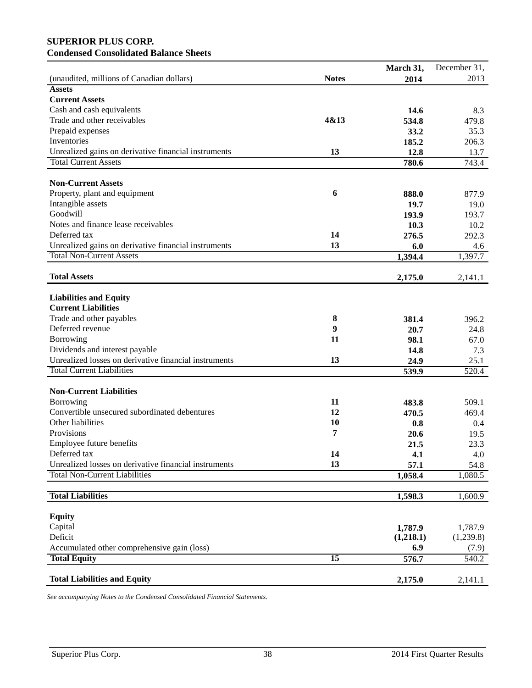# **SUPERIOR PLUS CORP. Condensed Consolidated Balance Sheets**

|                                                                                           |              | March 31,    | December 31,   |
|-------------------------------------------------------------------------------------------|--------------|--------------|----------------|
| (unaudited, millions of Canadian dollars)                                                 | <b>Notes</b> | 2014         | 2013           |
| <b>Assets</b>                                                                             |              |              |                |
| <b>Current Assets</b>                                                                     |              |              |                |
| Cash and cash equivalents                                                                 |              | 14.6         | 8.3            |
| Trade and other receivables                                                               | 4&13         | 534.8        | 479.8          |
| Prepaid expenses                                                                          |              | 33.2         | 35.3           |
| Inventories                                                                               |              | 185.2        | 206.3          |
| Unrealized gains on derivative financial instruments                                      | 13           | 12.8         | 13.7           |
| <b>Total Current Assets</b>                                                               |              | 780.6        | 743.4          |
|                                                                                           |              |              |                |
| <b>Non-Current Assets</b>                                                                 |              |              |                |
| Property, plant and equipment                                                             | 6            | 888.0        | 877.9          |
| Intangible assets                                                                         |              | 19.7         | 19.0           |
| Goodwill                                                                                  |              | 193.9        | 193.7          |
| Notes and finance lease receivables                                                       |              | 10.3         | 10.2           |
| Deferred tax                                                                              | 14           | 276.5        | 292.3          |
| Unrealized gains on derivative financial instruments                                      | 13           | 6.0          | 4.6            |
| <b>Total Non-Current Assets</b>                                                           |              | 1,394.4      | 1,397.7        |
|                                                                                           |              |              |                |
| <b>Total Assets</b>                                                                       |              | 2,175.0      | 2,141.1        |
|                                                                                           |              |              |                |
| <b>Liabilities and Equity</b>                                                             |              |              |                |
| <b>Current Liabilities</b>                                                                |              |              |                |
| Trade and other payables                                                                  | 8            | 381.4        | 396.2          |
| Deferred revenue                                                                          | 9            | 20.7         | 24.8           |
| Borrowing                                                                                 | 11           | 98.1         | 67.0           |
| Dividends and interest payable                                                            |              | 14.8         | 7.3            |
| Unrealized losses on derivative financial instruments<br><b>Total Current Liabilities</b> | 13           | 24.9         | 25.1           |
|                                                                                           |              | 539.9        | 520.4          |
| <b>Non-Current Liabilities</b>                                                            |              |              |                |
| Borrowing                                                                                 | 11           |              |                |
| Convertible unsecured subordinated debentures                                             | 12           | 483.8        | 509.1<br>469.4 |
| Other liabilities                                                                         | 10           | 470.5<br>0.8 | 0.4            |
| Provisions                                                                                | 7            | 20.6         | 19.5           |
| Employee future benefits                                                                  |              | 21.5         | 23.3           |
| Deferred tax                                                                              | 14           | 4.1          | 4.0            |
| Unrealized losses on derivative financial instruments                                     | 13           | 57.1         | 54.8           |
| <b>Total Non-Current Liabilities</b>                                                      |              | 1,058.4      | 1,080.5        |
|                                                                                           |              |              |                |
| <b>Total Liabilities</b>                                                                  |              | 1,598.3      | 1,600.9        |
|                                                                                           |              |              |                |
| <b>Equity</b>                                                                             |              |              |                |
| Capital                                                                                   |              | 1,787.9      | 1,787.9        |
| Deficit                                                                                   |              | (1,218.1)    | (1,239.8)      |
| Accumulated other comprehensive gain (loss)                                               |              | 6.9          | (7.9)          |
| <b>Total Equity</b>                                                                       | 15           | 576.7        | 540.2          |
|                                                                                           |              |              |                |
| <b>Total Liabilities and Equity</b>                                                       |              | 2,175.0      | 2,141.1        |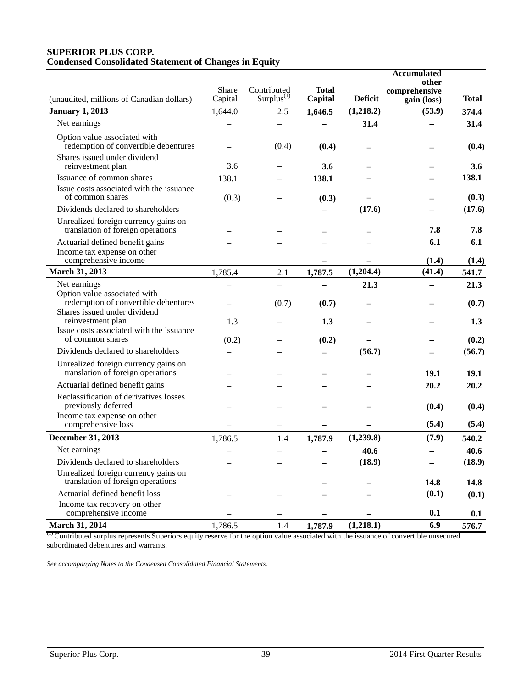#### **SUPERIOR PLUS CORP. Condensed Consolidated Statement of Changes in Equity**

|                                                                           |                          |                                         |              |                | <b>Accumulated</b><br>other |              |
|---------------------------------------------------------------------------|--------------------------|-----------------------------------------|--------------|----------------|-----------------------------|--------------|
|                                                                           | Share                    | Contributed<br>$Surplus$ <sup>(1)</sup> | <b>Total</b> |                | comprehensive               |              |
| (unaudited, millions of Canadian dollars)                                 | Capital                  |                                         | Capital      | <b>Deficit</b> | gain (loss)                 | <b>Total</b> |
| <b>January 1, 2013</b>                                                    | 1,644.0                  | 2.5                                     | 1,646.5      | (1,218.2)      | (53.9)                      | 374.4        |
| Net earnings                                                              |                          | $\overline{\phantom{0}}$                |              | 31.4           |                             | 31.4         |
| Option value associated with<br>redemption of convertible debentures      |                          | (0.4)                                   | (0.4)        |                |                             | (0.4)        |
| Shares issued under dividend<br>reinvestment plan                         | 3.6                      |                                         | 3.6          |                |                             | 3.6          |
| Issuance of common shares                                                 | 138.1                    |                                         | 138.1        |                |                             | 138.1        |
| Issue costs associated with the issuance<br>of common shares              | (0.3)                    |                                         | (0.3)        |                |                             | (0.3)        |
| Dividends declared to shareholders                                        |                          |                                         |              | (17.6)         |                             | (17.6)       |
| Unrealized foreign currency gains on<br>translation of foreign operations |                          |                                         |              |                | 7.8                         | 7.8          |
| Actuarial defined benefit gains                                           |                          |                                         |              |                | 6.1                         | 6.1          |
| Income tax expense on other<br>comprehensive income                       |                          |                                         |              |                | (1.4)                       | (1.4)        |
| March 31, 2013                                                            | 1,785.4                  | 2.1                                     | 1,787.5      | (1,204.4)      | (41.4)                      | 541.7        |
| Net earnings                                                              | $\overline{\phantom{0}}$ | $\qquad \qquad -$                       |              | 21.3           | $\overline{\phantom{0}}$    | 21.3         |
| Option value associated with<br>redemption of convertible debentures      |                          | (0.7)                                   | (0.7)        |                |                             | (0.7)        |
| Shares issued under dividend<br>reinvestment plan                         | 1.3                      |                                         | 1.3          |                |                             | 1.3          |
| Issue costs associated with the issuance<br>of common shares              | (0.2)                    |                                         | (0.2)        |                |                             | (0.2)        |
| Dividends declared to shareholders                                        |                          |                                         |              | (56.7)         |                             | (56.7)       |
| Unrealized foreign currency gains on<br>translation of foreign operations |                          |                                         |              |                | 19.1                        | 19.1         |
| Actuarial defined benefit gains                                           |                          |                                         |              |                | 20.2                        | 20.2         |
| Reclassification of derivatives losses<br>previously deferred             |                          |                                         |              |                | (0.4)                       | (0.4)        |
| Income tax expense on other<br>comprehensive loss                         |                          |                                         |              |                | (5.4)                       | (5.4)        |
| <b>December 31, 2013</b>                                                  | 1,786.5                  | 1.4                                     | 1,787.9      | (1,239.8)      | (7.9)                       | 540.2        |
| Net earnings                                                              |                          | $\overline{\phantom{0}}$                |              | 40.6           | $\overline{\phantom{0}}$    | 40.6         |
| Dividends declared to shareholders                                        |                          |                                         |              | (18.9)         |                             | (18.9)       |
| Unrealized foreign currency gains on<br>translation of foreign operations |                          |                                         |              |                | 14.8                        | 14.8         |
| Actuarial defined benefit loss                                            |                          |                                         |              |                | (0.1)                       | (0.1)        |
| Income tax recovery on other<br>comprehensive income                      |                          |                                         |              |                | 0.1                         | 0.1          |
| March 31, 2014                                                            | 1,786.5                  | 1.4                                     | 1,787.9      | (1,218.1)      | 6.9                         | 576.7        |
|                                                                           |                          |                                         |              |                |                             |              |

<sup>(1)</sup> Contributed surplus represents Superiors equity reserve for the option value associated with the issuance of convertible unsecured subordinated debentures and warrants.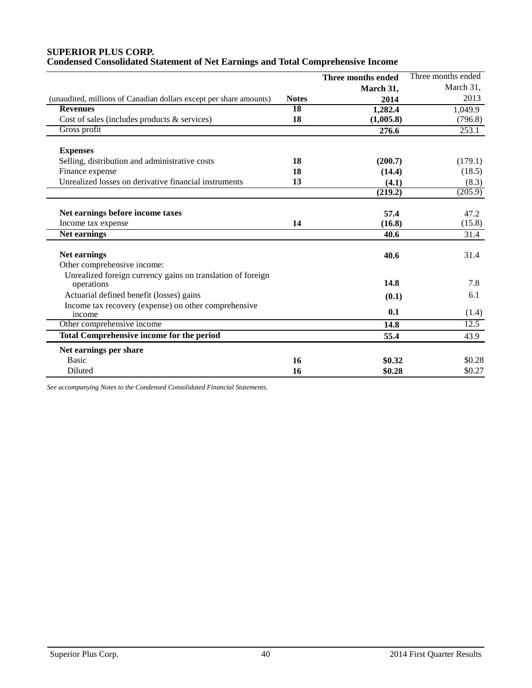#### **SUPERIOR PLUS CORP. Condensed Consolidated Statement of Net Earnings and Total Comprehensive Income**

|                                                                           |              | Three months ended | Three months ended |
|---------------------------------------------------------------------------|--------------|--------------------|--------------------|
|                                                                           |              | March 31,          | March 31,          |
| (unaudited, millions of Canadian dollars except per share amounts)        | <b>Notes</b> | 2014               | 2013               |
| <b>Revenues</b>                                                           | 18           | 1,282.4            | 1,049.9            |
| Cost of sales (includes products $&$ services)                            | 18           | (1,005.8)          | (796.8)            |
| Gross profit                                                              |              | 276.6              | 253.1              |
| <b>Expenses</b>                                                           |              |                    |                    |
| Selling, distribution and administrative costs                            | 18           | (200.7)            | (179.1)            |
| Finance expense                                                           | 18           | (14.4)             | (18.5)             |
| Unrealized losses on derivative financial instruments                     | 13           | (4.1)              | (8.3)              |
|                                                                           |              | (219.2)            | (205.9)            |
|                                                                           |              |                    |                    |
| Net earnings before income taxes                                          |              | 57.4               | 47.2               |
| Income tax expense                                                        | 14           | (16.8)             | (15.8)             |
| Net earnings                                                              |              | 40.6               | 31.4               |
| Net earnings                                                              |              | 40.6               | 31.4               |
| Other comprehensive income:                                               |              |                    |                    |
| Unrealized foreign currency gains on translation of foreign<br>operations |              | 14.8               | 7.8                |
| Actuarial defined benefit (losses) gains                                  |              | (0.1)              | 6.1                |
| Income tax recovery (expense) on other comprehensive<br>income            |              | 0.1                | (1.4)              |
| Other comprehensive income                                                |              | 14.8               | 12.5               |
| <b>Total Comprehensive income for the period</b>                          |              | 55.4               | 43.9               |
| Net earnings per share                                                    |              |                    |                    |
| <b>Basic</b>                                                              | 16           | \$0.32             | \$0.28             |
| Diluted                                                                   | 16           | \$0.28             | \$0.27             |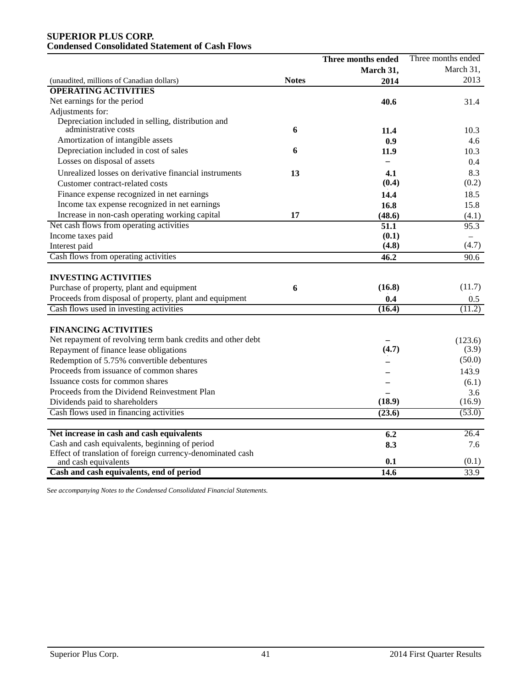#### **SUPERIOR PLUS CORP. Condensed Consolidated Statement of Cash Flows**

|                                                                                       |              | Three months ended | Three months ended |
|---------------------------------------------------------------------------------------|--------------|--------------------|--------------------|
|                                                                                       |              | March 31,          | March 31,          |
| (unaudited, millions of Canadian dollars)                                             | <b>Notes</b> | 2014               | 2013               |
| <b>OPERATING ACTIVITIES</b>                                                           |              |                    |                    |
| Net earnings for the period                                                           |              | 40.6               | 31.4               |
| Adjustments for:                                                                      |              |                    |                    |
| Depreciation included in selling, distribution and                                    |              |                    |                    |
| administrative costs                                                                  | 6            | 11.4               | 10.3               |
| Amortization of intangible assets                                                     |              | 0.9                | 4.6                |
| Depreciation included in cost of sales                                                | 6            | 11.9               | 10.3               |
| Losses on disposal of assets                                                          |              |                    | 0.4                |
| Unrealized losses on derivative financial instruments                                 | 13           | 4.1                | 8.3                |
| Customer contract-related costs                                                       |              | (0.4)              | (0.2)              |
| Finance expense recognized in net earnings                                            |              | 14.4               | 18.5               |
| Income tax expense recognized in net earnings                                         |              | 16.8               | 15.8               |
| Increase in non-cash operating working capital                                        | 17           | (48.6)             | (4.1)              |
| Net cash flows from operating activities                                              |              | 51.1               | 95.3               |
| Income taxes paid                                                                     |              | (0.1)              | $\qquad \qquad -$  |
| Interest paid                                                                         |              | (4.8)              | (4.7)              |
| Cash flows from operating activities                                                  |              | 46.2               | 90.6               |
|                                                                                       |              |                    |                    |
| <b>INVESTING ACTIVITIES</b>                                                           |              |                    |                    |
| Purchase of property, plant and equipment                                             | 6            | (16.8)             | (11.7)             |
| Proceeds from disposal of property, plant and equipment                               |              | 0.4                | 0.5                |
| Cash flows used in investing activities                                               |              | (16.4)             | (11.2)             |
|                                                                                       |              |                    |                    |
| <b>FINANCING ACTIVITIES</b>                                                           |              |                    |                    |
| Net repayment of revolving term bank credits and other debt                           |              | (4.7)              | (123.6)<br>(3.9)   |
| Repayment of finance lease obligations                                                |              |                    | (50.0)             |
| Redemption of 5.75% convertible debentures<br>Proceeds from issuance of common shares |              |                    |                    |
|                                                                                       |              |                    | 143.9              |
| Issuance costs for common shares                                                      |              |                    | (6.1)              |
| Proceeds from the Dividend Reinvestment Plan                                          |              |                    | 3.6                |
| Dividends paid to shareholders                                                        |              | (18.9)             | (16.9)             |
| Cash flows used in financing activities                                               |              | (23.6)             | (53.0)             |
| Net increase in cash and cash equivalents                                             |              | 6.2                | 26.4               |
| Cash and cash equivalents, beginning of period                                        |              |                    |                    |
| Effect of translation of foreign currency-denominated cash                            |              | 8.3                | 7.6                |
| and cash equivalents                                                                  |              | 0.1                | (0.1)              |
| Cash and cash equivalents, end of period                                              |              | 14.6               | 33.9               |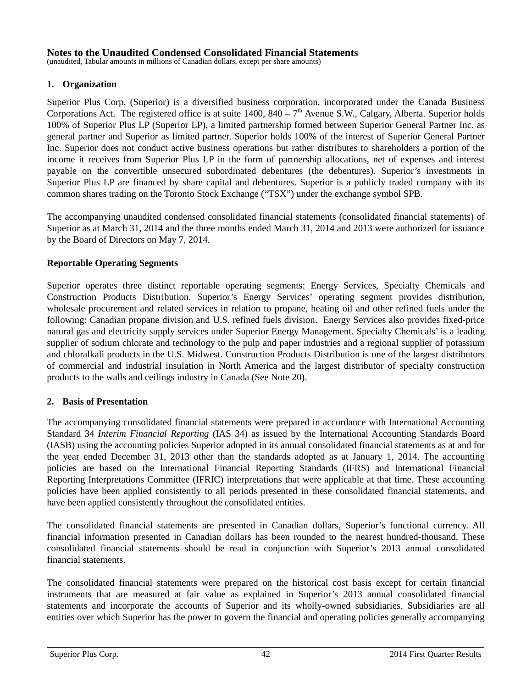# **Notes to the Unaudited Condensed Consolidated Financial Statements**

(unaudited, Tabular amounts in millions of Canadian dollars, except per share amounts)

#### **1. Organization**

Superior Plus Corp. (Superior) is a diversified business corporation, incorporated under the Canada Business Corporations Act. The registered office is at suite  $1400$ ,  $840 - 7<sup>th</sup>$  Avenue S.W., Calgary, Alberta. Superior holds 100% of Superior Plus LP (Superior LP), a limited partnership formed between Superior General Partner Inc. as general partner and Superior as limited partner. Superior holds 100% of the interest of Superior General Partner Inc. Superior does not conduct active business operations but rather distributes to shareholders a portion of the income it receives from Superior Plus LP in the form of partnership allocations, net of expenses and interest payable on the convertible unsecured subordinated debentures (the debentures). Superior's investments in Superior Plus LP are financed by share capital and debentures. Superior is a publicly traded company with its common shares trading on the Toronto Stock Exchange ("TSX") under the exchange symbol SPB.

The accompanying unaudited condensed consolidated financial statements (consolidated financial statements) of Superior as at March 31, 2014 and the three months ended March 31, 2014 and 2013 were authorized for issuance by the Board of Directors on May 7, 2014.

#### **Reportable Operating Segments**

Superior operates three distinct reportable operating segments: Energy Services, Specialty Chemicals and Construction Products Distribution. Superior's Energy Services' operating segment provides distribution, wholesale procurement and related services in relation to propane, heating oil and other refined fuels under the following: Canadian propane division and U.S. refined fuels division. Energy Services also provides fixed-price natural gas and electricity supply services under Superior Energy Management. Specialty Chemicals' is a leading supplier of sodium chlorate and technology to the pulp and paper industries and a regional supplier of potassium and chloralkali products in the U.S. Midwest. Construction Products Distribution is one of the largest distributors of commercial and industrial insulation in North America and the largest distributor of specialty construction products to the walls and ceilings industry in Canada (See Note 20).

#### **2. Basis of Presentation**

The accompanying consolidated financial statements were prepared in accordance with International Accounting Standard 34 *Interim Financial Reporting* (IAS 34) as issued by the International Accounting Standards Board (IASB) using the accounting policies Superior adopted in its annual consolidated financial statements as at and for the year ended December 31, 2013 other than the standards adopted as at January 1, 2014. The accounting policies are based on the International Financial Reporting Standards (IFRS) and International Financial Reporting Interpretations Committee (IFRIC) interpretations that were applicable at that time. These accounting policies have been applied consistently to all periods presented in these consolidated financial statements, and have been applied consistently throughout the consolidated entities.

The consolidated financial statements are presented in Canadian dollars, Superior's functional currency. All financial information presented in Canadian dollars has been rounded to the nearest hundred-thousand. These consolidated financial statements should be read in conjunction with Superior's 2013 annual consolidated financial statements.

The consolidated financial statements were prepared on the historical cost basis except for certain financial instruments that are measured at fair value as explained in Superior's 2013 annual consolidated financial statements and incorporate the accounts of Superior and its wholly-owned subsidiaries. Subsidiaries are all entities over which Superior has the power to govern the financial and operating policies generally accompanying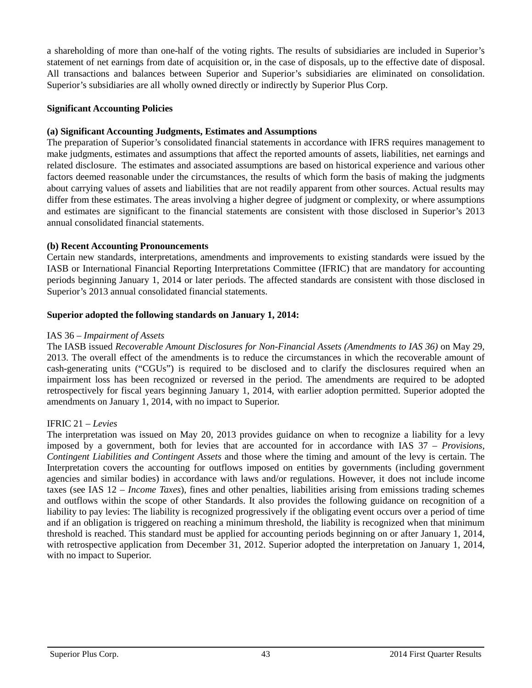a shareholding of more than one-half of the voting rights. The results of subsidiaries are included in Superior's statement of net earnings from date of acquisition or, in the case of disposals, up to the effective date of disposal. All transactions and balances between Superior and Superior's subsidiaries are eliminated on consolidation. Superior's subsidiaries are all wholly owned directly or indirectly by Superior Plus Corp.

### **Significant Accounting Policies**

# **(a) Significant Accounting Judgments, Estimates and Assumptions**

The preparation of Superior's consolidated financial statements in accordance with IFRS requires management to make judgments, estimates and assumptions that affect the reported amounts of assets, liabilities, net earnings and related disclosure. The estimates and associated assumptions are based on historical experience and various other factors deemed reasonable under the circumstances, the results of which form the basis of making the judgments about carrying values of assets and liabilities that are not readily apparent from other sources. Actual results may differ from these estimates. The areas involving a higher degree of judgment or complexity, or where assumptions and estimates are significant to the financial statements are consistent with those disclosed in Superior's 2013 annual consolidated financial statements.

# **(b) Recent Accounting Pronouncements**

Certain new standards, interpretations, amendments and improvements to existing standards were issued by the IASB or International Financial Reporting Interpretations Committee (IFRIC) that are mandatory for accounting periods beginning January 1, 2014 or later periods. The affected standards are consistent with those disclosed in Superior's 2013 annual consolidated financial statements.

#### **Superior adopted the following standards on January 1, 2014:**

#### IAS 36 *– Impairment of Assets*

The IASB issued *Recoverable Amount Disclosures for Non-Financial Assets (Amendments to IAS 36)* on May 29, 2013. The overall effect of the amendments is to reduce the circumstances in which the recoverable amount of cash-generating units ("CGUs") is required to be disclosed and to clarify the disclosures required when an impairment loss has been recognized or reversed in the period. The amendments are required to be adopted retrospectively for fiscal years beginning January 1, 2014, with earlier adoption permitted. Superior adopted the amendments on January 1, 2014, with no impact to Superior.

# IFRIC 21 *– Levies*

The interpretation was issued on May 20, 2013 provides guidance on when to recognize a liability for a levy imposed by a government, both for levies that are accounted for in accordance with IAS 37 – *Provisions, Contingent Liabilities and Contingent Assets* and those where the timing and amount of the levy is certain. The Interpretation covers the accounting for outflows imposed on entities by governments (including government agencies and similar bodies) in accordance with laws and/or regulations. However, it does not include income taxes (see IAS 12 – *Income Taxes*), fines and other penalties, liabilities arising from emissions trading schemes and outflows within the scope of other Standards. It also provides the following guidance on recognition of a liability to pay levies: The liability is recognized progressively if the obligating event occurs over a period of time and if an obligation is triggered on reaching a minimum threshold, the liability is recognized when that minimum threshold is reached. This standard must be applied for accounting periods beginning on or after January 1, 2014, with retrospective application from December 31, 2012. Superior adopted the interpretation on January 1, 2014, with no impact to Superior.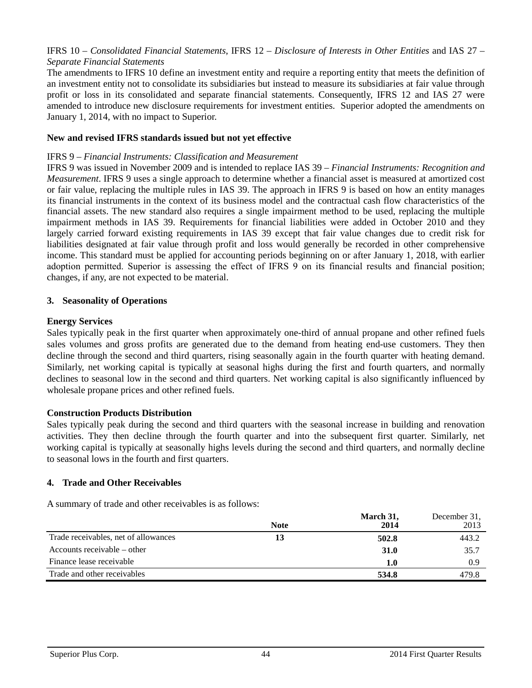#### IFRS 10 – *Consolidated Financial Statements*, IFRS 12 – *Disclosure of Interests in Other Entities* and IAS 27 – *Separate Financial Statements*

The amendments to IFRS 10 define an investment entity and require a reporting entity that meets the definition of an investment entity not to consolidate its subsidiaries but instead to measure its subsidiaries at fair value through profit or loss in its consolidated and separate financial statements. Consequently, IFRS 12 and IAS 27 were amended to introduce new disclosure requirements for investment entities. Superior adopted the amendments on January 1, 2014, with no impact to Superior.

#### **New and revised IFRS standards issued but not yet effective**

#### IFRS 9 – *Financial Instruments: Classification and Measurement*

IFRS 9 was issued in November 2009 and is intended to replace IAS 39 – *Financial Instruments: Recognition and Measurement*. IFRS 9 uses a single approach to determine whether a financial asset is measured at amortized cost or fair value, replacing the multiple rules in IAS 39. The approach in IFRS 9 is based on how an entity manages its financial instruments in the context of its business model and the contractual cash flow characteristics of the financial assets. The new standard also requires a single impairment method to be used, replacing the multiple impairment methods in IAS 39. Requirements for financial liabilities were added in October 2010 and they largely carried forward existing requirements in IAS 39 except that fair value changes due to credit risk for liabilities designated at fair value through profit and loss would generally be recorded in other comprehensive income. This standard must be applied for accounting periods beginning on or after January 1, 2018, with earlier adoption permitted. Superior is assessing the effect of IFRS 9 on its financial results and financial position; changes, if any, are not expected to be material.

#### **3. Seasonality of Operations**

#### **Energy Services**

Sales typically peak in the first quarter when approximately one-third of annual propane and other refined fuels sales volumes and gross profits are generated due to the demand from heating end-use customers. They then decline through the second and third quarters, rising seasonally again in the fourth quarter with heating demand. Similarly, net working capital is typically at seasonal highs during the first and fourth quarters, and normally declines to seasonal low in the second and third quarters. Net working capital is also significantly influenced by wholesale propane prices and other refined fuels.

#### **Construction Products Distribution**

Sales typically peak during the second and third quarters with the seasonal increase in building and renovation activities. They then decline through the fourth quarter and into the subsequent first quarter. Similarly, net working capital is typically at seasonally highs levels during the second and third quarters, and normally decline to seasonal lows in the fourth and first quarters.

#### **4. Trade and Other Receivables**

A summary of trade and other receivables is as follows:

|                                      | <b>Note</b> | March 31,<br>2014 | December 31,<br>2013 |
|--------------------------------------|-------------|-------------------|----------------------|
| Trade receivables, net of allowances | 13          | 502.8             | 443.2                |
| Accounts receivable – other          |             | <b>31.0</b>       | 35.7                 |
| Finance lease receivable             |             | 1.0               | 0.9                  |
| Trade and other receivables          |             | 534.8             | 479.8                |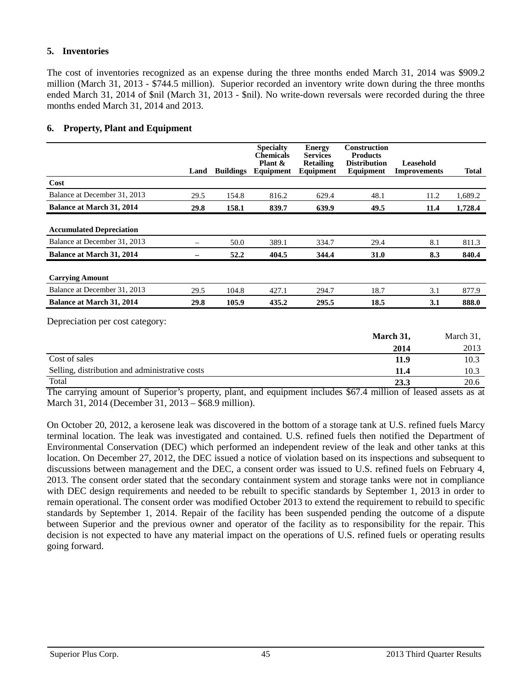### **5. Inventories**

The cost of inventories recognized as an expense during the three months ended March 31, 2014 was \$909.2 million (March 31, 2013 - \$744.5 million). Superior recorded an inventory write down during the three months ended March 31, 2014 of \$nil (March 31, 2013 - \$nil). No write-down reversals were recorded during the three months ended March 31, 2014 and 2013.

### **6. Property, Plant and Equipment**

|                                  |      |                  | <b>Specialty</b><br><b>Chemicals</b> | <b>Energy</b><br><b>Services</b> | <b>Construction</b><br><b>Products</b> |                                  |              |
|----------------------------------|------|------------------|--------------------------------------|----------------------------------|----------------------------------------|----------------------------------|--------------|
|                                  | Land | <b>Buildings</b> | Plant &<br>Equipment                 | <b>Retailing</b><br>Equipment    | <b>Distribution</b><br>Equipment       | Leasehold<br><b>Improvements</b> | <b>Total</b> |
| Cost                             |      |                  |                                      |                                  |                                        |                                  |              |
| Balance at December 31, 2013     | 29.5 | 154.8            | 816.2                                | 629.4                            | 48.1                                   | 11.2                             | 1,689.2      |
| <b>Balance at March 31, 2014</b> | 29.8 | 158.1            | 839.7                                | 639.9                            | 49.5                                   | 11.4                             | 1,728.4      |
| <b>Accumulated Depreciation</b>  |      |                  |                                      |                                  |                                        |                                  |              |
| Balance at December 31, 2013     |      | 50.0             | 389.1                                | 334.7                            | 29.4                                   | 8.1                              | 811.3        |
| <b>Balance at March 31, 2014</b> |      | 52.2             | 404.5                                | 344.4                            | 31.0                                   | 8.3                              | 840.4        |
| <b>Carrying Amount</b>           |      |                  |                                      |                                  |                                        |                                  |              |
| Balance at December 31, 2013     | 29.5 | 104.8            | 427.1                                | 294.7                            | 18.7                                   | 3.1                              | 877.9        |
| <b>Balance at March 31, 2014</b> | 29.8 | 105.9            | 435.2                                | 295.5                            | 18.5                                   | 3.1                              | 888.0        |

Depreciation per cost category:

|                                                | March 31,                                                          | March 31, |
|------------------------------------------------|--------------------------------------------------------------------|-----------|
|                                                | 2014                                                               | 2013      |
| Cost of sales                                  | 11.9                                                               | 10.3      |
| Selling, distribution and administrative costs | 11.4                                                               | 10.3      |
| Total<br>$\overline{a}$                        | 23.3<br><br>$\overline{a}$<br>$\wedge$ $\sim$ $\sim$ $\sim$ $\sim$ | 20.6      |

The carrying amount of Superior's property, plant, and equipment includes \$67.4 million of leased assets as at March 31, 2014 (December 31, 2013 – \$68.9 million).

On October 20, 2012, a kerosene leak was discovered in the bottom of a storage tank at U.S. refined fuels Marcy terminal location. The leak was investigated and contained. U.S. refined fuels then notified the Department of Environmental Conservation (DEC) which performed an independent review of the leak and other tanks at this location. On December 27, 2012, the DEC issued a notice of violation based on its inspections and subsequent to discussions between management and the DEC, a consent order was issued to U.S. refined fuels on February 4, 2013. The consent order stated that the secondary containment system and storage tanks were not in compliance with DEC design requirements and needed to be rebuilt to specific standards by September 1, 2013 in order to remain operational. The consent order was modified October 2013 to extend the requirement to rebuild to specific standards by September 1, 2014. Repair of the facility has been suspended pending the outcome of a dispute between Superior and the previous owner and operator of the facility as to responsibility for the repair. This decision is not expected to have any material impact on the operations of U.S. refined fuels or operating results going forward.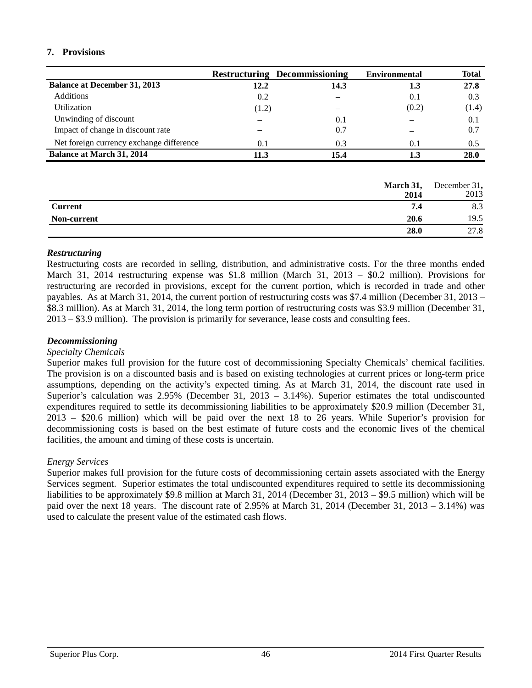#### **7. Provisions**

|                                          |       | <b>Restructuring Decommissioning</b> | <b>Environmental</b> | <b>Total</b> |
|------------------------------------------|-------|--------------------------------------|----------------------|--------------|
| <b>Balance at December 31, 2013</b>      | 12.2  | 14.3                                 | 1.3                  | 27.8         |
| <b>Additions</b>                         | 0.2   |                                      | 0.1                  | 0.3          |
| Utilization                              | (1.2) |                                      | (0.2)                | (1.4)        |
| Unwinding of discount                    |       | 0.1                                  |                      | 0.1          |
| Impact of change in discount rate        |       | 0.7                                  |                      | 0.7          |
| Net foreign currency exchange difference | 0.1   | 0.3                                  | 0.1                  | 0.5          |
| <b>Balance at March 31, 2014</b>         | 11.3  | 15.4                                 |                      | 28.0         |

|                | March 31,<br>2014 | December 31,<br>2013 |
|----------------|-------------------|----------------------|
| <b>Current</b> | 7.4               | 8.3                  |
| Non-current    | 20.6              | 19.5                 |
|                | 28.0              | 27.8                 |

#### *Restructuring*

Restructuring costs are recorded in selling, distribution, and administrative costs. For the three months ended March 31, 2014 restructuring expense was \$1.8 million (March 31, 2013 – \$0.2 million). Provisions for restructuring are recorded in provisions, except for the current portion, which is recorded in trade and other payables. As at March 31, 2014, the current portion of restructuring costs was \$7.4 million (December 31, 2013 – \$8.3 million). As at March 31, 2014, the long term portion of restructuring costs was \$3.9 million (December 31, 2013 – \$3.9 million). The provision is primarily for severance, lease costs and consulting fees.

#### *Decommissioning*

#### *Specialty Chemicals*

Superior makes full provision for the future cost of decommissioning Specialty Chemicals' chemical facilities. The provision is on a discounted basis and is based on existing technologies at current prices or long-term price assumptions, depending on the activity's expected timing. As at March 31, 2014, the discount rate used in Superior's calculation was 2.95% (December 31, 2013 – 3.14%). Superior estimates the total undiscounted expenditures required to settle its decommissioning liabilities to be approximately \$20.9 million (December 31, 2013 – \$20.6 million) which will be paid over the next 18 to 26 years. While Superior's provision for decommissioning costs is based on the best estimate of future costs and the economic lives of the chemical facilities, the amount and timing of these costs is uncertain.

#### *Energy Services*

Superior makes full provision for the future costs of decommissioning certain assets associated with the Energy Services segment. Superior estimates the total undiscounted expenditures required to settle its decommissioning liabilities to be approximately \$9.8 million at March 31, 2014 (December 31, 2013 – \$9.5 million) which will be paid over the next 18 years. The discount rate of 2.95% at March 31, 2014 (December 31, 2013 – 3.14%) was used to calculate the present value of the estimated cash flows.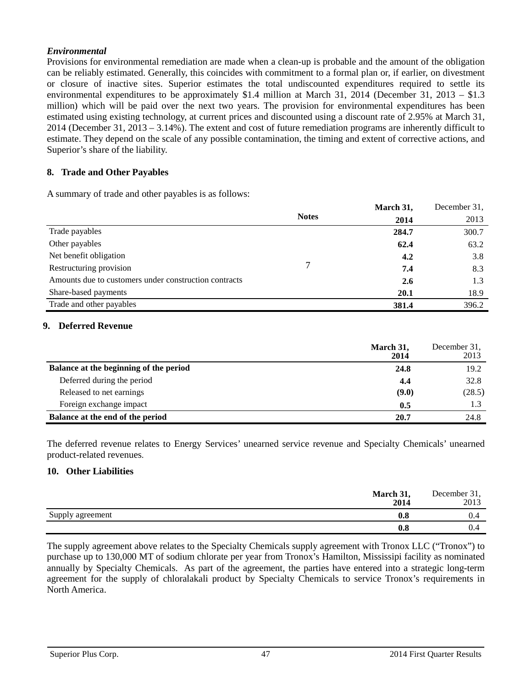# *Environmental*

Provisions for environmental remediation are made when a clean-up is probable and the amount of the obligation can be reliably estimated. Generally, this coincides with commitment to a formal plan or, if earlier, on divestment or closure of inactive sites. Superior estimates the total undiscounted expenditures required to settle its environmental expenditures to be approximately \$1.4 million at March 31, 2014 (December 31, 2013 – \$1.3 million) which will be paid over the next two years. The provision for environmental expenditures has been estimated using existing technology, at current prices and discounted using a discount rate of 2.95% at March 31, 2014 (December 31, 2013 – 3.14%). The extent and cost of future remediation programs are inherently difficult to estimate. They depend on the scale of any possible contamination, the timing and extent of corrective actions, and Superior's share of the liability.

# **8. Trade and Other Payables**

A summary of trade and other payables is as follows:

|                                                       |              | March 31, | December 31. |
|-------------------------------------------------------|--------------|-----------|--------------|
|                                                       | <b>Notes</b> | 2014      | 2013         |
| Trade payables                                        |              | 284.7     | 300.7        |
| Other payables                                        |              | 62.4      | 63.2         |
| Net benefit obligation                                |              | 4.2       | 3.8          |
| Restructuring provision                               | 7            | 7.4       | 8.3          |
| Amounts due to customers under construction contracts |              | 2.6       | 1.3          |
| Share-based payments                                  |              | 20.1      | 18.9         |
| Trade and other payables                              |              | 381.4     | 396.2        |

#### **9. Deferred Revenue**

|                                        | March 31,<br>2014 | December 31,<br>2013 |
|----------------------------------------|-------------------|----------------------|
| Balance at the beginning of the period | 24.8              | 19.2                 |
| Deferred during the period             | 4.4               | 32.8                 |
| Released to net earnings               | (9.0)             | (28.5)               |
| Foreign exchange impact                | 0.5               | 1.3                  |
| Balance at the end of the period       | 20.7              | 24.8                 |

The deferred revenue relates to Energy Services' unearned service revenue and Specialty Chemicals' unearned product-related revenues.

#### **10. Other Liabilities**

|                  | March 31,<br>2014 | December 31,<br>2013 |
|------------------|-------------------|----------------------|
| Supply agreement | 0.8               | ∪.∸                  |
|                  | 0.8               | V.4                  |

The supply agreement above relates to the Specialty Chemicals supply agreement with Tronox LLC ("Tronox") to purchase up to 130,000 MT of sodium chlorate per year from Tronox's Hamilton, Mississipi facility as nominated annually by Specialty Chemicals. As part of the agreement, the parties have entered into a strategic long-term agreement for the supply of chloralakali product by Specialty Chemicals to service Tronox's requirements in North America.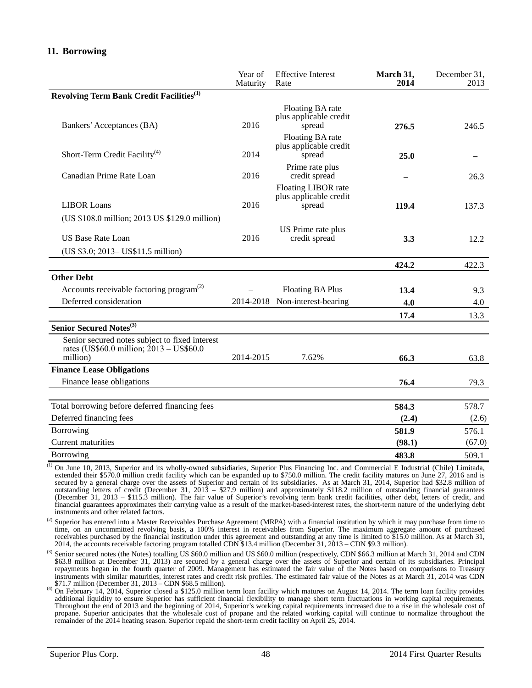#### **11. Borrowing**

|                                                                                                         | Year of<br>Maturity | <b>Effective Interest</b><br>Rate                       | March 31,<br>2014 | December 31,<br>2013 |
|---------------------------------------------------------------------------------------------------------|---------------------|---------------------------------------------------------|-------------------|----------------------|
| <b>Revolving Term Bank Credit Facilities</b> <sup>(1)</sup>                                             |                     |                                                         |                   |                      |
| Bankers' Acceptances (BA)                                                                               | 2016                | Floating BA rate<br>plus applicable credit<br>spread    | 276.5             | 246.5                |
| Short-Term Credit Facility <sup>(4)</sup>                                                               | 2014                | Floating BA rate<br>plus applicable credit<br>spread    | 25.0              |                      |
| Canadian Prime Rate Loan                                                                                | 2016                | Prime rate plus<br>credit spread                        |                   | 26.3                 |
| <b>LIBOR</b> Loans<br>(US \$108.0 million; 2013 US \$129.0 million)                                     | 2016                | Floating LIBOR rate<br>plus applicable credit<br>spread | 119.4             | 137.3                |
| <b>US Base Rate Loan</b><br>(US \$3.0; 2013– US\$11.5 million)                                          | 2016                | US Prime rate plus<br>credit spread                     | 3.3               | 12.2                 |
|                                                                                                         |                     |                                                         | 424.2             | 422.3                |
| <b>Other Debt</b>                                                                                       |                     |                                                         |                   |                      |
| Accounts receivable factoring program <sup>(2)</sup>                                                    |                     | <b>Floating BA Plus</b>                                 | 13.4              | 9.3                  |
| Deferred consideration                                                                                  |                     | 2014-2018 Non-interest-bearing                          | 4.0               | 4.0                  |
|                                                                                                         |                     |                                                         | 17.4              | 13.3                 |
| <b>Senior Secured Notes</b> <sup>(3)</sup>                                                              |                     |                                                         |                   |                      |
| Senior secured notes subject to fixed interest<br>rates (US\$60.0 million; $2013 - US$60.0$<br>million) | 2014-2015           | 7.62%                                                   | 66.3              | 63.8                 |
| <b>Finance Lease Obligations</b>                                                                        |                     |                                                         |                   |                      |
| Finance lease obligations                                                                               |                     |                                                         | 76.4              | 79.3                 |
|                                                                                                         |                     |                                                         |                   |                      |
| Total borrowing before deferred financing fees                                                          |                     |                                                         | 584.3             | 578.7                |
| Deferred financing fees                                                                                 |                     |                                                         | (2.4)             | (2.6)                |
| Borrowing                                                                                               |                     |                                                         | 581.9             | 576.1                |
| <b>Current maturities</b>                                                                               |                     |                                                         | (98.1)            | (67.0)               |
| Borrowing                                                                                               |                     |                                                         | 483.8             | 509.1                |

(1) On June 10, 2013, Superior and its wholly-owned subsidiaries, Superior Plus Financing Inc. and Commercial E Industrial (Chile) Limitada, extended their \$570.0 million credit facility which can be expanded up to \$750.0 million. The credit facility matures on June 27, 2016 and is secured by a general charge over the assets of Superior and certain of its subsidiaries. As at March 31, 2014, Superior had \$32.8 million of outstanding letters of credit (December 31, 2013 – \$27.9 million) and approximately \$118.2 million of outstanding financial guarantees (December 31, 2013 – \$115.3 million). The fair value of Superior's revolving term bank credit facilities, other debt, letters of credit, and financial guarantees approximates their carrying value as a result of the market-based-interest rates, the short-term nature of the underlying debt instruments and other related factors.

<sup>(2)</sup> Superior has entered into a Master Receivables Purchase Agreement (MRPA) with a financial institution by which it may purchase from time to time, on an uncommitted revolving basis, a 100% interest in receivables from Superior. The maximum aggregate amount of purchased receivables purchased by the financial institution under this agreement and outstanding at any time is limited to \$15.0 million. As at March 31, 2014, the accounts receivable factoring program totalled CDN \$13.4 million (December 31, 2013 – CDN \$9.3 million).

<sup>(3)</sup> Senior secured notes (the Notes) totalling US \$60.0 million and US \$60.0 million (respectively, CDN \$66.3 million at March 31, 2014 and CDN \$63.8 million at December 31, 2013) are secured by a general charge over the assets of Superior and certain of its subsidiaries. Principal repayments began in the fourth quarter of 2009. Management has estimated the fair value of the Notes based on comparisons to Treasury instruments with similar maturities, interest rates and credit risk profiles. The estimated fair value of the Notes as at March 31, 2014 was CDN

\$71.7 million (December 31, 2013 – CDN \$68.5 million).<br>(4) On February 14, 2014, Superior closed a \$125.0 million term loan facility which matures on August 14, 2014. The term loan facility provides additional liquidity to ensure Superior has sufficient financial flexibility to manage short term fluctuations in working capital requirements. Throughout the end of 2013 and the beginning of 2014, Superior's working capital requirements increased due to a rise in the wholesale cost of propane. Superior anticipates that the wholesale cost of propane and the related working capital will continue to normalize throughout the remainder of the 2014 heating season. Superior repaid the short-term credit facility on April 25, 2014.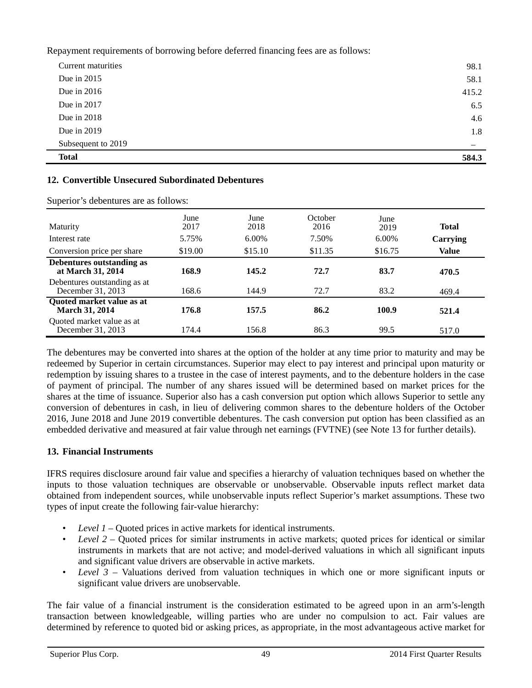Repayment requirements of borrowing before deferred financing fees are as follows:

| <b>Total</b>       | 584.3 |
|--------------------|-------|
| Subsequent to 2019 |       |
| Due in 2019        | 1.8   |
| Due in 2018        | 4.6   |
| Due in 2017        | 6.5   |
| Due in 2016        | 415.2 |
| Due in $2015$      | 58.1  |
| Current maturities | 98.1  |
|                    |       |

# **12. Convertible Unsecured Subordinated Debentures**

| Maturity                                          | June<br>2017 | June<br>2018 | October<br>2016 | June<br>2019 | <b>Total</b> |  |  |  |
|---------------------------------------------------|--------------|--------------|-----------------|--------------|--------------|--|--|--|
| Interest rate                                     | 5.75%        | 6.00%        | 7.50%           | 6.00%        | Carrying     |  |  |  |
| Conversion price per share                        | \$19.00      | \$15.10      | \$11.35         | \$16.75      | <b>Value</b> |  |  |  |
| Debentures outstanding as<br>at March 31, 2014    | 168.9        | 145.2        | 72.7            | 83.7         | 470.5        |  |  |  |
| Debentures outstanding as at<br>December 31, 2013 | 168.6        | 144.9        | 72.7            | 83.2         | 469.4        |  |  |  |
| Quoted market value as at<br>March 31, 2014       | 176.8        | 157.5        | 86.2            | 100.9        | 521.4        |  |  |  |
| Quoted market value as at<br>December 31, 2013    | 174.4        | 156.8        | 86.3            | 99.5         | 517.0        |  |  |  |

Superior's debentures are as follows:

The debentures may be converted into shares at the option of the holder at any time prior to maturity and may be redeemed by Superior in certain circumstances. Superior may elect to pay interest and principal upon maturity or redemption by issuing shares to a trustee in the case of interest payments, and to the debenture holders in the case of payment of principal. The number of any shares issued will be determined based on market prices for the shares at the time of issuance. Superior also has a cash conversion put option which allows Superior to settle any conversion of debentures in cash, in lieu of delivering common shares to the debenture holders of the October 2016, June 2018 and June 2019 convertible debentures. The cash conversion put option has been classified as an embedded derivative and measured at fair value through net earnings (FVTNE) (see Note 13 for further details).

# **13. Financial Instruments**

IFRS requires disclosure around fair value and specifies a hierarchy of valuation techniques based on whether the inputs to those valuation techniques are observable or unobservable. Observable inputs reflect market data obtained from independent sources, while unobservable inputs reflect Superior's market assumptions. These two types of input create the following fair-value hierarchy:

- *Level 1* Quoted prices in active markets for identical instruments.
- *Level 2* Quoted prices for similar instruments in active markets; quoted prices for identical or similar instruments in markets that are not active; and model-derived valuations in which all significant inputs and significant value drivers are observable in active markets.
- Level 3 Valuations derived from valuation techniques in which one or more significant inputs or significant value drivers are unobservable.

The fair value of a financial instrument is the consideration estimated to be agreed upon in an arm's-length transaction between knowledgeable, willing parties who are under no compulsion to act. Fair values are determined by reference to quoted bid or asking prices, as appropriate, in the most advantageous active market for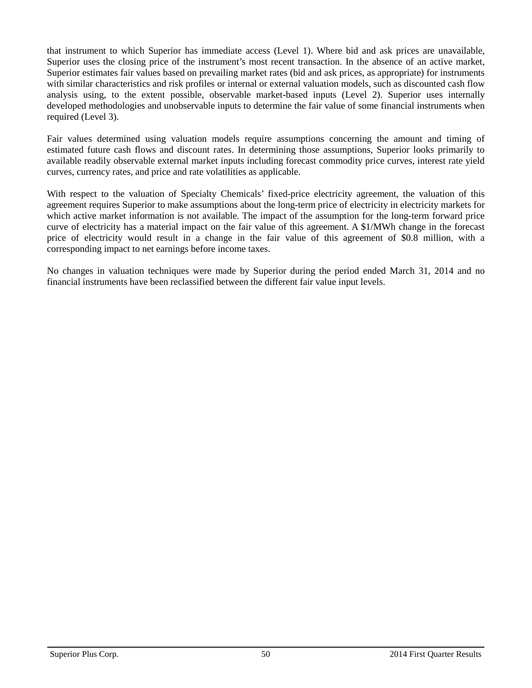that instrument to which Superior has immediate access (Level 1). Where bid and ask prices are unavailable, Superior uses the closing price of the instrument's most recent transaction. In the absence of an active market, Superior estimates fair values based on prevailing market rates (bid and ask prices, as appropriate) for instruments with similar characteristics and risk profiles or internal or external valuation models, such as discounted cash flow analysis using, to the extent possible, observable market-based inputs (Level 2). Superior uses internally developed methodologies and unobservable inputs to determine the fair value of some financial instruments when required (Level 3).

Fair values determined using valuation models require assumptions concerning the amount and timing of estimated future cash flows and discount rates. In determining those assumptions, Superior looks primarily to available readily observable external market inputs including forecast commodity price curves, interest rate yield curves, currency rates, and price and rate volatilities as applicable.

With respect to the valuation of Specialty Chemicals' fixed-price electricity agreement, the valuation of this agreement requires Superior to make assumptions about the long-term price of electricity in electricity markets for which active market information is not available. The impact of the assumption for the long-term forward price curve of electricity has a material impact on the fair value of this agreement. A \$1/MWh change in the forecast price of electricity would result in a change in the fair value of this agreement of \$0.8 million, with a corresponding impact to net earnings before income taxes.

No changes in valuation techniques were made by Superior during the period ended March 31, 2014 and no financial instruments have been reclassified between the different fair value input levels.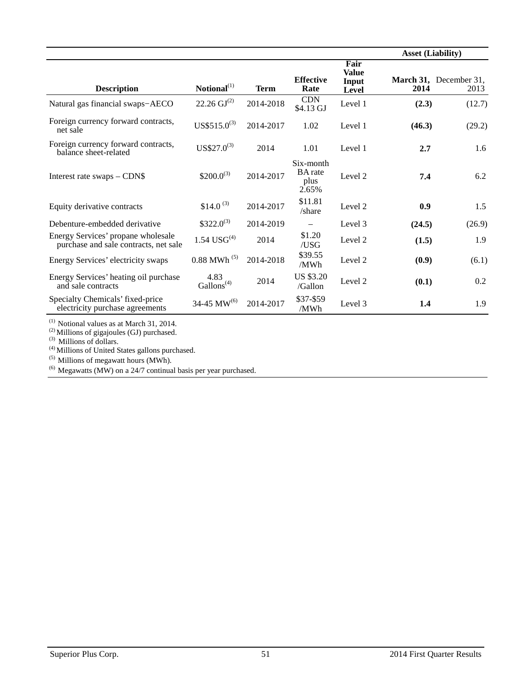|                                                                             |                                        |             |                                              |                                        | <b>Asset (Liability)</b> |                                |  |  |
|-----------------------------------------------------------------------------|----------------------------------------|-------------|----------------------------------------------|----------------------------------------|--------------------------|--------------------------------|--|--|
| <b>Description</b>                                                          | Notional <sup>(1)</sup>                | <b>Term</b> | <b>Effective</b><br>Rate                     | Fair<br><b>Value</b><br>Input<br>Level | 2014                     | March 31, December 31,<br>2013 |  |  |
| Natural gas financial swaps-AECO                                            | 22.26 $GI^{(2)}$                       | 2014-2018   | <b>CDN</b><br>\$4.13 GJ                      | Level 1                                | (2.3)                    | (12.7)                         |  |  |
| Foreign currency forward contracts,<br>net sale                             | $US$515.0^{(3)}$                       | 2014-2017   | 1.02                                         | Level 1                                | (46.3)                   | (29.2)                         |  |  |
| Foreign currency forward contracts,<br>balance sheet-related                | $US$27.0^{(3)}$                        | 2014        | 1.01                                         | Level 1                                | 2.7                      | 1.6                            |  |  |
| Interest rate swaps – CDN\$                                                 | $$200.0^{(3)}$                         | 2014-2017   | Six-month<br><b>BA</b> rate<br>plus<br>2.65% | Level 2                                | 7.4                      | 6.2                            |  |  |
| Equity derivative contracts                                                 | \$14.0 <sup>(3)</sup>                  | 2014-2017   | \$11.81<br>/share                            | Level 2                                | 0.9                      | 1.5                            |  |  |
| Debenture-embedded derivative                                               | $$322.0^{(3)}$                         | 2014-2019   | $\overbrace{\phantom{1232211}}$              | Level 3                                | (24.5)                   | (26.9)                         |  |  |
| Energy Services' propane wholesale<br>purchase and sale contracts, net sale | $1.54$ USG <sup>(4)</sup>              | 2014        | \$1.20<br>/USG                               | Level 2                                | (1.5)                    | 1.9                            |  |  |
| Energy Services' electricity swaps                                          | $0.88$ MWh <sup><math>(5)</math></sup> | 2014-2018   | \$39.55<br>/MWh                              | Level 2                                | (0.9)                    | (6.1)                          |  |  |
| Energy Services' heating oil purchase<br>and sale contracts                 | 4.83<br>Gallons <sup>(4)</sup>         | 2014        | <b>US \$3.20</b><br>/Gallon                  | Level 2                                | (0.1)                    | 0.2                            |  |  |
| Specialty Chemicals' fixed-price<br>electricity purchase agreements         | 34-45 $MW^{(6)}$                       | 2014-2017   | \$37-\$59<br>/MWh                            | Level 3                                | 1.4                      | 1.9                            |  |  |

 $(1)$  Notional values as at March 31, 2014.

 $^{(2)}$  Millions of gigajoules (GJ) purchased.

(3) Millions of dollars.

<sup>(4)</sup> Millions of United States gallons purchased.

 $<sup>(5)</sup>$  Millions of megawatt hours (MWh).</sup>

 $<sup>(6)</sup>$  Megawatts (MW) on a 24/7 continual basis per year purchased.</sup>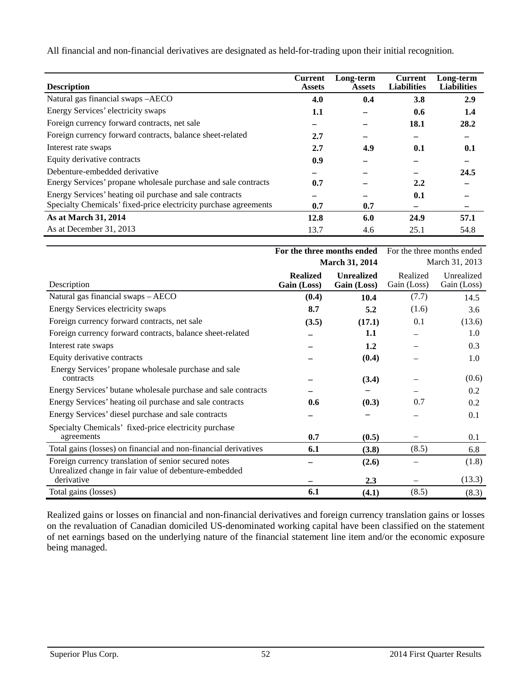All financial and non-financial derivatives are designated as held-for-trading upon their initial recognition.

| <b>Description</b>                                               | <b>Current</b><br><b>Assets</b> | Long-term<br><b>Assets</b> | <b>Current</b><br><b>Liabilities</b> | Long-term<br><b>Liabilities</b> |
|------------------------------------------------------------------|---------------------------------|----------------------------|--------------------------------------|---------------------------------|
| Natural gas financial swaps -AECO                                | 4.0                             | 0.4                        | 3.8                                  | 2.9                             |
| Energy Services' electricity swaps                               | 1.1                             |                            | 0.6                                  | 1.4                             |
| Foreign currency forward contracts, net sale                     |                                 |                            | 18.1                                 | 28.2                            |
| Foreign currency forward contracts, balance sheet-related        | 2.7                             |                            |                                      |                                 |
| Interest rate swaps                                              | 2.7                             | 4.9                        | 0.1                                  | 0.1                             |
| Equity derivative contracts                                      | 0.9                             |                            |                                      |                                 |
| Debenture-embedded derivative                                    |                                 |                            |                                      | 24.5                            |
| Energy Services' propane wholesale purchase and sale contracts   | 0.7                             |                            | 2.2                                  |                                 |
| Energy Services' heating oil purchase and sale contracts         |                                 |                            | 0.1                                  |                                 |
| Specialty Chemicals' fixed-price electricity purchase agreements | 0.7                             | 0.7                        |                                      |                                 |
| As at March 31, 2014                                             | 12.8                            | 6.0                        | 24.9                                 | 57.1                            |
| As at December 31, 2013                                          | 13.7                            | 4.6                        | 25.1                                 | 54.8                            |

|                                                                     | For the three months ended     |                                  | For the three months ended |                           |  |
|---------------------------------------------------------------------|--------------------------------|----------------------------------|----------------------------|---------------------------|--|
|                                                                     |                                | <b>March 31, 2014</b>            | March 31, 2013             |                           |  |
| Description                                                         | <b>Realized</b><br>Gain (Loss) | <b>Unrealized</b><br>Gain (Loss) | Realized<br>Gain (Loss)    | Unrealized<br>Gain (Loss) |  |
| Natural gas financial swaps - AECO                                  | (0.4)                          | 10.4                             | (7.7)                      | 14.5                      |  |
| Energy Services electricity swaps                                   | 8.7                            | 5.2                              | (1.6)                      | 3.6                       |  |
| Foreign currency forward contracts, net sale                        | (3.5)                          | (17.1)                           | 0.1                        | (13.6)                    |  |
| Foreign currency forward contracts, balance sheet-related           |                                | 1.1                              |                            | 1.0                       |  |
| Interest rate swaps                                                 |                                | 1.2                              |                            | 0.3                       |  |
| Equity derivative contracts                                         |                                | (0.4)                            |                            | 1.0                       |  |
| Energy Services' propane wholesale purchase and sale<br>contracts   |                                | (3.4)                            |                            | (0.6)                     |  |
| Energy Services' butane wholesale purchase and sale contracts       |                                |                                  |                            | 0.2                       |  |
| Energy Services' heating oil purchase and sale contracts            | 0.6                            | (0.3)                            | 0.7                        | 0.2                       |  |
| Energy Services' diesel purchase and sale contracts                 |                                |                                  |                            | 0.1                       |  |
| Specialty Chemicals' fixed-price electricity purchase<br>agreements | 0.7                            | (0.5)                            |                            | 0.1                       |  |
| Total gains (losses) on financial and non-financial derivatives     | 6.1                            | (3.8)                            | (8.5)                      | 6.8                       |  |
| Foreign currency translation of senior secured notes                |                                | (2.6)                            |                            | (1.8)                     |  |
| Unrealized change in fair value of debenture-embedded<br>derivative |                                | 2.3                              |                            | (13.3)                    |  |
| Total gains (losses)                                                | 6.1                            | (4.1)                            | (8.5)                      | (8.3)                     |  |

Realized gains or losses on financial and non-financial derivatives and foreign currency translation gains or losses on the revaluation of Canadian domiciled US-denominated working capital have been classified on the statement of net earnings based on the underlying nature of the financial statement line item and/or the economic exposure being managed.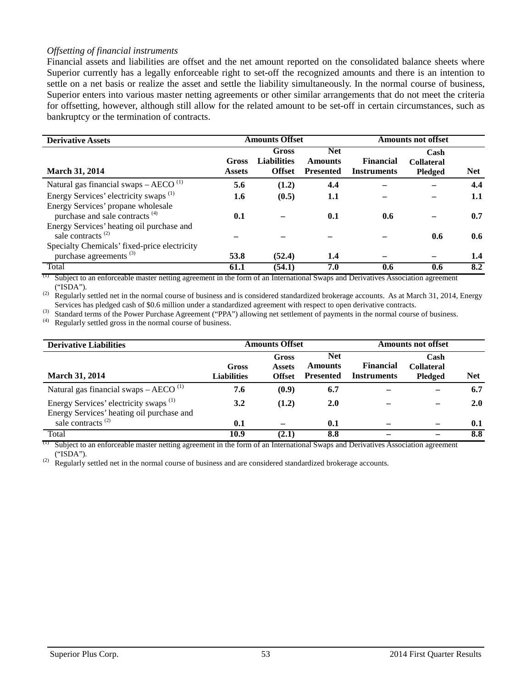#### *Offsetting of financial instruments*

Financial assets and liabilities are offset and the net amount reported on the consolidated balance sheets where Superior currently has a legally enforceable right to set-off the recognized amounts and there is an intention to settle on a net basis or realize the asset and settle the liability simultaneously. In the normal course of business, Superior enters into various master netting agreements or other similar arrangements that do not meet the criteria for offsetting, however, although still allow for the related amount to be set-off in certain circumstances, such as bankruptcy or the termination of contracts.

| <b>Derivative Assets</b>                                                           | <b>Amounts Offset</b>  |                                              |                                                  | <b>Amounts</b> not offset              |                                      |            |
|------------------------------------------------------------------------------------|------------------------|----------------------------------------------|--------------------------------------------------|----------------------------------------|--------------------------------------|------------|
| <b>March 31, 2014</b>                                                              | Gross<br><b>Assets</b> | Gross<br><b>Liabilities</b><br><b>Offset</b> | <b>Net</b><br><b>Amounts</b><br><b>Presented</b> | <b>Financial</b><br><b>Instruments</b> | Cash<br><b>Collateral</b><br>Pledged | <b>Net</b> |
| Natural gas financial swaps $-$ AECO <sup><math>(1)</math></sup>                   | 5.6                    | (1.2)                                        | 4.4                                              |                                        |                                      | 4.4        |
| Energy Services' electricity swaps <sup>(1)</sup>                                  | 1.6                    | (0.5)                                        | 1.1                                              |                                        |                                      | 1.1        |
| Energy Services' propane wholesale<br>purchase and sale contracts <sup>(4)</sup>   | 0.1                    |                                              | 0.1                                              | 0.6                                    |                                      | 0.7        |
| Energy Services' heating oil purchase and<br>sale contracts <sup>(2)</sup>         |                        |                                              |                                                  |                                        | 0.6                                  | 0.6        |
| Specialty Chemicals' fixed-price electricity<br>purchase agreements <sup>(3)</sup> | 53.8                   | (52.4)                                       | 1.4                                              |                                        |                                      | 1.4        |
| Total                                                                              | 61.1                   | (54.1)                                       | 7.0                                              | 0.6                                    | 0.6                                  | 8.2        |

Subject to an enforceable master netting agreement in the form of an International Swaps and Derivatives Association agreement ("ISDA").

(2) Regularly settled net in the normal course of business and is considered standardized brokerage accounts. As at March 31, 2014, Energy Services has pledged cash of \$0.6 million under a standardized agreement with respect to open derivative contracts.

(3) Standard terms of the Power Purchase Agreement ("PPA") allowing net settlement of payments in the normal course of business.<br>(4) Recularly settled cross in the normal course of business

Regularly settled gross in the normal course of business.

| <b>Derivative Liabilities</b>                                                                  | <b>Amounts Offset</b>       |                                                |                                                  | <b>Amounts not offset</b>       |                                      |            |  |
|------------------------------------------------------------------------------------------------|-----------------------------|------------------------------------------------|--------------------------------------------------|---------------------------------|--------------------------------------|------------|--|
| <b>March 31, 2014</b>                                                                          | Gross<br><b>Liabilities</b> | <b>Gross</b><br><b>Assets</b><br><b>Offset</b> | <b>Net</b><br><b>Amounts</b><br><b>Presented</b> | <b>Financial</b><br>Instruments | Cash<br><b>Collateral</b><br>Pledged | <b>Net</b> |  |
| Natural gas financial swaps $-$ AECO <sup><math>(1)</math></sup>                               | 7.6                         | (0.9)                                          | 6.7                                              |                                 |                                      | 6.7        |  |
| Energy Services' electricity swaps <sup>(1)</sup><br>Energy Services' heating oil purchase and | 3.2                         | (1.2)                                          | 2.0                                              |                                 |                                      | 2.0        |  |
| sale contracts <sup><math>(2)</math></sup>                                                     | 0.1                         |                                                | 0.1                                              |                                 |                                      | 0.1        |  |
| Total                                                                                          | 10.9                        | (2.1)                                          | 8.8                                              |                                 |                                      | 8.8        |  |

 $<sup>(1)</sup>$  Subject to an enforceable master netting agreement in the form of an International Swaps and Derivatives Association agreement</sup> ("ISDA").

<sup>(2)</sup> Regularly settled net in the normal course of business and are considered standardized brokerage accounts.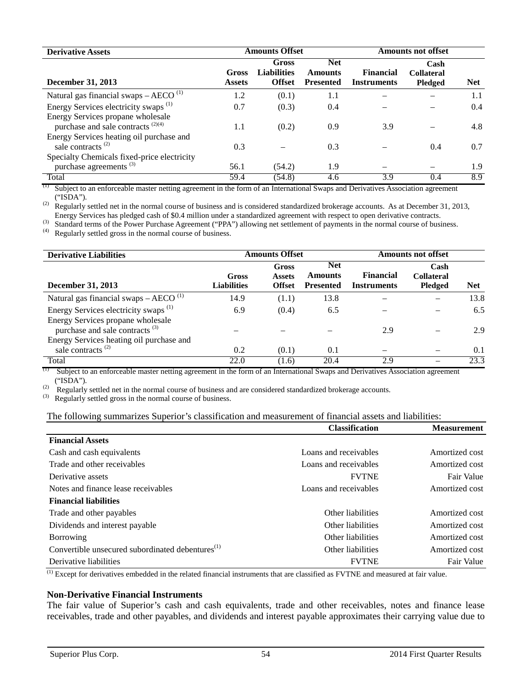| <b>Derivative Assets</b>                                                          |                        | <b>Amounts Offset</b>                 |                                                  | <b>Amounts not offset</b>              |                                      |            |
|-----------------------------------------------------------------------------------|------------------------|---------------------------------------|--------------------------------------------------|----------------------------------------|--------------------------------------|------------|
| December 31, 2013                                                                 | Gross<br><b>Assets</b> | Gross<br>Liabilities<br><b>Offset</b> | <b>Net</b><br><b>Amounts</b><br><b>Presented</b> | <b>Financial</b><br><b>Instruments</b> | Cash<br><b>Collateral</b><br>Pledged | <b>Net</b> |
| Natural gas financial swaps $-$ AECO <sup><math>(1)</math></sup>                  | 1.2                    | (0.1)                                 | 1.1                                              |                                        |                                      | 1.1        |
| Energy Services electricity swaps <sup>(1)</sup>                                  | 0.7                    | (0.3)                                 | 0.4                                              |                                        |                                      | 0.4        |
| Energy Services propane wholesale<br>purchase and sale contracts $(2)(4)$         | 1.1                    | (0.2)                                 | 0.9                                              | 3.9                                    |                                      | 4.8        |
| Energy Services heating oil purchase and<br>sale contracts <sup>(2)</sup>         | 0.3                    |                                       | 0.3                                              |                                        | 0.4                                  | 0.7        |
| Specialty Chemicals fixed-price electricity<br>purchase agreements <sup>(3)</sup> | 56.1                   | (54.2)                                | 1.9                                              |                                        |                                      | 1.9        |
| Total                                                                             | 59.4                   | (54.8)                                | 4.6                                              | 3.9                                    | 0.4                                  | 8.9        |

Subject to an enforceable master netting agreement in the form of an International Swaps and Derivatives Association agreement ("ISDA").

 $(2)$  Regularly settled net in the normal course of business and is considered standardized brokerage accounts. As at December 31, 2013, Energy Services has pledged cash of \$0.4 million under a standardized agreement with respect to open derivative contracts.

<sup>(3)</sup> Standard terms of the Power Purchase Agreement ("PPA") allowing net settlement of payments in the normal course of business.

 $(4)$  Regularly settled gross in the normal course of business.

| <b>Derivative Liabilities</b>                                                                                               | <b>Amounts Offset</b>       |                                                |                                                  | <b>Amounts not offset</b>              |                                      |            |
|-----------------------------------------------------------------------------------------------------------------------------|-----------------------------|------------------------------------------------|--------------------------------------------------|----------------------------------------|--------------------------------------|------------|
| December 31, 2013                                                                                                           | Gross<br><b>Liabilities</b> | <b>Gross</b><br><b>Assets</b><br><b>Offset</b> | <b>Net</b><br><b>Amounts</b><br><b>Presented</b> | <b>Financial</b><br><b>Instruments</b> | Cash<br><b>Collateral</b><br>Pledged | <b>Net</b> |
| Natural gas financial swaps $-$ AECO <sup><math>(1)</math></sup>                                                            | 14.9                        | (1.1)                                          | 13.8                                             |                                        |                                      | 13.8       |
| Energy Services electricity swaps <sup>(1)</sup>                                                                            | 6.9                         | (0.4)                                          | 6.5                                              |                                        |                                      | 6.5        |
| Energy Services propane wholesale<br>purchase and sale contracts <sup>(3)</sup><br>Energy Services heating oil purchase and |                             |                                                |                                                  | 2.9                                    |                                      | 2.9        |
| sale contracts <sup>(2)</sup>                                                                                               | 0.2                         | (0.1)                                          | 0.1                                              |                                        |                                      | 0.1        |
| Total                                                                                                                       | 22.0                        | (1.6)                                          | 20.4                                             | 2.9                                    |                                      | 23.3       |

 $\overline{u}$  Subject to an enforceable master netting agreement in the form of an International Swaps and Derivatives Association agreement ("ISDA").

<sup>(2)</sup> Regularly settled net in the normal course of business and are considered standardized brokerage accounts.

(3) Regularly settled gross in the normal course of business.

#### The following summarizes Superior's classification and measurement of financial assets and liabilities:

|                                                        | <b>Classification</b> | <b>Measurement</b> |
|--------------------------------------------------------|-----------------------|--------------------|
| <b>Financial Assets</b>                                |                       |                    |
| Cash and cash equivalents                              | Loans and receivables | Amortized cost     |
| Trade and other receivables                            | Loans and receivables | Amortized cost     |
| Derivative assets                                      | <b>FVTNE</b>          | Fair Value         |
| Notes and finance lease receivables                    | Loans and receivables | Amortized cost     |
| <b>Financial liabilities</b>                           |                       |                    |
| Trade and other payables                               | Other liabilities     | Amortized cost     |
| Dividends and interest payable                         | Other liabilities     | Amortized cost     |
| Borrowing                                              | Other liabilities     | Amortized cost     |
| Convertible unsecured subordinated debentures $^{(1)}$ | Other liabilities     | Amortized cost     |
| Derivative liabilities                                 | <b>FVTNE</b>          | Fair Value         |

 $<sup>(1)</sup>$  Except for derivatives embedded in the related financial instruments that are classified as FVTNE and measured at fair value.</sup>

#### **Non-Derivative Financial Instruments**

The fair value of Superior's cash and cash equivalents, trade and other receivables, notes and finance lease receivables, trade and other payables, and dividends and interest payable approximates their carrying value due to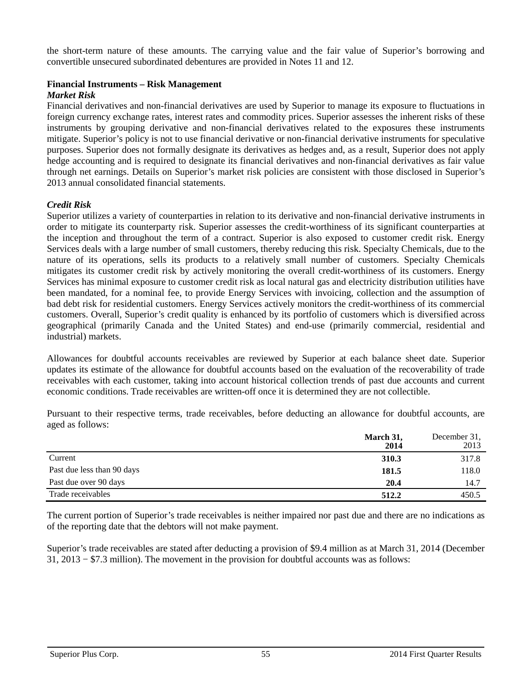the short-term nature of these amounts. The carrying value and the fair value of Superior's borrowing and convertible unsecured subordinated debentures are provided in Notes 11 and 12.

# **Financial Instruments – Risk Management**

# *Market Risk*

Financial derivatives and non-financial derivatives are used by Superior to manage its exposure to fluctuations in foreign currency exchange rates, interest rates and commodity prices. Superior assesses the inherent risks of these instruments by grouping derivative and non-financial derivatives related to the exposures these instruments mitigate. Superior's policy is not to use financial derivative or non-financial derivative instruments for speculative purposes. Superior does not formally designate its derivatives as hedges and, as a result, Superior does not apply hedge accounting and is required to designate its financial derivatives and non-financial derivatives as fair value through net earnings. Details on Superior's market risk policies are consistent with those disclosed in Superior's 2013 annual consolidated financial statements.

# *Credit Risk*

Superior utilizes a variety of counterparties in relation to its derivative and non-financial derivative instruments in order to mitigate its counterparty risk. Superior assesses the credit-worthiness of its significant counterparties at the inception and throughout the term of a contract. Superior is also exposed to customer credit risk. Energy Services deals with a large number of small customers, thereby reducing this risk. Specialty Chemicals, due to the nature of its operations, sells its products to a relatively small number of customers. Specialty Chemicals mitigates its customer credit risk by actively monitoring the overall credit-worthiness of its customers. Energy Services has minimal exposure to customer credit risk as local natural gas and electricity distribution utilities have been mandated, for a nominal fee, to provide Energy Services with invoicing, collection and the assumption of bad debt risk for residential customers. Energy Services actively monitors the credit-worthiness of its commercial customers. Overall, Superior's credit quality is enhanced by its portfolio of customers which is diversified across geographical (primarily Canada and the United States) and end-use (primarily commercial, residential and industrial) markets.

Allowances for doubtful accounts receivables are reviewed by Superior at each balance sheet date. Superior updates its estimate of the allowance for doubtful accounts based on the evaluation of the recoverability of trade receivables with each customer, taking into account historical collection trends of past due accounts and current economic conditions. Trade receivables are written-off once it is determined they are not collectible.

|                            | March 31,<br>2014 | December 31,<br>2013 |
|----------------------------|-------------------|----------------------|
| Current                    | 310.3             | 317.8                |
| Past due less than 90 days | 181.5             | 118.0                |
| Past due over 90 days      | 20.4              | 14.7                 |
| Trade receivables          | 512.2             | 450.5                |

Pursuant to their respective terms, trade receivables, before deducting an allowance for doubtful accounts, are aged as follows:

The current portion of Superior's trade receivables is neither impaired nor past due and there are no indications as of the reporting date that the debtors will not make payment.

Superior's trade receivables are stated after deducting a provision of \$9.4 million as at March 31, 2014 (December 31, 2013 − \$7.3 million). The movement in the provision for doubtful accounts was as follows: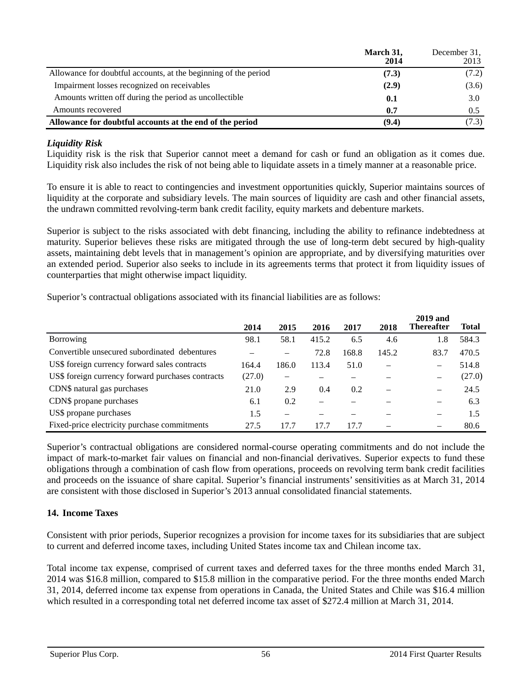|                                                                 | March 31,<br>2014 | December 31.<br>2013 |
|-----------------------------------------------------------------|-------------------|----------------------|
| Allowance for doubtful accounts, at the beginning of the period | (7.3)             | (7.2)                |
| Impairment losses recognized on receivables                     | (2.9)             | (3.6)                |
| Amounts written off during the period as uncollectible          | 0.1               | 3.0                  |
| Amounts recovered                                               | 0.7               | 0.5                  |
| Allowance for doubtful accounts at the end of the period        | (9.4)             | (7.3)                |

# *Liquidity Risk*

Liquidity risk is the risk that Superior cannot meet a demand for cash or fund an obligation as it comes due. Liquidity risk also includes the risk of not being able to liquidate assets in a timely manner at a reasonable price.

To ensure it is able to react to contingencies and investment opportunities quickly, Superior maintains sources of liquidity at the corporate and subsidiary levels. The main sources of liquidity are cash and other financial assets, the undrawn committed revolving-term bank credit facility, equity markets and debenture markets.

Superior is subject to the risks associated with debt financing, including the ability to refinance indebtedness at maturity. Superior believes these risks are mitigated through the use of long-term debt secured by high-quality assets, maintaining debt levels that in management's opinion are appropriate, and by diversifying maturities over an extended period. Superior also seeks to include in its agreements terms that protect it from liquidity issues of counterparties that might otherwise impact liquidity.

|                                                   |        |       |       |       |                          | <b>2019</b> and |              |
|---------------------------------------------------|--------|-------|-------|-------|--------------------------|-----------------|--------------|
|                                                   | 2014   | 2015  | 2016  | 2017  | 2018                     | Thereafter      | <b>Total</b> |
| Borrowing                                         | 98.1   | 58.1  | 415.2 | 6.5   | 4.6                      | 1.8             | 584.3        |
| Convertible unsecured subordinated debentures     |        |       | 72.8  | 168.8 | 145.2                    | 83.7            | 470.5        |
| US\$ foreign currency forward sales contracts     | 164.4  | 186.0 | 113.4 | 51.0  | $\overline{\phantom{0}}$ |                 | 514.8        |
| US\$ foreign currency forward purchases contracts | (27.0) |       |       |       |                          |                 | (27.0)       |
| CDN\$ natural gas purchases                       | 21.0   | 2.9   | 0.4   | 0.2   |                          |                 | 24.5         |
| CDN\$ propane purchases                           | 6.1    | 0.2   |       |       |                          |                 | 6.3          |
| US\$ propane purchases                            | 1.5    |       |       |       |                          |                 | 1.5          |
| Fixed-price electricity purchase commitments      | 27.5   | 17.7  | 17.7  | 17.7  |                          |                 | 80.6         |

Superior's contractual obligations associated with its financial liabilities are as follows:

Superior's contractual obligations are considered normal-course operating commitments and do not include the impact of mark-to-market fair values on financial and non-financial derivatives. Superior expects to fund these obligations through a combination of cash flow from operations, proceeds on revolving term bank credit facilities and proceeds on the issuance of share capital. Superior's financial instruments' sensitivities as at March 31, 2014 are consistent with those disclosed in Superior's 2013 annual consolidated financial statements.

#### **14. Income Taxes**

Consistent with prior periods, Superior recognizes a provision for income taxes for its subsidiaries that are subject to current and deferred income taxes, including United States income tax and Chilean income tax.

Total income tax expense, comprised of current taxes and deferred taxes for the three months ended March 31, 2014 was \$16.8 million, compared to \$15.8 million in the comparative period. For the three months ended March 31, 2014, deferred income tax expense from operations in Canada, the United States and Chile was \$16.4 million which resulted in a corresponding total net deferred income tax asset of \$272.4 million at March 31, 2014.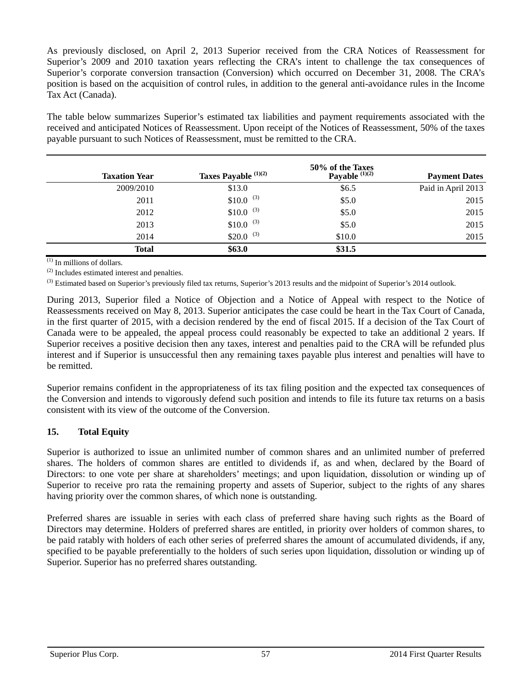As previously disclosed, on April 2, 2013 Superior received from the CRA Notices of Reassessment for Superior's 2009 and 2010 taxation years reflecting the CRA's intent to challenge the tax consequences of Superior's corporate conversion transaction (Conversion) which occurred on December 31, 2008. The CRA's position is based on the acquisition of control rules, in addition to the general anti-avoidance rules in the Income Tax Act (Canada).

The table below summarizes Superior's estimated tax liabilities and payment requirements associated with the received and anticipated Notices of Reassessment. Upon receipt of the Notices of Reassessment, 50% of the taxes payable pursuant to such Notices of Reassessment, must be remitted to the CRA.

| <b>Taxation Year</b> | Taxes Payable (1)(2)   | 50% of the Taxes<br>Payable $^{(1)(2)}$ | <b>Payment Dates</b> |
|----------------------|------------------------|-----------------------------------------|----------------------|
| 2009/2010            | \$13.0                 | \$6.5                                   | Paid in April 2013   |
| 2011                 | $$10.0$ (3)            | \$5.0                                   | 2015                 |
| 2012                 | $$10.0$ (3)            | \$5.0                                   | 2015                 |
| 2013                 | $$10.0$ (3)            | \$5.0                                   | 2015                 |
| 2014                 | $$20.0$ <sup>(3)</sup> | \$10.0                                  | 2015                 |
| Total                | \$63.0                 | \$31.5                                  |                      |

 $\overline{^{(1)}}$  In millions of dollars.

(2) Includes estimated interest and penalties.

<sup>(3)</sup> Estimated based on Superior's previously filed tax returns, Superior's 2013 results and the midpoint of Superior's 2014 outlook.

During 2013, Superior filed a Notice of Objection and a Notice of Appeal with respect to the Notice of Reassessments received on May 8, 2013. Superior anticipates the case could be heart in the Tax Court of Canada, in the first quarter of 2015, with a decision rendered by the end of fiscal 2015. If a decision of the Tax Court of Canada were to be appealed, the appeal process could reasonably be expected to take an additional 2 years. If Superior receives a positive decision then any taxes, interest and penalties paid to the CRA will be refunded plus interest and if Superior is unsuccessful then any remaining taxes payable plus interest and penalties will have to be remitted.

Superior remains confident in the appropriateness of its tax filing position and the expected tax consequences of the Conversion and intends to vigorously defend such position and intends to file its future tax returns on a basis consistent with its view of the outcome of the Conversion.

#### **15. Total Equity**

Superior is authorized to issue an unlimited number of common shares and an unlimited number of preferred shares. The holders of common shares are entitled to dividends if, as and when, declared by the Board of Directors: to one vote per share at shareholders' meetings; and upon liquidation, dissolution or winding up of Superior to receive pro rata the remaining property and assets of Superior, subject to the rights of any shares having priority over the common shares, of which none is outstanding.

Preferred shares are issuable in series with each class of preferred share having such rights as the Board of Directors may determine. Holders of preferred shares are entitled, in priority over holders of common shares, to be paid ratably with holders of each other series of preferred shares the amount of accumulated dividends, if any, specified to be payable preferentially to the holders of such series upon liquidation, dissolution or winding up of Superior. Superior has no preferred shares outstanding.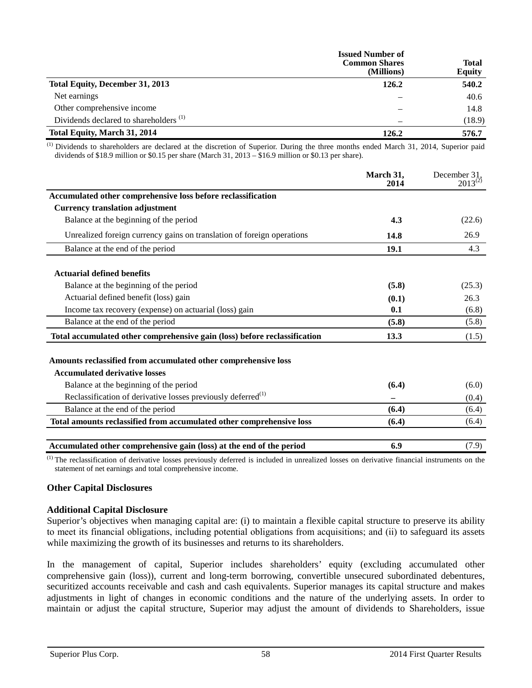|                                                   | <b>Issued Number of</b><br><b>Common Shares</b><br>(Millions) | <b>Total</b><br><b>Equity</b> |
|---------------------------------------------------|---------------------------------------------------------------|-------------------------------|
| Total Equity, December 31, 2013                   | 126.2                                                         | 540.2                         |
| Net earnings                                      |                                                               | 40.6                          |
| Other comprehensive income                        |                                                               | 14.8                          |
| Dividends declared to shareholders <sup>(1)</sup> |                                                               | (18.9)                        |
| Total Equity, March 31, 2014                      | 126.2                                                         | 576.7                         |

(1) Dividends to shareholders are declared at the discretion of Superior. During the three months ended March 31, 2014, Superior paid dividends of \$18.9 million or \$0.15 per share (March 31, 2013 – \$16.9 million or \$0.13 per share).

|                                                                           | March 31,<br>2014 | December 31.<br>$2013^{(2)}$ |
|---------------------------------------------------------------------------|-------------------|------------------------------|
| Accumulated other comprehensive loss before reclassification              |                   |                              |
| <b>Currency translation adjustment</b>                                    |                   |                              |
| Balance at the beginning of the period                                    | 4.3               | (22.6)                       |
| Unrealized foreign currency gains on translation of foreign operations    | 14.8              | 26.9                         |
| Balance at the end of the period                                          | 19.1              | 4.3                          |
| <b>Actuarial defined benefits</b>                                         |                   |                              |
| Balance at the beginning of the period                                    | (5.8)             | (25.3)                       |
| Actuarial defined benefit (loss) gain                                     | (0.1)             | 26.3                         |
| Income tax recovery (expense) on actuarial (loss) gain                    | 0.1               | (6.8)                        |
| Balance at the end of the period                                          | (5.8)             | (5.8)                        |
| Total accumulated other comprehensive gain (loss) before reclassification | 13.3              | (1.5)                        |
| Amounts reclassified from accumulated other comprehensive loss            |                   |                              |
| <b>Accumulated derivative losses</b>                                      |                   |                              |
| Balance at the beginning of the period                                    | (6.4)             | (6.0)                        |
| Reclassification of derivative losses previously deferred <sup>(1)</sup>  |                   | (0.4)                        |
| Balance at the end of the period                                          | (6.4)             | (6.4)                        |
| Total amounts reclassified from accumulated other comprehensive loss      | (6.4)             | (6.4)                        |
| Accumulated other comprehensive gain (loss) at the end of the period      | 6.9               | (7.9)                        |

 $<sup>(1)</sup>$  The reclassification of derivative losses previously deferred is included in unrealized losses on derivative financial instruments on the</sup> statement of net earnings and total comprehensive income.

#### **Other Capital Disclosures**

#### **Additional Capital Disclosure**

Superior's objectives when managing capital are: (i) to maintain a flexible capital structure to preserve its ability to meet its financial obligations, including potential obligations from acquisitions; and (ii) to safeguard its assets while maximizing the growth of its businesses and returns to its shareholders.

In the management of capital, Superior includes shareholders' equity (excluding accumulated other comprehensive gain (loss)), current and long-term borrowing, convertible unsecured subordinated debentures, securitized accounts receivable and cash and cash equivalents. Superior manages its capital structure and makes adjustments in light of changes in economic conditions and the nature of the underlying assets. In order to maintain or adjust the capital structure, Superior may adjust the amount of dividends to Shareholders, issue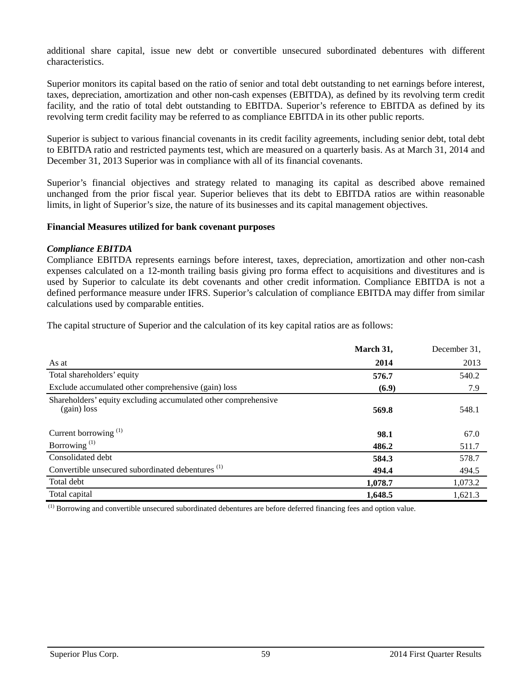additional share capital, issue new debt or convertible unsecured subordinated debentures with different characteristics.

Superior monitors its capital based on the ratio of senior and total debt outstanding to net earnings before interest, taxes, depreciation, amortization and other non-cash expenses (EBITDA), as defined by its revolving term credit facility, and the ratio of total debt outstanding to EBITDA. Superior's reference to EBITDA as defined by its revolving term credit facility may be referred to as compliance EBITDA in its other public reports.

Superior is subject to various financial covenants in its credit facility agreements, including senior debt, total debt to EBITDA ratio and restricted payments test, which are measured on a quarterly basis. As at March 31, 2014 and December 31, 2013 Superior was in compliance with all of its financial covenants.

Superior's financial objectives and strategy related to managing its capital as described above remained unchanged from the prior fiscal year. Superior believes that its debt to EBITDA ratios are within reasonable limits, in light of Superior's size, the nature of its businesses and its capital management objectives.

#### **Financial Measures utilized for bank covenant purposes**

#### *Compliance EBITDA*

Compliance EBITDA represents earnings before interest, taxes, depreciation, amortization and other non-cash expenses calculated on a 12-month trailing basis giving pro forma effect to acquisitions and divestitures and is used by Superior to calculate its debt covenants and other credit information. Compliance EBITDA is not a defined performance measure under IFRS. Superior's calculation of compliance EBITDA may differ from similar calculations used by comparable entities.

The capital structure of Superior and the calculation of its key capital ratios are as follows:

|                                                                                 | March 31, | December 31, |
|---------------------------------------------------------------------------------|-----------|--------------|
| As at                                                                           | 2014      | 2013         |
| Total shareholders' equity                                                      | 576.7     | 540.2        |
| Exclude accumulated other comprehensive (gain) loss                             | (6.9)     | 7.9          |
| Shareholders' equity excluding accumulated other comprehensive<br>$(gain)$ loss | 569.8     | 548.1        |
| Current borrowing $(1)$                                                         | 98.1      | 67.0         |
| Borrowing <sup>(1)</sup>                                                        | 486.2     | 511.7        |
| Consolidated debt                                                               | 584.3     | 578.7        |
| Convertible unsecured subordinated debentures <sup>(1)</sup>                    | 494.4     | 494.5        |
| Total debt                                                                      | 1,078.7   | 1,073.2      |
| Total capital                                                                   | 1.648.5   | 1.621.3      |

(1) Borrowing and convertible unsecured subordinated debentures are before deferred financing fees and option value.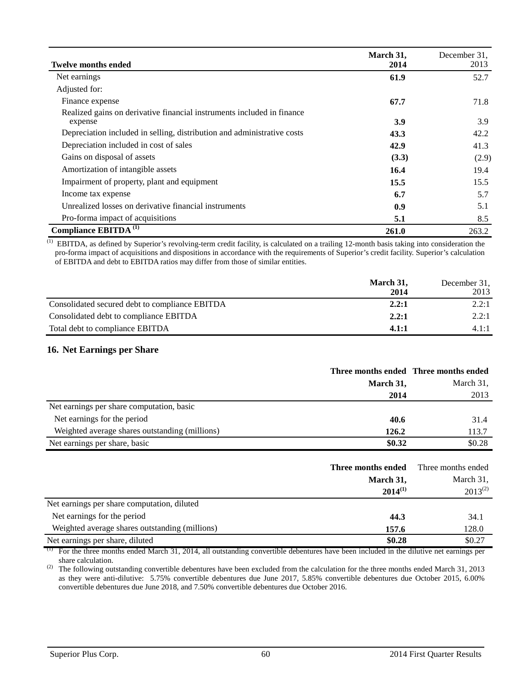| <b>Twelve months ended</b>                                                        | March 31,<br>2014 | December 31,<br>2013 |
|-----------------------------------------------------------------------------------|-------------------|----------------------|
| Net earnings                                                                      | 61.9              | 52.7                 |
| Adjusted for:                                                                     |                   |                      |
| Finance expense                                                                   | 67.7              | 71.8                 |
| Realized gains on derivative financial instruments included in finance<br>expense | <b>3.9</b>        | 3.9                  |
| Depreciation included in selling, distribution and administrative costs           | 43.3              | 42.2                 |
| Depreciation included in cost of sales                                            | 42.9              | 41.3                 |
| Gains on disposal of assets                                                       | (3.3)             | (2.9)                |
| Amortization of intangible assets                                                 | 16.4              | 19.4                 |
| Impairment of property, plant and equipment                                       | 15.5              | 15.5                 |
| Income tax expense                                                                | 6.7               | 5.7                  |
| Unrealized losses on derivative financial instruments                             | 0.9               | 5.1                  |
| Pro-forma impact of acquisitions                                                  | 5.1               | 8.5                  |
| <b>Compliance EBITDA</b> <sup>(1)</sup>                                           | 261.0             | 263.2                |

(1) EBITDA, as defined by Superior's revolving-term credit facility, is calculated on a trailing 12-month basis taking into consideration the pro-forma impact of acquisitions and dispositions in accordance with the requirements of Superior's credit facility. Superior's calculation of EBITDA and debt to EBITDA ratios may differ from those of similar entities.

|                                                | March 31, | December 31, |
|------------------------------------------------|-----------|--------------|
|                                                | 2014      | 2013         |
| Consolidated secured debt to compliance EBITDA | 2.2:1     | 2.2:1        |
| Consolidated debt to compliance EBITDA         | 2.2:1     | 2.2:1        |
| Total debt to compliance EBITDA                | 4.1:1     | 4.1:1        |

#### **16. Net Earnings per Share**

|                                                |           | Three months ended Three months ended |
|------------------------------------------------|-----------|---------------------------------------|
|                                                | March 31, | March 31,                             |
|                                                | 2014      | 2013                                  |
| Net earnings per share computation, basic      |           |                                       |
| Net earnings for the period                    | 40.6      | 31.4                                  |
| Weighted average shares outstanding (millions) | 126.2     | 113.7                                 |
| Net earnings per share, basic                  | \$0.32    | \$0.28                                |

|                                                | Three months ended<br>March 31,<br>$2014^{(1)}$ | Three months ended<br>March 31,<br>$2013^{(2)}$ |
|------------------------------------------------|-------------------------------------------------|-------------------------------------------------|
| Net earnings per share computation, diluted    |                                                 |                                                 |
| Net earnings for the period                    | 44.3                                            | 34.1                                            |
| Weighted average shares outstanding (millions) | 157.6                                           | 128.0                                           |
| Net earnings per share, diluted                | \$0.28                                          | \$0.27                                          |
| $\mathbf{m}$ , $\mathbf{m}$<br>.               |                                                 |                                                 |

 $<sup>(1)</sup>$  For the three months ended March 31, 2014, all outstanding convertible debentures have been included in the dilutive net earnings per</sup> share calculation.

(2) The following outstanding convertible debentures have been excluded from the calculation for the three months ended March 31, 2013 as they were anti-dilutive: 5.75% convertible debentures due June 2017, 5.85% convertible debentures due October 2015, 6.00% convertible debentures due June 2018, and 7.50% convertible debentures due October 2016.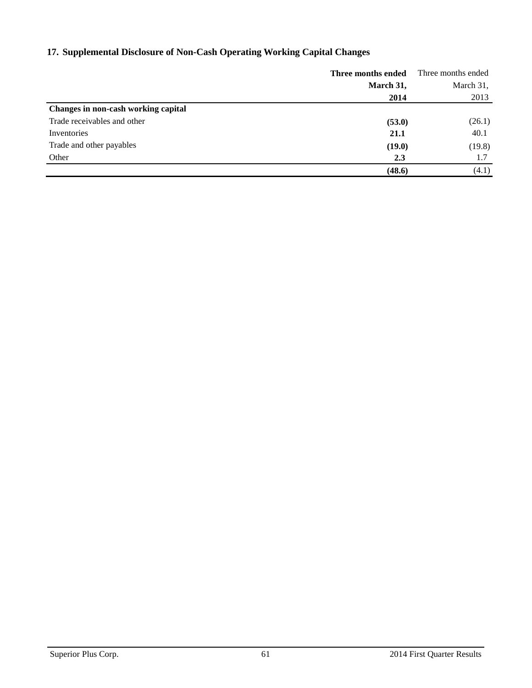# **17. Supplemental Disclosure of Non-Cash Operating Working Capital Changes**

|                                     | Three months ended | Three months ended |
|-------------------------------------|--------------------|--------------------|
|                                     | March 31,          | March 31,          |
|                                     | 2014               | 2013               |
| Changes in non-cash working capital |                    |                    |
| Trade receivables and other         | (53.0)             | (26.1)             |
| Inventories                         | 21.1               | 40.1               |
| Trade and other payables            | (19.0)             | (19.8)             |
| Other                               | 2.3                | 1.7                |
|                                     | (48.6)             | (4.1)              |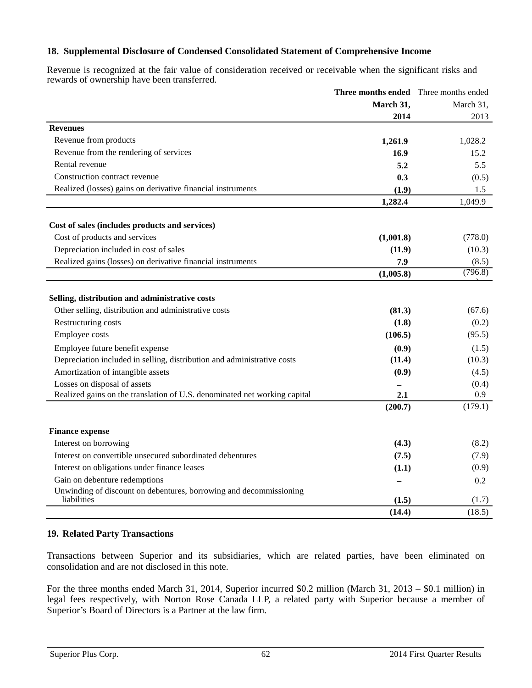#### **18. Supplemental Disclosure of Condensed Consolidated Statement of Comprehensive Income**

Revenue is recognized at the fair value of consideration received or receivable when the significant risks and rewards of ownership have been transferred.

|                                                                                                            | Three months ended Three months ended |                 |
|------------------------------------------------------------------------------------------------------------|---------------------------------------|-----------------|
|                                                                                                            | March 31,                             | March 31,       |
|                                                                                                            | 2014                                  | 2013            |
| <b>Revenues</b>                                                                                            |                                       |                 |
| Revenue from products                                                                                      | 1,261.9                               | 1,028.2         |
| Revenue from the rendering of services                                                                     | 16.9                                  | 15.2            |
| Rental revenue                                                                                             | 5.2                                   | 5.5             |
| Construction contract revenue                                                                              | 0.3                                   | (0.5)           |
| Realized (losses) gains on derivative financial instruments                                                | (1.9)                                 | 1.5             |
|                                                                                                            | 1,282.4                               | 1,049.9         |
|                                                                                                            |                                       |                 |
| Cost of sales (includes products and services)                                                             |                                       |                 |
| Cost of products and services                                                                              | (1,001.8)                             | (778.0)         |
| Depreciation included in cost of sales                                                                     | (11.9)                                | (10.3)          |
| Realized gains (losses) on derivative financial instruments                                                | 7.9                                   | (8.5)           |
|                                                                                                            | (1,005.8)                             | (796.8)         |
| Selling, distribution and administrative costs                                                             |                                       |                 |
| Other selling, distribution and administrative costs                                                       | (81.3)                                | (67.6)          |
| Restructuring costs                                                                                        | (1.8)                                 | (0.2)           |
| Employee costs                                                                                             | (106.5)                               | (95.5)          |
|                                                                                                            |                                       |                 |
| Employee future benefit expense<br>Depreciation included in selling, distribution and administrative costs | (0.9)<br>(11.4)                       | (1.5)<br>(10.3) |
| Amortization of intangible assets                                                                          |                                       |                 |
|                                                                                                            | (0.9)                                 | (4.5)           |
| Losses on disposal of assets<br>Realized gains on the translation of U.S. denominated net working capital  | 2.1                                   | (0.4)<br>0.9    |
|                                                                                                            | (200.7)                               | (179.1)         |
|                                                                                                            |                                       |                 |
| <b>Finance expense</b>                                                                                     |                                       |                 |
| Interest on borrowing                                                                                      | (4.3)                                 | (8.2)           |
| Interest on convertible unsecured subordinated debentures                                                  | (7.5)                                 | (7.9)           |
| Interest on obligations under finance leases                                                               | (1.1)                                 | (0.9)           |
| Gain on debenture redemptions                                                                              |                                       | 0.2             |
| Unwinding of discount on debentures, borrowing and decommissioning                                         |                                       |                 |
| liabilities                                                                                                | (1.5)                                 | (1.7)           |
|                                                                                                            | (14.4)                                | (18.5)          |

#### **19. Related Party Transactions**

Transactions between Superior and its subsidiaries, which are related parties, have been eliminated on consolidation and are not disclosed in this note.

For the three months ended March 31, 2014, Superior incurred \$0.2 million (March 31, 2013 – \$0.1 million) in legal fees respectively, with Norton Rose Canada LLP, a related party with Superior because a member of Superior's Board of Directors is a Partner at the law firm.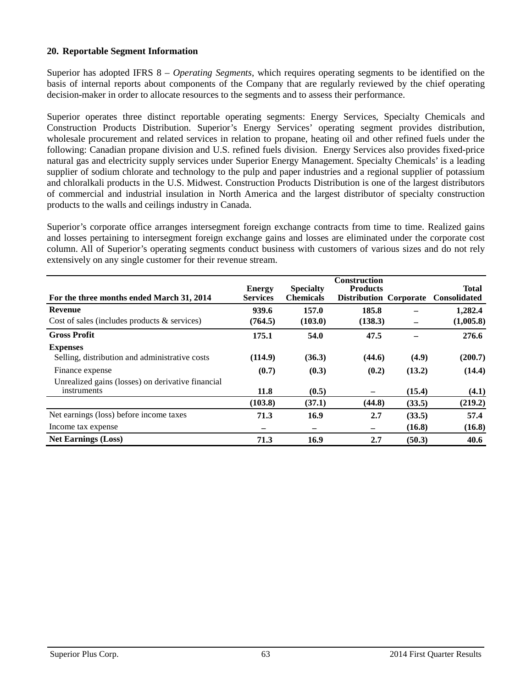#### **20. Reportable Segment Information**

Superior has adopted IFRS 8 – *Operating Segments*, which requires operating segments to be identified on the basis of internal reports about components of the Company that are regularly reviewed by the chief operating decision-maker in order to allocate resources to the segments and to assess their performance.

Superior operates three distinct reportable operating segments: Energy Services, Specialty Chemicals and Construction Products Distribution. Superior's Energy Services' operating segment provides distribution, wholesale procurement and related services in relation to propane, heating oil and other refined fuels under the following: Canadian propane division and U.S. refined fuels division. Energy Services also provides fixed-price natural gas and electricity supply services under Superior Energy Management. Specialty Chemicals' is a leading supplier of sodium chlorate and technology to the pulp and paper industries and a regional supplier of potassium and chloralkali products in the U.S. Midwest. Construction Products Distribution is one of the largest distributors of commercial and industrial insulation in North America and the largest distributor of specialty construction products to the walls and ceilings industry in Canada.

Superior's corporate office arranges intersegment foreign exchange contracts from time to time. Realized gains and losses pertaining to intersegment foreign exchange gains and losses are eliminated under the corporate cost column. All of Superior's operating segments conduct business with customers of various sizes and do not rely extensively on any single customer for their revenue stream.

| For the three months ended March 31, 2014                        | <b>Energy</b><br><b>Services</b> | <b>Specialty</b><br><b>Chemicals</b> | <b>Construction</b><br><b>Products</b> |        | <b>Total</b><br>Distribution Corporate Consolidated |
|------------------------------------------------------------------|----------------------------------|--------------------------------------|----------------------------------------|--------|-----------------------------------------------------|
| <b>Revenue</b>                                                   | 939.6                            | 157.0                                | 185.8                                  |        | 1,282.4                                             |
| Cost of sales (includes products $\&$ services)                  | (764.5)                          | (103.0)                              | (138.3)                                |        | (1,005.8)                                           |
| <b>Gross Profit</b>                                              | 175.1                            | 54.0                                 | 47.5                                   |        | 276.6                                               |
| <b>Expenses</b>                                                  |                                  |                                      |                                        |        |                                                     |
| Selling, distribution and administrative costs                   | (114.9)                          | (36.3)                               | (44.6)                                 | (4.9)  | (200.7)                                             |
| Finance expense                                                  | (0.7)                            | (0.3)                                | (0.2)                                  | (13.2) | (14.4)                                              |
| Unrealized gains (losses) on derivative financial<br>instruments | 11.8                             | (0.5)                                |                                        | (15.4) | (4.1)                                               |
|                                                                  | (103.8)                          | (37.1)                               | (44.8)                                 | (33.5) | (219.2)                                             |
| Net earnings (loss) before income taxes                          | 71.3                             | 16.9                                 | 2.7                                    | (33.5) | 57.4                                                |
| Income tax expense                                               |                                  | -                                    | —                                      | (16.8) | (16.8)                                              |
| <b>Net Earnings (Loss)</b>                                       | 71.3                             | 16.9                                 | 2.7                                    | (50.3) | 40.6                                                |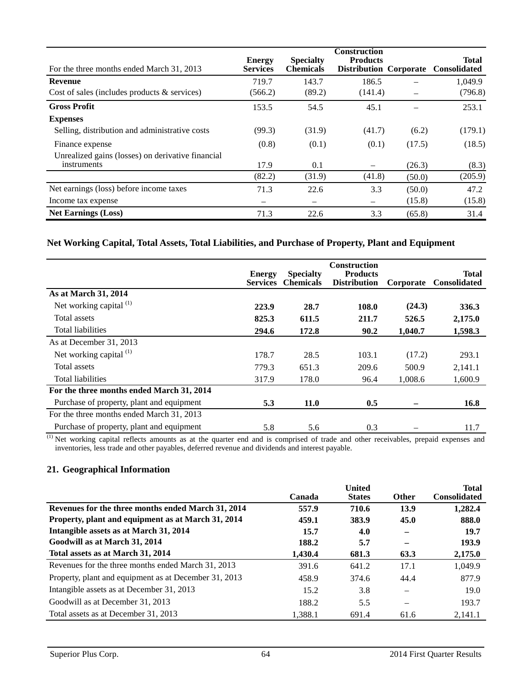| For the three months ended March 31, 2013                        | <b>Energy</b><br><b>Services</b> | <b>Specialty</b><br><b>Chemicals</b> | <b>Construction</b><br><b>Products</b><br><b>Distribution Corporate</b> |        | <b>Total</b><br><b>Consolidated</b> |
|------------------------------------------------------------------|----------------------------------|--------------------------------------|-------------------------------------------------------------------------|--------|-------------------------------------|
| <b>Revenue</b>                                                   | 719.7                            | 143.7                                | 186.5                                                                   |        | 1,049.9                             |
| Cost of sales (includes products $\&$ services)                  | (566.2)                          | (89.2)                               | (141.4)                                                                 |        | (796.8)                             |
| <b>Gross Profit</b>                                              | 153.5                            | 54.5                                 | 45.1                                                                    |        | 253.1                               |
| <b>Expenses</b>                                                  |                                  |                                      |                                                                         |        |                                     |
| Selling, distribution and administrative costs                   | (99.3)                           | (31.9)                               | (41.7)                                                                  | (6.2)  | (179.1)                             |
| Finance expense                                                  | (0.8)                            | (0.1)                                | (0.1)                                                                   | (17.5) | (18.5)                              |
| Unrealized gains (losses) on derivative financial<br>instruments | 17.9                             | 0.1                                  |                                                                         | (26.3) | (8.3)                               |
|                                                                  | (82.2)                           | (31.9)                               | (41.8)                                                                  | (50.0) | (205.9)                             |
| Net earnings (loss) before income taxes                          | 71.3                             | 22.6                                 | 3.3                                                                     | (50.0) | 47.2                                |
| Income tax expense                                               |                                  | -                                    | -                                                                       | (15.8) | (15.8)                              |
| <b>Net Earnings (Loss)</b>                                       | 71.3                             | 22.6                                 | 3.3                                                                     | (65.8) | 31.4                                |

# **Net Working Capital, Total Assets, Total Liabilities, and Purchase of Property, Plant and Equipment**

|                                           | <b>Energy</b><br><b>Services</b> | <b>Specialty</b><br><b>Chemicals</b> | <b>Construction</b><br><b>Products</b><br><b>Distribution</b> | Corporate | <b>Total</b><br><b>Consolidated</b> |
|-------------------------------------------|----------------------------------|--------------------------------------|---------------------------------------------------------------|-----------|-------------------------------------|
| As at March 31, 2014                      |                                  |                                      |                                                               |           |                                     |
| Net working capital <sup>(1)</sup>        | 223.9                            | 28.7                                 | 108.0                                                         | (24.3)    | 336.3                               |
| Total assets                              | 825.3                            | 611.5                                | 211.7                                                         | 526.5     | 2,175.0                             |
| Total liabilities                         | 294.6                            | 172.8                                | 90.2                                                          | 1,040.7   | 1,598.3                             |
| As at December 31, 2013                   |                                  |                                      |                                                               |           |                                     |
| Net working capital $(1)$                 | 178.7                            | 28.5                                 | 103.1                                                         | (17.2)    | 293.1                               |
| Total assets                              | 779.3                            | 651.3                                | 209.6                                                         | 500.9     | 2,141.1                             |
| Total liabilities                         | 317.9                            | 178.0                                | 96.4                                                          | 1,008.6   | 1,600.9                             |
| For the three months ended March 31, 2014 |                                  |                                      |                                                               |           |                                     |
| Purchase of property, plant and equipment | 5.3                              | 11.0                                 | 0.5                                                           |           | 16.8                                |
| For the three months ended March 31, 2013 |                                  |                                      |                                                               |           |                                     |
| Purchase of property, plant and equipment | 5.8                              | 5.6                                  | 0.3                                                           |           | 11.7                                |

<sup>(1)</sup> Net working capital reflects amounts as at the quarter end and is comprised of trade and other receivables, prepaid expenses and inventories, less trade and other payables, deferred revenue and dividends and interest payable.

#### **21. Geographical Information**

| Canada<br><b>States</b><br><b>Other</b><br>Revenues for the three months ended March 31, 2014<br>557.9<br>13.9<br>710.6<br>Property, plant and equipment as at March 31, 2014<br>459.1<br>383.9<br>45.0<br>Intangible assets as at March 31, 2014<br>15.7<br>19.7<br>4.0 |                               |       | <b>United</b> | <b>Total</b>        |
|--------------------------------------------------------------------------------------------------------------------------------------------------------------------------------------------------------------------------------------------------------------------------|-------------------------------|-------|---------------|---------------------|
|                                                                                                                                                                                                                                                                          |                               |       |               | <b>Consolidated</b> |
|                                                                                                                                                                                                                                                                          |                               |       |               | 1,282.4             |
|                                                                                                                                                                                                                                                                          |                               |       |               | 888.0               |
|                                                                                                                                                                                                                                                                          |                               |       |               |                     |
|                                                                                                                                                                                                                                                                          | Goodwill as at March 31, 2014 | 188.2 | 5.7           | 193.9               |
| Total assets as at March 31, 2014<br>1,430.4<br>681.3<br>63.3                                                                                                                                                                                                            |                               |       |               | 2,175.0             |
| Revenues for the three months ended March 31, 2013<br>391.6<br>17.1<br>641.2                                                                                                                                                                                             |                               |       |               | 1,049.9             |
| Property, plant and equipment as at December 31, 2013<br>458.9<br>374.6<br>44.4                                                                                                                                                                                          |                               |       |               | 877.9               |
| Intangible assets as at December 31, 2013<br>3.8<br>15.2<br>$\overline{\phantom{0}}$                                                                                                                                                                                     |                               |       |               | 19.0                |
| Goodwill as at December 31, 2013<br>188.2<br>193.7<br>5.5                                                                                                                                                                                                                |                               |       |               |                     |
| Total assets as at December 31, 2013<br>1,388.1<br>2,141.1<br>691.4<br>61.6                                                                                                                                                                                              |                               |       |               |                     |